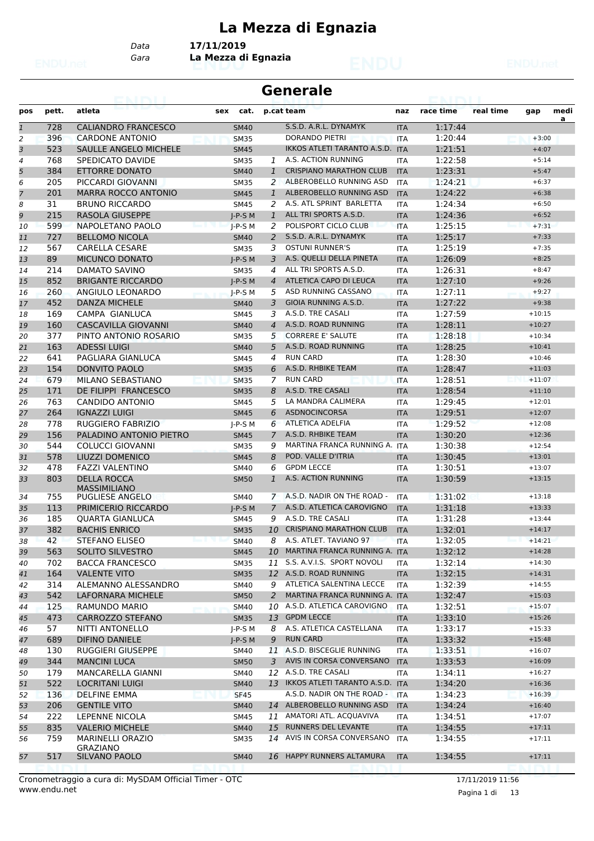# **La Mezza di Egnazia**

*Data* **17/11/2019**

*Gara* **La Mezza di Egnazia**

|              |            | <b>CAMBRO</b>                             |             |                | <b>Generale</b>                    |            |           |           |          |           |
|--------------|------------|-------------------------------------------|-------------|----------------|------------------------------------|------------|-----------|-----------|----------|-----------|
| pos          | pett.      | atleta                                    | cat.<br>sex |                | p.cat team                         | naz        | race time | real time | gap      | medi<br>a |
| $\mathbf{1}$ | 728        | <b>CALIANDRO FRANCESCO</b>                | <b>SM40</b> |                | S.S.D. A.R.L. DYNAMYK              | <b>ITA</b> | 1:17:44   |           |          |           |
| 2            | 396        | <b>CARDONE ANTONIO</b>                    | <b>SM35</b> |                | <b>DORANDO PIETRI</b>              | <b>ITA</b> | 1:20:44   |           | $+3:00$  |           |
| 3            | 523        | <b>SAULLE ANGELO MICHELE</b>              | <b>SM45</b> |                | IKKOS ATLETI TARANTO A.S.D.        | <b>ITA</b> | 1:21:51   |           | $+4:07$  |           |
| 4            | 768        | SPEDICATO DAVIDE                          | <b>SM35</b> | 1              | A.S. ACTION RUNNING                | <b>ITA</b> | 1:22:58   |           | $+5:14$  |           |
| 5            | 384        | ETTORRE DONATO                            | <b>SM40</b> | $\mathbf{1}$   | <b>CRISPIANO MARATHON CLUB</b>     | <b>ITA</b> | 1:23:31   |           | $+5:47$  |           |
| 6            | 205        | PICCARDI GIOVANNI                         | <b>SM35</b> | 2              | ALBEROBELLO RUNNING ASD            | <b>ITA</b> | 1:24:21   |           | $+6:37$  |           |
| 7            | 201        | <b>MARRA ROCCO ANTONIO</b>                | <b>SM45</b> | $\mathbf{1}$   | ALBEROBELLO RUNNING ASD            | <b>ITA</b> | 1:24:22   |           | $+6:38$  |           |
| 8            | 31         | <b>BRUNO RICCARDO</b>                     | <b>SM45</b> | 2              | A.S. ATL SPRINT BARLETTA           | <b>ITA</b> | 1:24:34   |           | $+6:50$  |           |
| 9            | 215        | RASOLA GIUSEPPE                           | $I-P-S$ M   | $\mathbf{1}$   | ALL TRI SPORTS A.S.D.              | <b>ITA</b> | 1:24:36   |           | $+6:52$  |           |
| 10           | 599        | NAPOLETANO PAOLO                          | $I-P-S$ M   | 2              | POLISPORT CICLO CLUB               | <b>ITA</b> | 1:25:15   |           | $+7:31$  |           |
| 11           | 727        | <b>BELLOMO NICOLA</b>                     | <b>SM40</b> | 2              | S.S.D. A.R.L. DYNAMYK              | <b>ITA</b> | 1:25:17   |           | $+7:33$  |           |
| 12           | 567        | <b>CARELLA CESARE</b>                     | <b>SM35</b> | 3              | <b>OSTUNI RUNNER'S</b>             | <b>ITA</b> | 1:25:19   |           | $+7:35$  |           |
| 13           | 89         | <b>MICUNCO DONATO</b>                     | $I-P-S$ M   | 3              | A.S. QUELLI DELLA PINETA           | <b>ITA</b> | 1:26:09   |           | $+8:25$  |           |
| 14           | 214        | DAMATO SAVINO                             | <b>SM35</b> | 4              | ALL TRI SPORTS A.S.D.              | <b>ITA</b> | 1:26:31   |           | $+8:47$  |           |
| 15           | 852        | <b>BRIGANTE RICCARDO</b>                  | $I-P-S$ M   | $\overline{4}$ | ATLETICA CAPO DI LEUCA             | <b>ITA</b> | 1:27:10   |           | $+9:26$  |           |
| 16           | 260        | ANGIULO LEONARDO                          | $J-P-S$ M   | 5              | ASD RUNNING CASSANO                | <b>ITA</b> | 1:27:11   |           | $+9:27$  |           |
| 17           | 452        | <b>DANZA MICHELE</b>                      | <b>SM40</b> | 3              | GIOIA RUNNING A.S.D.               | <b>ITA</b> | 1:27:22   |           | $+9:38$  |           |
| 18           | 169        | CAMPA GIANLUCA                            | <b>SM45</b> | 3              | A.S.D. TRE CASALI                  | <b>ITA</b> | 1:27:59   |           | $+10:15$ |           |
| 19           | 160        | <b>CASCAVILLA GIOVANNI</b>                | <b>SM40</b> | $\overline{4}$ | A.S.D. ROAD RUNNING                | <b>ITA</b> | 1:28:11   |           | $+10:27$ |           |
| 20           | 377        | PINTO ANTONIO ROSARIO                     | <b>SM35</b> | 5              | <b>CORRERE E' SALUTE</b>           | <b>ITA</b> | 1:28:18   |           | $+10:34$ |           |
| 21           | 163        | <b>ADESSI LUIGI</b>                       | <b>SM40</b> | 5              | A.S.D. ROAD RUNNING                | <b>ITA</b> | 1:28:25   |           | $+10:41$ |           |
| 22           | 641        | PAGLIARA GIANLUCA                         | <b>SM45</b> | 4              | <b>RUN CARD</b>                    | <b>ITA</b> | 1:28:30   |           | $+10:46$ |           |
| 23           | 154        | DONVITO PAOLO                             | <b>SM35</b> | 6              | A.S.D. RHBIKE TEAM                 | <b>ITA</b> | 1:28:47   |           | $+11:03$ |           |
| 24           | 679        | MILANO SEBASTIANO                         | <b>SM35</b> | 7              | <b>RUN CARD</b>                    | <b>ITA</b> | 1:28:51   |           | $+11:07$ |           |
| 25           | 171        | DE FILIPPI FRANCESCO                      | <b>SM35</b> | 8              | A.S.D. TRE CASALI                  | <b>ITA</b> | 1:28:54   |           | $+11:10$ |           |
| 26           | 763        | CANDIDO ANTONIO                           | <b>SM45</b> | 5              | LA MANDRA CALIMERA                 | <b>ITA</b> | 1:29:45   |           | $+12:01$ |           |
| 27           | 264        | <b>IGNAZZI LUIGI</b>                      | <b>SM45</b> | 6              | <b>ASDNOCINCORSA</b>               | <b>ITA</b> | 1:29:51   |           | $+12:07$ |           |
| 28           | 778        | RUGGIERO FABRIZIO                         | $J-P-S$ M   | 6              | <b>ATLETICA ADELFIA</b>            | <b>ITA</b> | 1:29:52   |           | $+12:08$ |           |
| 29           | 156        | PALADINO ANTONIO PIETRO                   | <b>SM45</b> | 7              | A.S.D. RHBIKE TEAM                 | <b>ITA</b> | 1:30:20   |           | $+12:36$ |           |
| 30           | 544        | <b>COLUCCI GIOVANNI</b>                   | <b>SM35</b> | 9              | MARTINA FRANCA RUNNING A.          | <b>ITA</b> | 1:30:38   |           | $+12:54$ |           |
|              | 578        | LIUZZI DOMENICO                           |             | 8              | POD. VALLE D'ITRIA                 |            | 1:30:45   |           | $+13:01$ |           |
| 31           |            |                                           | <b>SM45</b> |                | <b>GPDM LECCE</b>                  | <b>ITA</b> |           |           |          |           |
| 32           | 478<br>803 | <b>FAZZI VALENTINO</b>                    | <b>SM40</b> | 6              | A.S. ACTION RUNNING                | <b>ITA</b> | 1:30:51   |           | $+13:07$ |           |
| 33           |            | <b>DELLA ROCCA</b><br><b>MASSIMILIANO</b> | <b>SM50</b> | $\mathbf{1}$   | A.S.D. NADIR ON THE ROAD -         | <b>ITA</b> | 1:30:59   |           | $+13:15$ |           |
| 34           | 755        | PUGLIESE ANGELO                           | <b>SM40</b> | $\mathcal{I}$  |                                    | <b>ITA</b> | 1:31:02   |           | $+13:18$ |           |
| 35           | 113        | PRIMICERIO RICCARDO                       | $J-P-S$ M   | 7              | A.S.D. ATLETICA CAROVIGNO          | <b>ITA</b> | 1:31:18   |           | $+13:33$ |           |
| 36           | 185        | <b>OUARTA GIANLUCA</b>                    | <b>SM45</b> | 9              | A.S.D. TRE CASALI                  | <b>ITA</b> | 1:31:28   |           | $+13:44$ |           |
| 37           | 382        | <b>BACHIS ENRICO</b>                      | <b>SM35</b> | 10             | <b>CRISPIANO MARATHON CLUB</b>     | <b>ITA</b> | 1:32:01   |           | $+14:17$ |           |
| 38           | 42         | <b>STEFANO ELISEO</b>                     | <b>SM40</b> | 8              | A.S. ATLET. TAVIANO 97             | <b>ITA</b> | 1:32:05   |           | $+14:21$ |           |
| 39           | 563        | SOLITO SILVESTRO                          | <b>SM45</b> | 10             | MARTINA FRANCA RUNNING A. ITA      |            | 1:32:12   |           | $+14:28$ |           |
| 40           | 702        | <b>BACCA FRANCESCO</b>                    | <b>SM35</b> | 11             | S.S. A.V.I.S. SPORT NOVOLI         | ITA        | 1:32:14   |           | $+14:30$ |           |
| 41           | 164        | <b>VALENTE VITO</b>                       | <b>SM35</b> |                | 12 A.S.D. ROAD RUNNING             | <b>ITA</b> | 1:32:15   |           | $+14:31$ |           |
| 42           | 314        | ALEMANNO ALESSANDRO                       | SM40        | 9              | ATLETICA SALENTINA LECCE           | <b>ITA</b> | 1:32:39   |           | $+14:55$ |           |
| 43           | 542        | LAFORNARA MICHELE                         | <b>SM50</b> | 2              | MARTINA FRANCA RUNNING A. ITA      |            | 1:32:47   |           | $+15:03$ |           |
| 44           | 125        | RAMUNDO MARIO                             | <b>SM40</b> |                | 10 A.S.D. ATLETICA CAROVIGNO       | ITA        | 1:32:51   |           | $+15:07$ |           |
| 45           | 473        | CARROZZO STEFANO                          | <b>SM35</b> | 13             | <b>GPDM LECCE</b>                  | <b>ITA</b> | 1:33:10   |           | $+15:26$ |           |
| 46           | 57         | NITTI ANTONELLO                           | $J-P-S$ M   | 8              | A.S. ATLETICA CASTELLANA           | ITA        | 1:33:17   |           | $+15:33$ |           |
| 47           | 689        | <b>DIFINO DANIELE</b>                     | $J-P-S$ M   | 9              | <b>RUN CARD</b>                    | <b>ITA</b> | 1:33:32   |           | $+15:48$ |           |
| 48           | 130        | RUGGIERI GIUSEPPE                         | SM40        |                | 11 A.S.D. BISCEGLIE RUNNING        | ITA        | 1:33:51   |           | $+16:07$ |           |
| 49           | 344        | <b>MANCINI LUCA</b>                       | <b>SM50</b> | 3              | AVIS IN CORSA CONVERSANO           | <b>ITA</b> | 1:33:53   |           | $+16:09$ |           |
| 50           | 179        | MANCARELLA GIANNI                         | SM40        |                | 12 A.S.D. TRE CASALI               | ITA        | 1:34:11   |           | $+16:27$ |           |
| 51           | 522        | <b>LOCRITANI LUIGI</b>                    | <b>SM40</b> |                | 13 IKKOS ATLETI TARANTO A.S.D. ITA |            | 1:34:20   |           | $+16:36$ |           |
| 52           | 136        | DELFINE EMMA                              | <b>SF45</b> |                | A.S.D. NADIR ON THE ROAD -         | <b>ITA</b> | 1:34:23   |           | $+16:39$ |           |
| 53           | 206        | <b>GENTILE VITO</b>                       | <b>SM40</b> |                | 14 ALBEROBELLO RUNNING ASD         | <b>ITA</b> | 1:34:24   |           | $+16:40$ |           |
| 54           | 222        | LEPENNE NICOLA                            | SM45        | 11             | AMATORI ATL. ACQUAVIVA             | ITA        | 1:34:51   |           | $+17:07$ |           |
| 55           | 835        | <b>VALERIO MICHELE</b>                    | <b>SM40</b> | 15             | RUNNERS DEL LEVANTE                | <b>ITA</b> | 1:34:55   |           | $+17:11$ |           |
| 56           | 759        | MARINELLI ORAZIO<br><b>GRAZIANO</b>       | <b>SM35</b> | 14             | AVIS IN CORSA CONVERSANO           | ITA        | 1:34:55   |           | $+17:11$ |           |
| 57           | 517        | SILVANO PAOLO                             | <b>SM40</b> |                | 16 HAPPY RUNNERS ALTAMURA          | <b>ITA</b> | 1:34:55   |           | $+17:11$ |           |
|              |            |                                           |             |                |                                    |            |           |           |          |           |

www.endu.net Cronometraggio a cura di: MySDAM Official Timer - OTC 17/11/2019 11:56

Pagina 1 di 13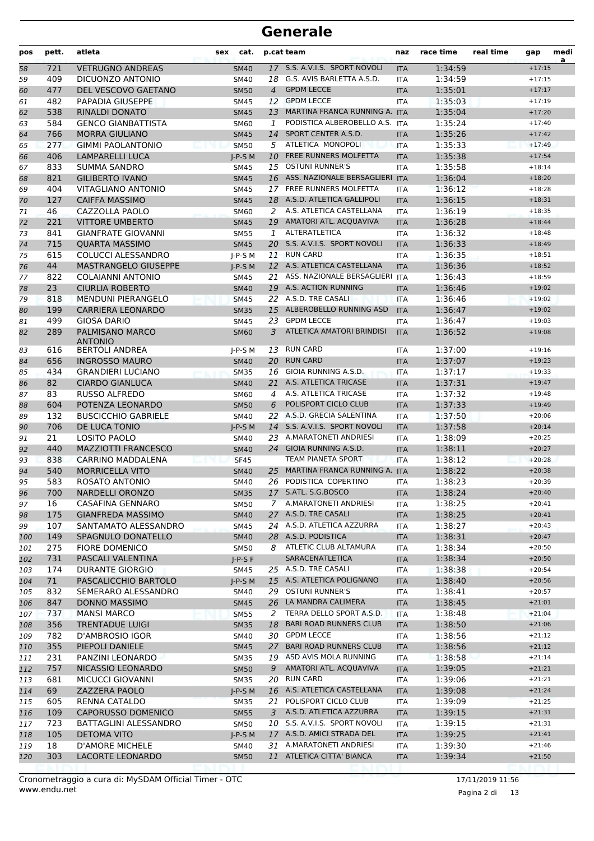| pos      | pett.      | atleta                                          | sex | cat.                       |                | p.cat team                                             | naz                      | race time          | real time | gap                  | medi<br>a |
|----------|------------|-------------------------------------------------|-----|----------------------------|----------------|--------------------------------------------------------|--------------------------|--------------------|-----------|----------------------|-----------|
| 58       | 721        | <b>VETRUGNO ANDREAS</b>                         |     | <b>SM40</b>                |                | 17 S.S. A.V.I.S. SPORT NOVOLI                          | <b>ITA</b>               | 1:34:59            |           | $+17:15$             |           |
| 59       | 409        | DICUONZO ANTONIO                                |     | SM40                       |                | 18 G.S. AVIS BARLETTA A.S.D.                           | <b>ITA</b>               | 1:34:59            |           | $+17:15$             |           |
| 60       | 477        | DEL VESCOVO GAETANO                             |     | <b>SM50</b>                | $\overline{4}$ | <b>GPDM LECCE</b>                                      | <b>ITA</b>               | 1:35:01            |           | $+17:17$             |           |
| 61       | 482        | <b>PAPADIA GIUSEPPE</b>                         |     | SM45                       | 12             | <b>GPDM LECCE</b>                                      | <b>ITA</b>               | 1:35:03            |           | $+17:19$             |           |
| 62       | 538        | RINALDI DONATO                                  |     | <b>SM45</b>                | 13             | MARTINA FRANCA RUNNING A. ITA                          |                          | 1:35:04            |           | $+17:20$             |           |
| 63       | 584        | <b>GENCO GIANBATTISTA</b>                       |     | SM60                       | 1              | PODISTICA ALBEROBELLO A.S. ITA                         |                          | 1:35:24            |           | $+17:40$             |           |
| 64       | 766        | <b>MORRA GIULIANO</b>                           |     | <b>SM45</b>                |                | 14 SPORT CENTER A.S.D.                                 | <b>ITA</b>               | 1:35:26            |           | $+17:42$             |           |
| 65       | 277        | <b>GIMMI PAOLANTONIO</b>                        |     | <b>SM50</b>                |                | 5 ATLETICA MONOPOLI                                    | <b>ITA</b>               | 1:35:33            |           | $+17:49$             |           |
| 66       | 406        | <b>LAMPARELLI LUCA</b>                          |     | $I-P-S$ M                  | 10             | <b>FREE RUNNERS MOLFETTA</b><br><b>OSTUNI RUNNER'S</b> | <b>ITA</b>               | 1:35:38            |           | $+17:54$<br>$+18:14$ |           |
| 67       | 833<br>821 | <b>SUMMA SANDRO</b><br><b>GILIBERTO IVANO</b>   |     | <b>SM45</b>                | 15             | 16 ASS. NAZIONALE BERSAGLIERI ITA                      | <b>ITA</b>               | 1:35:58<br>1:36:04 |           | $+18:20$             |           |
| 68<br>69 | 404        | <b>VITAGLIANO ANTONIO</b>                       |     | <b>SM45</b><br><b>SM45</b> |                | 17 FREE RUNNERS MOLFETTA                               | <b>ITA</b>               | 1:36:12            |           | $+18:28$             |           |
| 70       | 127        | <b>CAIFFA MASSIMO</b>                           |     | <b>SM45</b>                |                | 18 A.S.D. ATLETICA GALLIPOLI                           | <b>ITA</b>               | 1:36:15            |           | $+18:31$             |           |
| 71       | 46         | CAZZOLLA PAOLO                                  |     | SM60                       | 2              | A.S. ATLETICA CASTELLANA                               | ITA                      | 1:36:19            |           | $+18:35$             |           |
| 72       | 221        | <b>VITTORE UMBERTO</b>                          |     | <b>SM45</b>                |                | 19 AMATORI ATL. ACQUAVIVA                              | <b>ITA</b>               | 1:36:28            |           | $+18:44$             |           |
| 73       | 841        | <b>GIANFRATE GIOVANNI</b>                       |     | <b>SM55</b>                | 1              | ALTERATLETICA                                          | <b>ITA</b>               | 1:36:32            |           | $+18:48$             |           |
| 74       | 715        | <b>QUARTA MASSIMO</b>                           |     | <b>SM45</b>                |                | 20 S.S. A.V.I.S. SPORT NOVOLI                          | <b>ITA</b>               | 1:36:33            |           | $+18:49$             |           |
| 75       | 615        | COLUCCI ALESSANDRO                              |     | $I-P-S$ M                  |                | 11 RUN CARD                                            | <b>ITA</b>               | 1:36:35            |           | $+18:51$             |           |
| 76       | 44         | <b>MASTRANGELO GIUSEPPE</b>                     |     | $J-P-S$ M                  |                | 12 A.S. ATLETICA CASTELLANA                            | <b>ITA</b>               | 1:36:36            |           | $+18:52$             |           |
| 77       | 822        | <b>COLAIANNI ANTONIO</b>                        |     | SM45                       |                | 21 ASS. NAZIONALE BERSAGLIERI ITA                      |                          | 1:36:43            |           | $+18:59$             |           |
| 78       | 23         | <b>CIURLIA ROBERTO</b>                          |     | <b>SM40</b>                |                | 19 A.S. ACTION RUNNING                                 | <b>ITA</b>               | 1:36:46            |           | $+19:02$             |           |
| 79       | 818        | <b>MENDUNI PIERANGELO</b>                       |     | <b>SM45</b>                | 22             | A.S.D. TRE CASALI                                      | <b>ITA</b>               | 1:36:46            |           | $+19:02$             |           |
| 80       | 199        | <b>CARRIERA LEONARDO</b>                        |     | <b>SM35</b>                |                | 15 ALBEROBELLO RUNNING ASD                             | <b>ITA</b>               | 1:36:47            |           | $+19:02$             |           |
| 81       | 499        | <b>GIOSA DARIO</b>                              |     | <b>SM45</b>                | 23             | <b>GPDM LECCE</b>                                      | <b>ITA</b>               | 1:36:47            |           | $+19:03$             |           |
| 82       | 289        | <b>PALMISANO MARCO</b><br><b>ANTONIO</b>        |     | <b>SM60</b>                | 3              | ATLETICA AMATORI BRINDISI                              | <b>ITA</b>               | 1:36:52            |           | $+19:08$             |           |
| 83       | 616        | <b>BERTOLI ANDREA</b>                           |     | $J-P-S$ M                  | 13             | <b>RUN CARD</b>                                        | <b>ITA</b>               | 1:37:00            |           | $+19:16$             |           |
| 84       | 656        | <b>INGROSSO MAURO</b>                           |     | <b>SM40</b>                |                | 20 RUN CARD                                            | <b>ITA</b>               | 1:37:07            |           | $+19:23$             |           |
| 85       | 434        | <b>GRANDIERI LUCIANO</b>                        |     | <b>SM35</b>                |                | 16 GIOIA RUNNING A.S.D.                                | <b>ITA</b>               | 1:37:17            |           | $+19:33$             |           |
| 86       | 82         | <b>CIARDO GIANLUCA</b>                          |     | <b>SM40</b>                | 21             | A.S. ATLETICA TRICASE                                  | <b>ITA</b>               | 1:37:31            |           | $+19:47$             |           |
| 87       | 83         | <b>RUSSO ALFREDO</b>                            |     | <b>SM60</b>                | 4              | A.S. ATLETICA TRICASE                                  | <b>ITA</b>               | 1:37:32            |           | $+19:48$             |           |
| 88       | 604        | POTENZA LEONARDO                                |     | <b>SM50</b>                | 6              | POLISPORT CICLO CLUB                                   | <b>ITA</b>               | 1:37:33            |           | $+19:49$             |           |
| 89       | 132        | <b>BUSCICCHIO GABRIELE</b>                      |     | <b>SM40</b>                |                | 22 A.S.D. GRECIA SALENTINA                             | <b>ITA</b>               | 1:37:50            |           | $+20:06$             |           |
| 90       | 706        | DE LUCA TONIO                                   |     | $I-P-S$ M                  |                | 14 S.S. A.V.I.S. SPORT NOVOLI                          | <b>ITA</b>               | 1:37:58            |           | $+20:14$             |           |
| 91       | 21         | LOSITO PAOLO                                    |     | <b>SM40</b>                |                | 23 A.MARATONETI ANDRIESI<br>24 GIOIA RUNNING A.S.D.    | <b>ITA</b>               | 1:38:09            |           | $+20:25$             |           |
| 92       | 440<br>838 | <b>MAZZIOTTI FRANCESCO</b><br>CARRINO MADDALENA |     | <b>SM40</b>                |                | TEAM PIANETA SPORT                                     | <b>ITA</b><br><b>ITA</b> | 1:38:11<br>1:38:12 |           | $+20:27$<br>$+20:28$ |           |
| 93<br>94 | 540        | <b>MORRICELLA VITO</b>                          |     | <b>SF45</b><br><b>SM40</b> | 25             | MARTINA FRANCA RUNNING A. ITA                          |                          | 1:38:22            |           | $+20:38$             |           |
| 95       | 583        | ROSATO ANTONIO                                  |     | SM40                       |                | 26 PODISTICA COPERTINO                                 | <b>ITA</b>               | 1:38:23            |           | $+20:39$             |           |
| 96       | 700        | NARDELLI ORONZO                                 |     | <b>SM35</b>                |                | 17 S.ATL. S.G.BOSCO                                    | <b>ITA</b>               | 1:38:24            |           | $+20:40$             |           |
| 97       | 16         | CASAFINA GENNARO                                |     | <b>SM50</b>                |                | 7 A.MARATONETI ANDRIESI                                | ITA                      | 1:38:25            |           | $+20:41$             |           |
| 98       | 175        | <b>GIANFREDA MASSIMO</b>                        |     | <b>SM40</b>                |                | 27 A.S.D. TRE CASALI                                   | <b>ITA</b>               | 1:38:25            |           | $+20:41$             |           |
| 99       | 107        | SANTAMATO ALESSANDRO                            |     | <b>SM45</b>                |                | 24 A.S.D. ATLETICA AZZURRA                             | ITA                      | 1:38:27            |           | $+20:43$             |           |
| 100      | 149        | SPAGNULO DONATELLO                              |     | <b>SM40</b>                |                | 28 A.S.D. PODISTICA                                    | <b>ITA</b>               | 1:38:31            |           | $+20:47$             |           |
| 101      | 275        | <b>FIORE DOMENICO</b>                           |     | <b>SM50</b>                |                | 8 ATLETIC CLUB ALTAMURA                                | ITA                      | 1:38:34            |           | $+20:50$             |           |
| 102      | 731        | PASCALI VALENTINA                               |     | $I-P-S F$                  |                | <b>SARACENATLETICA</b>                                 | <b>ITA</b>               | 1:38:34            |           | $+20:50$             |           |
| 103      | 174        | <b>DURANTE GIORGIO</b>                          |     | SM45                       |                | 25 A.S.D. TRE CASALI                                   | ITA                      | 1:38:38            |           | $+20:54$             |           |
| 104      | 71         | PASCALICCHIO BARTOLO                            |     | $J-P-S$ M                  |                | 15 A.S. ATLETICA POLIGNANO                             | <b>ITA</b>               | 1:38:40            |           | $+20:56$             |           |
| 105      | 832        | SEMERARO ALESSANDRO                             |     | SM40                       |                | 29 OSTUNI RUNNER'S                                     | ITA                      | 1:38:41            |           | $+20:57$             |           |
| 106      | 847        | <b>DONNO MASSIMO</b>                            |     | <b>SM45</b>                |                | 26 LA MANDRA CALIMERA                                  | <b>ITA</b>               | 1:38:45            |           | $+21:01$             |           |
| 107      | 737        | <b>MANSI MARCO</b>                              |     | <b>SM55</b>                | 2              | TERRA DELLO SPORT A.S.D.                               | ITA                      | 1:38:48            |           | $+21:04$             |           |
| 108      | 356        | <b>TRENTADUE LUIGI</b>                          |     | <b>SM35</b>                | 18             | <b>BARI ROAD RUNNERS CLUB</b>                          | <b>ITA</b>               | 1:38:50            |           | $+21:06$             |           |
| 109      | 782        | D'AMBROSIO IGOR                                 |     | SM40                       |                | 30 GPDM LECCE                                          | ITA                      | 1:38:56            |           | $+21:12$             |           |
| 110      | 355        | PIEPOLI DANIELE                                 |     | <b>SM45</b>                | 27             | <b>BARI ROAD RUNNERS CLUB</b>                          | <b>ITA</b>               | 1:38:56            |           | $+21:12$             |           |
| 111      | 231        | PANZINI LEONARDO                                |     | <b>SM35</b>                |                | 19 ASD AVIS MOLA RUNNING                               | ITA                      | 1:38:58            |           | $+21:14$             |           |
| 112      | 757        | NICASSIO LEONARDO                               |     | <b>SM50</b>                | 9              | AMATORI ATL. ACQUAVIVA                                 | <b>ITA</b>               | 1:39:05            |           | $+21:21$             |           |
| 113      | 681        | MICUCCI GIOVANNI                                |     | <b>SM35</b>                |                | 20 RUN CARD                                            | ITA                      | 1:39:06            |           | $+21:21$             |           |
| 114      | 69         | ZAZZERA PAOLO                                   |     | $J-P-S$ M                  |                | 16 A.S. ATLETICA CASTELLANA                            | <b>ITA</b>               | 1:39:08            |           | $+21:24$             |           |
| 115      | 605        | RENNA CATALDO                                   |     | <b>SM35</b>                | 21             | POLISPORT CICLO CLUB                                   | ITA                      | 1:39:09            |           | $+21:25$             |           |
| 116      | 109        | <b>CAPORUSSO DOMENICO</b>                       |     | <b>SM55</b>                |                | 3 A.S.D. ATLETICA AZZURRA                              | <b>ITA</b>               | 1:39:15            |           | $+21:31$             |           |
| 117      | 723        | <b>BATTAGLINI ALESSANDRO</b>                    |     | <b>SM50</b>                |                | 10 S.S. A.V.I.S. SPORT NOVOLI                          | ITA                      | 1:39:15            |           | $+21:31$             |           |
| 118      | 105        | <b>DETOMA VITO</b>                              |     | $J-P-S$ M                  |                | 17 A.S.D. AMICI STRADA DEL<br>31 A.MARATONETI ANDRIESI | <b>ITA</b>               | 1:39:25            |           | $+21:41$             |           |
| 119      | 18<br>303  | D'AMORE MICHELE<br>LACORTE LEONARDO             |     | SM40                       |                | 11 ATLETICA CITTA' BIANCA                              | ITA                      | 1:39:30<br>1:39:34 |           | $+21:46$<br>$+21:50$ |           |
| 120      |            |                                                 |     | <b>SM50</b>                |                |                                                        | <b>ITA</b>               |                    |           |                      |           |

Pagina 2 di 13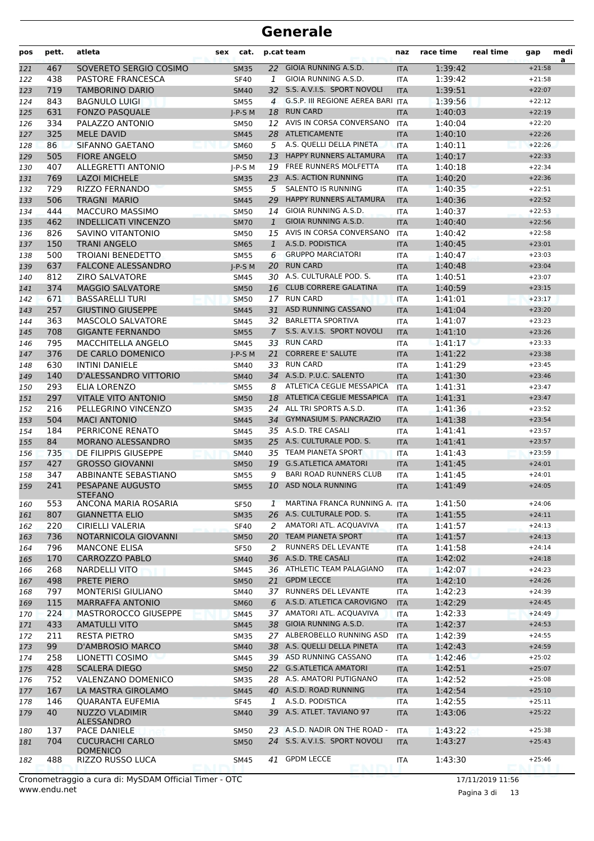| pos | pett. | atleta                              | cat.<br>sex |                | p.cat team                    | naz        | race time | real time | gap      | medi<br>a |
|-----|-------|-------------------------------------|-------------|----------------|-------------------------------|------------|-----------|-----------|----------|-----------|
| 121 | 467   | SOVERETO SERGIO COSIMO              | <b>SM35</b> |                | 22 GIOIA RUNNING A.S.D.       | <b>ITA</b> | 1:39:42   |           | $+21:58$ |           |
| 122 | 438   | PASTORE FRANCESCA                   | <b>SF40</b> | 1              | GIOIA RUNNING A.S.D.          | <b>ITA</b> | 1:39:42   |           | $+21:58$ |           |
| 123 | 719   | <b>TAMBORINO DARIO</b>              | <b>SM40</b> |                | 32 S.S. A.V.I.S. SPORT NOVOLI | <b>ITA</b> | 1:39:51   |           | $+22:07$ |           |
| 124 | 843   | <b>BAGNULO LUIGI</b>                | <b>SM55</b> | $\overline{4}$ | G.S.P. III REGIONE AEREA BARI | <b>ITA</b> | 1:39:56   |           | $+22:12$ |           |
| 125 | 631   | <b>FONZO PASQUALE</b>               | $J-P-S$ M   | 18             | <b>RUN CARD</b>               | <b>ITA</b> | 1:40:03   |           | $+22:19$ |           |
| 126 | 334   | PALAZZO ANTONIO                     | <b>SM50</b> |                | 12 AVIS IN CORSA CONVERSANO   | ITA        | 1:40:04   |           | $+22:20$ |           |
| 127 | 325   | <b>MELE DAVID</b>                   | <b>SM45</b> |                | 28 ATLETICAMENTE              | <b>ITA</b> | 1:40:10   |           | $+22:26$ |           |
| 128 | 86    | SIFANNO GAETANO                     | <b>SM60</b> | 5              | A.S. QUELLI DELLA PINETA      | <b>ITA</b> | 1:40:11   |           | $+22:26$ |           |
| 129 | 505   | <b>FIORE ANGELO</b>                 | <b>SM50</b> | 13             | <b>HAPPY RUNNERS ALTAMURA</b> | <b>ITA</b> | 1:40:17   |           | $+22:33$ |           |
| 130 | 407   | <b>ALLEGRETTI ANTONIO</b>           | $J-P-S$ M   | 19             | FREE RUNNERS MOLFETTA         | <b>ITA</b> | 1:40:18   |           | $+22:34$ |           |
| 131 | 769   | <b>LAZOI MICHELE</b>                | <b>SM35</b> |                | 23 A.S. ACTION RUNNING        | <b>ITA</b> | 1:40:20   |           | $+22:36$ |           |
| 132 | 729   | RIZZO FERNANDO                      | <b>SM55</b> | 5              | <b>SALENTO IS RUNNING</b>     | ITA        | 1:40:35   |           | $+22:51$ |           |
| 133 | 506   | <b>TRAGNI MARIO</b>                 | <b>SM45</b> | 29             | <b>HAPPY RUNNERS ALTAMURA</b> | <b>ITA</b> | 1:40:36   |           | $+22:52$ |           |
| 134 | 444   | MACCURO MASSIMO                     | <b>SM50</b> | 14             | GIOIA RUNNING A.S.D.          | ITA        | 1:40:37   |           | $+22:53$ |           |
| 135 | 462   | <b>INDELLICATI VINCENZO</b>         | <b>SM70</b> | 1              | GIOIA RUNNING A.S.D.          | <b>ITA</b> | 1:40:40   |           | $+22:56$ |           |
| 136 | 826   | SAVINO VITANTONIO                   | <b>SM50</b> | 15             | AVIS IN CORSA CONVERSANO      | <b>ITA</b> | 1:40:42   |           | $+22:58$ |           |
| 137 | 150   | <b>TRANI ANGELO</b>                 | <b>SM65</b> | $\mathbf{1}$   | A.S.D. PODISTICA              | <b>ITA</b> | 1:40:45   |           | $+23:01$ |           |
| 138 | 500   | <b>TROIANI BENEDETTO</b>            | <b>SM55</b> | 6              | <b>GRUPPO MARCIATORI</b>      | <b>ITA</b> | 1:40:47   |           | $+23:03$ |           |
| 139 | 637   | <b>FALCONE ALESSANDRO</b>           | $J-P-S$ M   |                | 20 RUN CARD                   | <b>ITA</b> | 1:40:48   |           | $+23:04$ |           |
| 140 | 812   | <b>ZIRO SALVATORE</b>               | <b>SM45</b> |                | 30 A.S. CULTURALE POD. S.     | <b>ITA</b> | 1:40:51   |           | $+23:07$ |           |
| 141 | 374   | <b>MAGGIO SALVATORE</b>             | <b>SM50</b> | 16             | <b>CLUB CORRERE GALATINA</b>  | <b>ITA</b> | 1:40:59   |           | $+23:15$ |           |
| 142 | 671   | <b>BASSARELLI TURI</b>              | <b>SM50</b> | 17             | <b>RUN CARD</b>               | <b>ITA</b> | 1:41:01   |           | $+23:17$ |           |
| 143 | 257   | <b>GIUSTINO GIUSEPPE</b>            | <b>SM45</b> | 31             | ASD RUNNING CASSANO           | <b>ITA</b> | 1:41:04   |           | $+23:20$ |           |
| 144 | 363   | <b>MASCOLO SALVATORE</b>            | <b>SM45</b> |                | 32 BARLETTA SPORTIVA          | <b>ITA</b> | 1:41:07   |           | $+23:23$ |           |
| 145 | 708   | <b>GIGANTE FERNANDO</b>             | <b>SM55</b> | $\overline{7}$ | S.S. A.V.I.S. SPORT NOVOLI    | <b>ITA</b> | 1:41:10   |           | $+23:26$ |           |
| 146 | 795   | MACCHITELLA ANGELO                  | SM45        |                | 33 RUN CARD                   | <b>ITA</b> | 1:41:17   |           | $+23:33$ |           |
| 147 | 376   | DE CARLO DOMENICO                   | $I-P-S$ M   | 21             | <b>CORRERE E' SALUTE</b>      | <b>ITA</b> | 1:41:22   |           | $+23:38$ |           |
| 148 | 630   | <b>INTINI DANIELE</b>               | <b>SM40</b> | 33             | <b>RUN CARD</b>               | <b>ITA</b> | 1:41:29   |           | $+23:45$ |           |
| 149 | 140   | D'ALESSANDRO VITTORIO               | <b>SM40</b> |                | 34 A.S.D. P.U.C. SALENTO      | <b>ITA</b> | 1:41:30   |           | $+23:46$ |           |
| 150 | 293   | ELIA LORENZO                        | <b>SM55</b> | 8              | ATLETICA CEGLIE MESSAPICA     | <b>ITA</b> | 1:41:31   |           | $+23:47$ |           |
| 151 | 297   | <b>VITALE VITO ANTONIO</b>          | <b>SM50</b> |                | 18 ATLETICA CEGLIE MESSAPICA  | <b>ITA</b> | 1:41:31   |           | $+23:47$ |           |
| 152 | 216   | PELLEGRINO VINCENZO                 | <b>SM35</b> |                | 24 ALL TRI SPORTS A.S.D.      | <b>ITA</b> | 1:41:36   |           | $+23:52$ |           |
| 153 | 504   | <b>MACI ANTONIO</b>                 | <b>SM45</b> | 34             | <b>GYMNASIUM S. PANCRAZIO</b> | <b>ITA</b> | 1:41:38   |           | $+23:54$ |           |
| 154 | 184   | PERRICONE RENATO                    | <b>SM45</b> |                | 35 A.S.D. TRE CASALI          | <b>ITA</b> | 1:41:41   |           | $+23:57$ |           |
| 155 | 84    | MORANO ALESSANDRO                   | <b>SM35</b> |                | 25 A.S. CULTURALE POD. S.     | <b>ITA</b> | 1:41:41   |           | $+23:57$ |           |
| 156 | 735   | DE FILIPPIS GIUSEPPE                | <b>SM40</b> |                | 35 TEAM PIANETA SPORT         | <b>ITA</b> | 1:41:43   |           | $+23:59$ |           |
| 157 | 427   | <b>GROSSO GIOVANNI</b>              | <b>SM50</b> |                | 19 G.S.ATLETICA AMATORI       | <b>ITA</b> | 1:41:45   |           | $+24:01$ |           |
| 158 | 347   | ABBINANTE SEBASTIANO                | <b>SM55</b> | 9              | <b>BARI ROAD RUNNERS CLUB</b> | ITA        | 1:41:45   |           | $+24:01$ |           |
| 159 | 241   | PESAPANE AUGUSTO<br><b>STEFANO</b>  | <b>SM55</b> | 10             | ASD NOLA RUNNING              | <b>ITA</b> | 1:41:49   |           | $+24:05$ |           |
| 160 | 553   | ANCONA MARIA ROSARIA                | <b>SF50</b> | 1              | MARTINA FRANCA RUNNING A. ITA |            | 1:41:50   |           | $+24:06$ |           |
| 161 | 807   | <b>GIANNETTA ELIO</b>               | <b>SM35</b> | 26             | A.S. CULTURALE POD. S.        | <b>ITA</b> | 1:41:55   |           | $+24:11$ |           |
| 162 | 220   | CIRIELLI VALERIA                    | <b>SF40</b> | 2              | AMATORI ATL. ACQUAVIVA        | <b>ITA</b> | 1:41:57   |           | $+24:13$ |           |
| 163 | 736   | NOTARNICOLA GIOVANNI                | <b>SM50</b> |                | 20 TEAM PIANETA SPORT         | <b>ITA</b> | 1:41:57   |           | $+24:13$ |           |
| 164 | 796   | <b>MANCONE ELISA</b>                | <b>SF50</b> | 2              | RUNNERS DEL LEVANTE           | <b>ITA</b> | 1:41:58   |           | $+24:14$ |           |
| 165 | 170   | CARROZZO PABLO                      | <b>SM40</b> |                | 36 A.S.D. TRE CASALI          | <b>ITA</b> | 1:42:02   |           | $+24:18$ |           |
| 166 | 268   | <b>NARDELLI VITO</b>                | SM45        |                | 36 ATHLETIC TEAM PALAGIANO    | ITA        | 1:42:07   |           | $+24:23$ |           |
| 167 | 498   | PRETE PIERO                         | <b>SM50</b> | 21             | <b>GPDM LECCE</b>             | <b>ITA</b> | 1:42:10   |           | $+24:26$ |           |
| 168 | 797   | <b>MONTERISI GIULIANO</b>           | SM40        |                | 37 RUNNERS DEL LEVANTE        | ITA        | 1:42:23   |           | $+24:39$ |           |
| 169 | 115   | <b>MARRAFFA ANTONIO</b>             | <b>SM60</b> | 6              | A.S.D. ATLETICA CAROVIGNO     | <b>ITA</b> | 1:42:29   |           | $+24:45$ |           |
| 170 | 224   | <b>MASTROROCCO GIUSEPPE</b>         | <b>SM45</b> |                | 37 AMATORI ATL. ACQUAVIVA     | <b>ITA</b> | 1:42:33   |           | $+24:49$ |           |
| 171 | 433   | <b>AMATULLI VITO</b>                | <b>SM45</b> |                | 38 GIOIA RUNNING A.S.D.       | <b>ITA</b> | 1:42:37   |           | $+24:53$ |           |
| 172 | 211   | <b>RESTA PIETRO</b>                 | <b>SM35</b> |                | 27 ALBEROBELLO RUNNING ASD    | ITA        | 1:42:39   |           | $+24:55$ |           |
| 173 | 99    | <b>D'AMBROSIO MARCO</b>             | <b>SM40</b> |                | 38 A.S. QUELLI DELLA PINETA   | <b>ITA</b> | 1:42:43   |           | $+24:59$ |           |
| 174 | 258   | LIONETTI COSIMO                     | SM45        |                | 39 ASD RUNNING CASSANO        | ITA        | 1:42:46   |           | $+25:02$ |           |
| 175 | 428   | <b>SCALERA DIEGO</b>                | <b>SM50</b> |                | 22 G.S.ATLETICA AMATORI       | <b>ITA</b> | 1:42:51   |           | $+25:07$ |           |
| 176 | 752   | VALENZANO DOMENICO                  | <b>SM35</b> |                | 28 A.S. AMATORI PUTIGNANO     | ITA        | 1:42:52   |           | $+25:08$ |           |
| 177 | 167   | LA MASTRA GIROLAMO                  | <b>SM45</b> |                | 40 A.S.D. ROAD RUNNING        | <b>ITA</b> | 1:42:54   |           | $+25:10$ |           |
| 178 | 146   | <b>QUARANTA EUFEMIA</b>             | <b>SF45</b> | 1              | A.S.D. PODISTICA              | ITA        | 1:42:55   |           | $+25:11$ |           |
| 179 | 40    | NUZZO VLADIMIR                      | <b>SM40</b> |                | 39 A.S. ATLET. TAVIANO 97     | <b>ITA</b> | 1:43:06   |           | $+25:22$ |           |
|     |       | ALESSANDRO                          |             |                |                               |            |           |           |          |           |
| 180 | 137   | PACE DANIELE                        | <b>SM50</b> |                | 23 A.S.D. NADIR ON THE ROAD - | ITA        | 1:43:22   |           | $+25:38$ |           |
| 181 | 704   | <b>CUCURACHI CARLO</b>              | <b>SM50</b> |                | 24 S.S. A.V.I.S. SPORT NOVOLI | <b>ITA</b> | 1:43:27   |           | $+25:43$ |           |
| 182 | 488   | <b>DOMENICO</b><br>RIZZO RUSSO LUCA | SM45        |                | 41 GPDM LECCE                 | ITA        | 1:43:30   |           | $+25:46$ |           |
|     |       |                                     |             |                |                               |            |           |           |          |           |

www.endu.net Cronometraggio a cura di: MySDAM Official Timer - OTC 17/11/2019 11:56

Pagina 3 di 13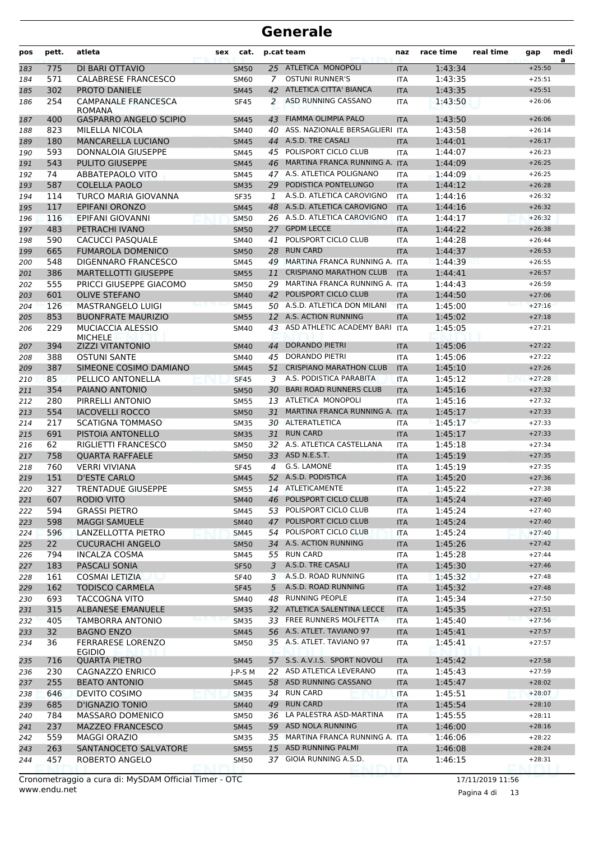| pos        | pett.      | atleta                                                | sex | cat.                       |    | p.cat team                                          | naz                      | race time          | real time | gap                  | medi<br>a |
|------------|------------|-------------------------------------------------------|-----|----------------------------|----|-----------------------------------------------------|--------------------------|--------------------|-----------|----------------------|-----------|
| 183        | 775        | DI BARI OTTAVIO                                       |     | <b>SM50</b>                |    | 25 ATLETICA MONOPOLI                                | <b>ITA</b>               | 1:43:34            |           | $+25:50$             |           |
| 184        | 571        | <b>CALABRESE FRANCESCO</b>                            |     | <b>SM60</b>                | 7  | <b>OSTUNI RUNNER'S</b>                              | <b>ITA</b>               | 1:43:35            |           | $+25:51$             |           |
| 185        | 302        | PROTO DANIELE                                         |     | <b>SM45</b>                |    | 42 ATLETICA CITTA' BIANCA                           | <b>ITA</b>               | 1:43:35            |           | $+25:51$             |           |
| 186        | 254        | <b>CAMPANALE FRANCESCA</b><br>ROMANA                  |     | <b>SF45</b>                | 2  | ASD RUNNING CASSANO                                 | <b>ITA</b>               | 1:43:50            |           | $+26:06$             |           |
| 187        | 400        | <b>GASPARRO ANGELO SCIPIO</b>                         |     | <b>SM45</b>                | 43 | <b>FIAMMA OLIMPIA PALO</b>                          | <b>ITA</b>               | 1:43:50            |           | $+26:06$             |           |
| 188        | 823        | <b>MILELLA NICOLA</b>                                 |     | <b>SM40</b>                | 40 | ASS. NAZIONALE BERSAGLIERI                          | <b>ITA</b>               | 1:43:58            |           | $+26:14$             |           |
| 189        | 180        | <b>MANCARELLA LUCIANO</b>                             |     | <b>SM45</b>                |    | 44 A.S.D. TRE CASALI                                | <b>ITA</b>               | 1:44:01            |           | $+26:17$             |           |
| 190        | 593        | DONNALOIA GIUSEPPE                                    |     | <b>SM45</b>                |    | 45 POLISPORT CICLO CLUB                             | ITA                      | 1:44:07            |           | $+26:23$             |           |
| 191        | 543        | <b>PULITO GIUSEPPE</b>                                |     | <b>SM45</b>                |    | 46 MARTINA FRANCA RUNNING A. ITA                    |                          | 1:44:09            |           | $+26:25$             |           |
| 192        | 74         | <b>ABBATEPAOLO VITO</b>                               |     | SM45                       |    | 47 A.S. ATLETICA POLIGNANO                          | ITA                      | 1:44:09            |           | $+26:25$             |           |
| 193        | 587        | <b>COLELLA PAOLO</b>                                  |     | <b>SM35</b>                |    | 29 PODISTICA PONTELUNGO                             | <b>ITA</b>               | 1:44:12            |           | $+26:28$             |           |
| 194        | 114        | TURCO MARIA GIOVANNA                                  |     | <b>SF35</b>                | 1  | A.S.D. ATLETICA CAROVIGNO                           | <b>ITA</b>               | 1:44:16            |           | $+26:32$             |           |
| 195        | 117        | <b>EPIFANI ORONZO</b>                                 |     | <b>SM45</b>                |    | 48 A.S.D. ATLETICA CAROVIGNO                        | <b>ITA</b>               | 1:44:16            |           | $+26:32$             |           |
| 196        | 116        | EPIFANI GIOVANNI                                      |     | <b>SM50</b>                |    | 26 A.S.D. ATLETICA CAROVIGNO                        | <b>ITA</b>               | 1:44:17            |           | $+26:32$             |           |
| 197        | 483        | PETRACHI IVANO                                        |     | <b>SM50</b>                |    | 27 GPDM LECCE                                       | <b>ITA</b>               | 1:44:22            |           | $+26:38$             |           |
| 198        | 590        | <b>CACUCCI PASQUALE</b>                               |     | SM40                       | 41 | POLISPORT CICLO CLUB                                | ITA                      | 1:44:28            |           | $+26:44$             |           |
| 199        | 665        | <b>FUMAROLA DOMENICO</b>                              |     | <b>SM50</b>                | 28 | <b>RUN CARD</b>                                     | <b>ITA</b>               | 1:44:37            |           | $+26:53$             |           |
| 200        | 548        | DIGENNARO FRANCESCO                                   |     | <b>SM45</b>                | 49 | MARTINA FRANCA RUNNING A. ITA                       |                          | 1:44:39            |           | $+26:55$             |           |
| 201        | 386        | <b>MARTELLOTTI GIUSEPPE</b>                           |     | <b>SM55</b>                | 11 | <b>CRISPIANO MARATHON CLUB</b>                      | <b>ITA</b>               | 1:44:41            |           | $+26:57$             |           |
| 202        | 555        | PRICCI GIUSEPPE GIACOMO                               |     | <b>SM50</b>                |    | 29 MARTINA FRANCA RUNNING A. ITA                    |                          | 1:44:43            |           | $+26:59$             |           |
| 203        | 601        | <b>OLIVE STEFANO</b>                                  |     | <b>SM40</b>                |    | 42 POLISPORT CICLO CLUB                             | <b>ITA</b>               | 1:44:50            |           | $+27:06$             |           |
| 204        | 126        | <b>MASTRANGELO LUIGI</b>                              |     | <b>SM45</b>                |    | 50 A.S.D. ATLETICA DON MILANI                       | <b>ITA</b>               | 1:45:00            |           | $+27:16$             |           |
| 205<br>206 | 853<br>229 | <b>BUONFRATE MAURIZIO</b><br><b>MUCIACCIA ALESSIO</b> |     | <b>SM55</b><br><b>SM40</b> | 43 | 12 A.S. ACTION RUNNING<br>ASD ATHLETIC ACADEMY BARI | <b>ITA</b><br><b>ITA</b> | 1:45:02<br>1:45:05 |           | $+27:18$<br>$+27:21$ |           |
|            |            | <b>MICHELE</b>                                        |     |                            |    |                                                     |                          |                    |           |                      |           |
| 207        | 394        | ZIZZI VITANTONIO                                      |     | <b>SM40</b>                | 44 | <b>DORANDO PIETRI</b>                               | <b>ITA</b>               | 1:45:06            |           | $+27:22$             |           |
| 208        | 388        | <b>OSTUNI SANTE</b>                                   |     | SM40                       | 45 | DORANDO PIETRI                                      | <b>ITA</b>               | 1:45:06            |           | $+27:22$             |           |
| 209        | 387        | SIMEONE COSIMO DAMIANO                                |     | <b>SM45</b>                | 51 | <b>CRISPIANO MARATHON CLUB</b>                      | <b>ITA</b>               | 1:45:10            |           | $+27:26$             |           |
| 210        | 85         | PELLICO ANTONELLA                                     |     | <b>SF45</b>                | 3  | A.S. PODISTICA PARABITA                             | <b>ITA</b>               | 1:45:12            |           | $+27:28$             |           |
| 211        | 354        | PAIANO ANTONIO                                        |     | <b>SM50</b>                | 30 | <b>BARI ROAD RUNNERS CLUB</b>                       | <b>ITA</b>               | 1:45:16            |           | $+27:32$             |           |
| 212        | 280        | PIRRELLI ANTONIO                                      |     | <b>SM55</b>                |    | 13 ATLETICA MONOPOLI                                | <b>ITA</b>               | 1:45:16            |           | $+27:32$             |           |
| 213        | 554<br>217 | <b>IACOVELLI ROCCO</b><br><b>SCATIGNA TOMMASO</b>     |     | <b>SM50</b>                | 31 | MARTINA FRANCA RUNNING A. ITA<br>30 ALTERATLETICA   |                          | 1:45:17<br>1:45:17 |           | $+27:33$<br>$+27:33$ |           |
| 214<br>215 | 691        | PISTOIA ANTONELLO                                     |     | <b>SM35</b><br><b>SM35</b> | 31 | <b>RUN CARD</b>                                     | <b>ITA</b><br><b>ITA</b> | 1:45:17            |           | $+27:33$             |           |
| 216        | 62         | <b>RIGLIETTI FRANCESCO</b>                            |     | <b>SM50</b>                |    | 32 A.S. ATLETICA CASTELLANA                         | <b>ITA</b>               | 1:45:18            |           | $+27:34$             |           |
| 217        | 758        | <b>OUARTA RAFFAELE</b>                                |     | <b>SM50</b>                |    | 33 ASD N.E.S.T.                                     | <b>ITA</b>               | 1:45:19            |           | $+27:35$             |           |
| 218        | 760        | <b>VERRI VIVIANA</b>                                  |     | <b>SF45</b>                | 4  | G.S. LAMONE                                         | <b>ITA</b>               | 1:45:19            |           | $+27:35$             |           |
| 219        | 151        | <b>D'ESTE CARLO</b>                                   |     | <b>SM45</b>                |    | 52 A.S.D. PODISTICA                                 | <b>ITA</b>               | 1:45:20            |           | $+27:36$             |           |
| 220        | 327        | <b>TRENTADUE GIUSEPPE</b>                             |     | <b>SM55</b>                |    | 14 ATLETICAMENTE                                    | <b>ITA</b>               | 1:45:22            |           | $+27:38$             |           |
| 221        | 607        | <b>RODIO VITO</b>                                     |     | <b>SM40</b>                |    | 46 POLISPORT CICLO CLUB                             | <b>ITA</b>               | 1:45:24            |           | $+27:40$             |           |
| 222        | 594        | <b>GRASSI PIETRO</b>                                  |     | SM45                       |    | 53 POLISPORT CICLO CLUB                             | ITA                      | 1:45:24            |           | $+27:40$             |           |
| 223        | 598        | <b>MAGGI SAMUELE</b>                                  |     | <b>SM40</b>                |    | 47 POLISPORT CICLO CLUB                             | <b>ITA</b>               | 1:45:24            |           | $+27:40$             |           |
| 224        | 596        | LANZELLOTTA PIETRO                                    |     | <b>SM45</b>                | 54 | POLISPORT CICLO CLUB                                | <b>ITA</b>               | 1:45:24            |           | $+27:40$             |           |
| 225        | 22         | <b>CUCURACHI ANGELO</b>                               |     | <b>SM50</b>                |    | 34 A.S. ACTION RUNNING                              | <b>ITA</b>               | 1:45:26            |           | $+27:42$             |           |
| 226        | 794        | <b>INCALZA COSMA</b>                                  |     | SM45                       |    | 55 RUN CARD                                         | ITA                      | 1:45:28            |           | $+27:44$             |           |
| 227        | 183        | PASCALI SONIA                                         |     | <b>SF50</b>                | 3  | A.S.D. TRE CASALI                                   | <b>ITA</b>               | 1:45:30            |           | $+27:46$             |           |
| 228        | 161        | <b>COSMAI LETIZIA</b>                                 |     | <b>SF40</b>                |    | 3 A.S.D. ROAD RUNNING                               | <b>ITA</b>               | 1:45:32            |           | $+27:48$             |           |
| 229        | 162        | <b>TODISCO CARMELA</b>                                |     | <b>SF45</b>                | 5  | A.S.D. ROAD RUNNING                                 | <b>ITA</b>               | 1:45:32            |           | $+27:48$             |           |
| 230        | 693        | <b>TACCOGNA VITO</b>                                  |     | SM40                       | 48 | <b>RUNNING PEOPLE</b>                               | ITA                      | 1:45:34            |           | $+27:50$             |           |
| 231        | 315        | <b>ALBANESE EMANUELE</b>                              |     | <b>SM35</b>                |    | 32 ATLETICA SALENTINA LECCE                         | <b>ITA</b>               | 1:45:35            |           | $+27:51$             |           |
| 232        | 405        | TAMBORRA ANTONIO                                      |     | <b>SM35</b>                |    | 33 FREE RUNNERS MOLFETTA                            | <b>ITA</b>               | 1:45:40            |           | $+27:56$             |           |
| 233        | 32         | <b>BAGNO ENZO</b>                                     |     | <b>SM45</b>                |    | 56 A.S. ATLET. TAVIANO 97                           | <b>ITA</b>               | 1:45:41            |           | $+27:57$             |           |
| 234        | 36         | <b>FERRARESE LORENZO</b>                              |     | <b>SM50</b>                |    | 35 A.S. ATLET. TAVIANO 97                           | ITA                      | 1:45:41            |           | $+27:57$             |           |
| 235        | 716        | <b>EGIDIO</b><br><b>QUARTA PIETRO</b>                 |     | <b>SM45</b>                |    | 57 S.S. A.V.I.S. SPORT NOVOLI                       | <b>ITA</b>               | 1:45:42            |           | $+27:58$             |           |
| 236        | 230        | CAGNAZZO ENRICO                                       |     | $J-P-S$ M                  |    | 22 ASD ATLETICA LEVERANO                            | ITA                      | 1:45:43            |           | $+27:59$             |           |
| 237        | 255        | <b>BEATO ANTONIO</b>                                  |     | <b>SM45</b>                |    | 58 ASD RUNNING CASSANO                              | <b>ITA</b>               | 1:45:47            |           | $+28:02$             |           |
| 238        | 646        | DEVITO COSIMO                                         |     | <b>SM35</b>                |    | 34 RUN CARD                                         | <b>ITA</b>               | 1:45:51            |           | $+28:07$             |           |
| 239        | 685        | D'IGNAZIO TONIO                                       |     | <b>SM40</b>                |    | 49 RUN CARD                                         | <b>ITA</b>               | 1:45:54            |           | $+28:10$             |           |
| 240        | 784        | <b>MASSARO DOMENICO</b>                               |     | <b>SM50</b>                |    | 36 LA PALESTRA ASD-MARTINA                          | ITA                      | 1:45:55            |           | $+28:11$             |           |
| 241        | 237        | <b>MAZZEO FRANCESCO</b>                               |     | <b>SM45</b>                |    | 59 ASD NOLA RUNNING                                 | <b>ITA</b>               | 1:46:00            |           | $+28:16$             |           |
| 242        | 559        | <b>MAGGI ORAZIO</b>                                   |     | <b>SM35</b>                |    | 35 MARTINA FRANCA RUNNING A. ITA                    |                          | 1:46:06            |           | $+28:22$             |           |
| 243        | 263        | SANTANOCETO SALVATORE                                 |     | <b>SM55</b>                |    | 15 ASD RUNNING PALMI                                | <b>ITA</b>               | 1:46:08            |           | $+28:24$             |           |
| 244        | 457        | ROBERTO ANGELO                                        |     | <b>SM50</b>                |    | 37 GIOIA RUNNING A.S.D.                             | ITA                      | 1:46:15            |           | $+28:31$             |           |

Pagina 4 di 13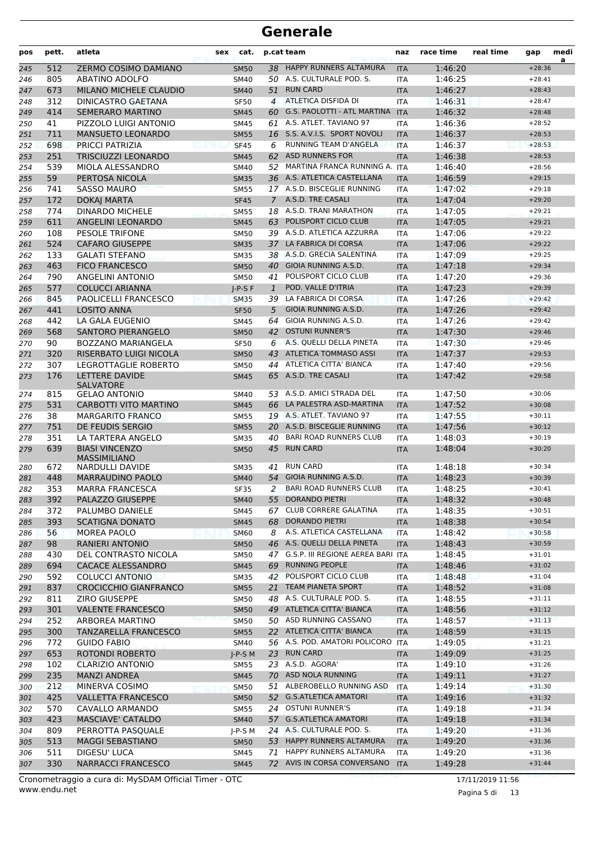| pos | pett. | atleta                                 | sex | cat.        |                | p.cat team                           | naz        | race time | real time | gap      | medi<br>a |
|-----|-------|----------------------------------------|-----|-------------|----------------|--------------------------------------|------------|-----------|-----------|----------|-----------|
| 245 | 512   | ZERMO COSIMO DAMIANO                   |     | <b>SM50</b> | 38             | HAPPY RUNNERS ALTAMURA               | <b>ITA</b> | 1:46:20   |           | $+28:36$ |           |
| 246 | 805   | ABATINO ADOLFO                         |     | SM40        |                | 50 A.S. CULTURALE POD. S.            | <b>ITA</b> | 1:46:25   |           | $+28:41$ |           |
| 247 | 673   | MILANO MICHELE CLAUDIO                 |     | <b>SM40</b> | 51             | <b>RUN CARD</b>                      | <b>ITA</b> | 1:46:27   |           | $+28:43$ |           |
| 248 | 312   | <b>DINICASTRO GAETANA</b>              |     | <b>SF50</b> | $\overline{4}$ | <b>ATLETICA DISFIDA DI</b>           | <b>ITA</b> | 1:46:31   |           | $+28:47$ |           |
| 249 | 414   | <b>SEMERARO MARTINO</b>                |     | <b>SM45</b> | 60             | G.S. PAOLOTTI - ATL MARTINA          | <b>ITA</b> | 1:46:32   |           | $+28:48$ |           |
| 250 | 41    | PIZZOLO LUIGI ANTONIO                  |     | <b>SM45</b> |                | 61 A.S. ATLET. TAVIANO 97            | <b>ITA</b> | 1:46:36   |           | $+28:52$ |           |
| 251 | 711   | MANSUETO LEONARDO                      |     | <b>SM55</b> | 16             | S.S. A.V.I.S. SPORT NOVOLI           | <b>ITA</b> | 1:46:37   |           | $+28:53$ |           |
| 252 | 698   | PRICCI PATRIZIA                        |     | <b>SF45</b> | 6              | RUNNING TEAM D'ANGELA                | <b>ITA</b> | 1:46:37   |           | $+28:53$ |           |
| 253 | 251   | <b>TRISCIUZZI LEONARDO</b>             |     | <b>SM45</b> | 62             | <b>ASD RUNNERS FOR</b>               | <b>ITA</b> | 1:46:38   |           | $+28:53$ |           |
| 254 | 539   | MIOLA ALESSANDRO                       |     | <b>SM40</b> | 52             | MARTINA FRANCA RUNNING A. ITA        |            | 1:46:40   |           | $+28:56$ |           |
| 255 | 59    | PERTOSA NICOLA                         |     | <b>SM35</b> |                | 36 A.S. ATLETICA CASTELLANA          | <b>ITA</b> | 1:46:59   |           | $+29:15$ |           |
| 256 | 741   | <b>SASSO MAURO</b>                     |     | <b>SM55</b> |                | 17 A.S.D. BISCEGLIE RUNNING          | <b>ITA</b> | 1:47:02   |           | $+29:18$ |           |
| 257 | 172   | <b>DOKAJ MARTA</b>                     |     | <b>SF45</b> | $\overline{7}$ | A.S.D. TRE CASALI                    | <b>ITA</b> | 1:47:04   |           | $+29:20$ |           |
| 258 | 774   | <b>DINARDO MICHELE</b>                 |     | <b>SM55</b> |                | 18 A.S.D. TRANI MARATHON             | ITA        | 1:47:05   |           | $+29:21$ |           |
| 259 | 611   | ANGELINI LEONARDO                      |     | <b>SM45</b> | 63             | POLISPORT CICLO CLUB                 | <b>ITA</b> | 1:47:05   |           | $+29:21$ |           |
| 260 | 108   | <b>PESOLE TRIFONE</b>                  |     | <b>SM50</b> | 39             | A.S.D. ATLETICA AZZURRA              | ITA        | 1:47:06   |           | $+29:22$ |           |
| 261 | 524   | <b>CAFARO GIUSEPPE</b>                 |     | <b>SM35</b> |                | 37 LA FABRICA DI CORSA               | <b>ITA</b> | 1:47:06   |           | $+29:22$ |           |
| 262 | 133   | <b>GALATI STEFANO</b>                  |     | <b>SM35</b> |                | 38 A.S.D. GRECIA SALENTINA           | <b>ITA</b> | 1:47:09   |           | $+29:25$ |           |
| 263 | 463   | <b>FICO FRANCESCO</b>                  |     | <b>SM50</b> | 40             | <b>GIOIA RUNNING A.S.D.</b>          | <b>ITA</b> | 1:47:18   |           | $+29:34$ |           |
| 264 | 790   | <b>ANGELINI ANTONIO</b>                |     | <b>SM50</b> |                | 41 POLISPORT CICLO CLUB              | ITA        | 1:47:20   |           | $+29:36$ |           |
| 265 | 577   | <b>COLUCCI ARIANNA</b>                 |     | $I-P-S F$   | $\mathbf{1}$   | POD. VALLE D'ITRIA                   | <b>ITA</b> | 1:47:23   |           | $+29:39$ |           |
| 266 | 845   | PAOLICELLI FRANCESCO                   |     | <b>SM35</b> | 39             | LA FABRICA DI CORSA                  | <b>ITA</b> | 1:47:26   |           | $+29:42$ |           |
| 267 | 441   | <b>LOSITO ANNA</b>                     |     | <b>SF50</b> | 5              | GIOIA RUNNING A.S.D.                 | <b>ITA</b> | 1:47:26   |           | $+29:42$ |           |
| 268 | 442   | LA GALA EUGENIO                        |     | <b>SM45</b> | 64             | GIOIA RUNNING A.S.D.                 | <b>ITA</b> | 1:47:26   |           | $+29:42$ |           |
| 269 | 568   | <b>SANTORO PIERANGELO</b>              |     | <b>SM50</b> | 42             | <b>OSTUNI RUNNER'S</b>               | <b>ITA</b> | 1:47:30   |           | $+29:46$ |           |
| 270 | 90    | <b>BOZZANO MARIANGELA</b>              |     | <b>SF50</b> |                | 6 A.S. QUELLI DELLA PINETA           | ITA        | 1:47:30   |           | $+29:46$ |           |
| 271 | 320   | RISERBATO LUIGI NICOLA                 |     | <b>SM50</b> | 43             | <b>ATLETICA TOMMASO ASSI</b>         | <b>ITA</b> | 1:47:37   |           | $+29:53$ |           |
| 272 | 307   | LEGROTTAGLIE ROBERTO                   |     | <b>SM50</b> | 44             | ATLETICA CITTA' BIANCA               | ITA        | 1:47:40   |           | $+29:56$ |           |
| 273 | 176   | LETTERE DAVIDE<br><b>SALVATORE</b>     |     | <b>SM45</b> |                | 65 A.S.D. TRE CASALI                 | <b>ITA</b> | 1:47:42   |           | $+29:58$ |           |
| 274 | 815   | <b>GELAO ANTONIO</b>                   |     | <b>SM40</b> |                | 53 A.S.D. AMICI STRADA DEL           | <b>ITA</b> | 1:47:50   |           | $+30:06$ |           |
| 275 | 531   | CARBOTTI VITO MARTINO                  |     | <b>SM45</b> | 66             | LA PALESTRA ASD-MARTINA              | <b>ITA</b> | 1:47:52   |           | $+30:08$ |           |
| 276 | 38    | <b>MARGARITO FRANCO</b>                |     | <b>SM55</b> |                | 19 A.S. ATLET. TAVIANO 97            | ITA        | 1:47:55   |           | $+30:11$ |           |
| 277 | 751   | DE FEUDIS SERGIO                       |     | <b>SM55</b> |                | 20 A.S.D. BISCEGLIE RUNNING          | <b>ITA</b> | 1:47:56   |           | $+30:12$ |           |
| 278 | 351   | LA TARTERA ANGELO                      |     | <b>SM35</b> | 40             | <b>BARI ROAD RUNNERS CLUB</b>        | <b>ITA</b> | 1:48:03   |           | $+30:19$ |           |
| 279 | 639   | <b>BIASI VINCENZO</b>                  |     | <b>SM50</b> | 45             | <b>RUN CARD</b>                      | <b>ITA</b> | 1:48:04   |           | $+30:20$ |           |
| 280 | 672   | <b>MASSIMILIANO</b><br>NARDULLI DAVIDE |     | <b>SM35</b> | 41             | <b>RUN CARD</b>                      | ITA        | 1:48:18   |           | $+30:34$ |           |
| 281 | 448   | <b>MARRAUDINO PAOLO</b>                |     | <b>SM40</b> |                | 54 GIOIA RUNNING A.S.D.              | <b>ITA</b> | 1:48:23   |           | $+30:39$ |           |
| 282 | 353   | <b>MARRA FRANCESCA</b>                 |     | <b>SF35</b> | 2              | <b>BARI ROAD RUNNERS CLUB</b>        | ITA        | 1:48:25   |           | $+30:41$ |           |
| 283 | 392   | PALAZZO GIUSEPPE                       |     | <b>SM40</b> |                | 55 DORANDO PIETRI                    | <b>ITA</b> | 1:48:32   |           | $+30:48$ |           |
| 284 | 372   | PALUMBO DANIELE                        |     | SM45        |                | 67 CLUB CORRERE GALATINA             | ITA        | 1:48:35   |           | $+30:51$ |           |
| 285 | 393   | <b>SCATIGNA DONATO</b>                 |     | <b>SM45</b> | 68             | <b>DORANDO PIETRI</b>                | <b>ITA</b> | 1:48:38   |           | $+30:54$ |           |
| 286 | 56    | MOREA PAOLO                            |     | <b>SM60</b> | 8              | A.S. ATLETICA CASTELLANA             | <b>ITA</b> | 1:48:42   |           | $+30:58$ |           |
| 287 | 98    | <b>RANIERI ANTONIO</b>                 |     | <b>SM50</b> |                | 46 A.S. QUELLI DELLA PINETA          | <b>ITA</b> | 1:48:43   |           | $+30:59$ |           |
| 288 | 430   | DEL CONTRASTO NICOLA                   |     | <b>SM50</b> |                | 47 G.S.P. III REGIONE AEREA BARI ITA |            | 1:48:45   |           | $+31:01$ |           |
| 289 | 694   | <b>CACACE ALESSANDRO</b>               |     | <b>SM45</b> | 69             | <b>RUNNING PEOPLE</b>                | <b>ITA</b> | 1:48:46   |           | $+31:02$ |           |
| 290 | 592   | <b>COLUCCI ANTONIO</b>                 |     | <b>SM35</b> |                | 42 POLISPORT CICLO CLUB              | ITA        | 1:48:48   |           | $+31:04$ |           |
| 291 | 837   | <b>CROCICCHIO GIANFRANCO</b>           |     | <b>SM55</b> | 21             | TEAM PIANETA SPORT                   | <b>ITA</b> | 1:48:52   |           | $+31:08$ |           |
| 292 | 811   | ZIRO GIUSEPPE                          |     | <b>SM50</b> | 48             | A.S. CULTURALE POD. S.               | <b>ITA</b> | 1:48:55   |           | $+31:11$ |           |
| 293 | 301   | <b>VALENTE FRANCESCO</b>               |     | <b>SM50</b> |                | 49 ATLETICA CITTA' BIANCA            | <b>ITA</b> | 1:48:56   |           | $+31:12$ |           |
| 294 | 252   | ARBOREA MARTINO                        |     | <b>SM50</b> |                | 50 ASD RUNNING CASSANO               | <b>ITA</b> | 1:48:57   |           | $+31:13$ |           |
| 295 | 300   | TANZARELLA FRANCESCO                   |     | <b>SM55</b> |                | 22 ATLETICA CITTA' BIANCA            | <b>ITA</b> | 1:48:59   |           | $+31:15$ |           |
| 296 | 772   | <b>GUIDO FABIO</b>                     |     | SM40        |                | 56 A.S. POD. AMATORI POLICORO        | <b>ITA</b> | 1:49:05   |           | $+31:21$ |           |
| 297 | 653   | ROTONDI ROBERTO                        |     | $J-P-S$ M   |                | 23 RUN CARD                          | <b>ITA</b> | 1:49:09   |           | $+31:25$ |           |
| 298 | 102   | CLARIZIO ANTONIO                       |     | <b>SM55</b> |                | 23 A.S.D. AGORA'                     | ITA        | 1:49:10   |           | $+31:26$ |           |
| 299 | 235   | <b>MANZI ANDREA</b>                    |     | <b>SM45</b> |                | 70 ASD NOLA RUNNING                  | <b>ITA</b> | 1:49:11   |           | $+31:27$ |           |
| 300 | 212   | MINERVA COSIMO                         |     | <b>SM50</b> | 51             | ALBEROBELLO RUNNING ASD              | ITA        | 1:49:14   |           | $+31:30$ |           |
| 301 | 425   | <b>VALLETTA FRANCESCO</b>              |     | <b>SM50</b> |                | 52 G.S.ATLETICA AMATORI              | <b>ITA</b> | 1:49:16   |           | $+31:32$ |           |
| 302 | 570   | CAVALLO ARMANDO                        |     | <b>SM55</b> |                | 24 OSTUNI RUNNER'S                   | ITA        | 1:49:18   |           | $+31:34$ |           |
| 303 | 423   | <b>MASCIAVE' CATALDO</b>               |     | <b>SM40</b> |                | 57 G.S.ATLETICA AMATORI              | <b>ITA</b> | 1:49:18   |           | $+31:34$ |           |
| 304 | 809   | PERROTTA PASQUALE                      |     | $J-P-S$ M   |                | 24 A.S. CULTURALE POD. S.            | ITA        | 1:49:20   |           | $+31:36$ |           |
| 305 | 513   | <b>MAGGI SEBASTIANO</b>                |     | <b>SM50</b> |                | 53 HAPPY RUNNERS ALTAMURA            | <b>ITA</b> | 1:49:20   |           | $+31:36$ |           |
| 306 | 511   | DIGESU' LUCA                           |     | SM45        | 71             | HAPPY RUNNERS ALTAMURA               | ITA        | 1:49:20   |           | $+31:36$ |           |
| 307 | 330   | <b>NARRACCI FRANCESCO</b>              |     | <b>SM45</b> |                | 72 AVIS IN CORSA CONVERSANO          | <b>ITA</b> | 1:49:28   |           | $+31:44$ |           |

Pagina 5 di 13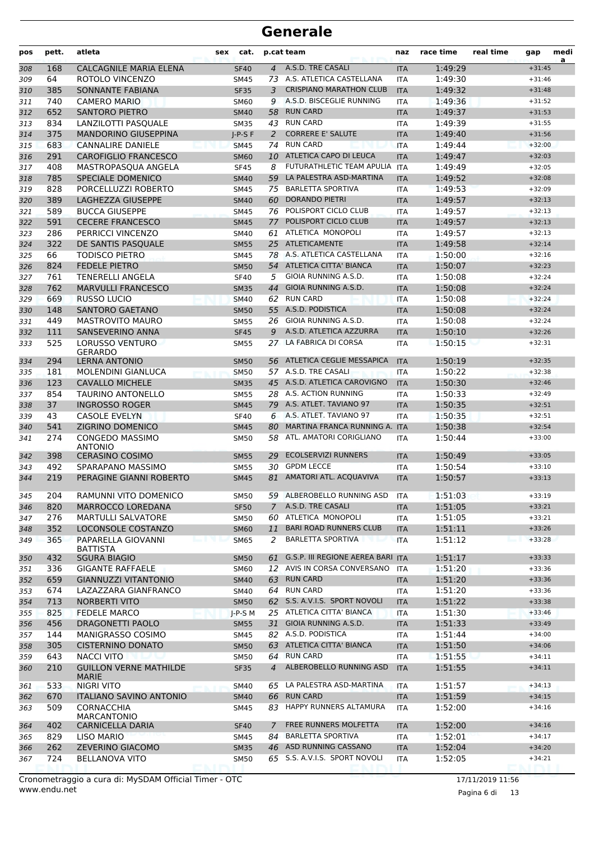| pos        | pett.      | atleta                                                 | sex | cat.                       |                | p.cat team                                           | naz               | race time          | real time | gap                  | medi<br>a |
|------------|------------|--------------------------------------------------------|-----|----------------------------|----------------|------------------------------------------------------|-------------------|--------------------|-----------|----------------------|-----------|
| 308        | 168        | CALCAGNILE MARIA ELENA                                 |     | <b>SF40</b>                | $\overline{4}$ | A.S.D. TRE CASALI                                    | <b>ITA</b>        | 1:49:29            |           | $+31:45$             |           |
| 309        | 64         | ROTOLO VINCENZO                                        |     | <b>SM45</b>                |                | 73 A.S. ATLETICA CASTELLANA                          | <b>ITA</b>        | 1:49:30            |           | $+31:46$             |           |
| 310        | 385        | SONNANTE FABIANA                                       |     | <b>SF35</b>                | 3              | <b>CRISPIANO MARATHON CLUB</b>                       | <b>ITA</b>        | 1:49:32            |           | $+31:48$             |           |
| 311        | 740        | <b>CAMERO MARIO</b>                                    |     | <b>SM60</b>                | 9              | A.S.D. BISCEGLIE RUNNING                             | <b>ITA</b>        | 1:49:36            |           | $+31:52$             |           |
| 312        | 652        | <b>SANTORO PIETRO</b>                                  |     | <b>SM40</b>                | 58             | <b>RUN CARD</b>                                      | <b>ITA</b>        | 1:49:37            |           | $+31:53$             |           |
| 313        | 834        | LANZILOTTI PASQUALE                                    |     | <b>SM35</b>                |                | 43 RUN CARD                                          | <b>ITA</b>        | 1:49:39            |           | $+31:55$             |           |
| 314        | 375        | <b>MANDORINO GIUSEPPINA</b>                            |     | $I-P-S F$                  | 2              | <b>CORRERE E' SALUTE</b>                             | <b>ITA</b>        | 1:49:40            |           | $+31:56$             |           |
| 315        | 683        | <b>CANNALIRE DANIELE</b>                               |     | <b>SM45</b>                | 74             | <b>RUN CARD</b>                                      | <b>ITA</b>        | 1:49:44            |           | $+32:00$             |           |
| 316        | 291        | <b>CAROFIGLIO FRANCESCO</b>                            |     | <b>SM60</b>                |                | 10 ATLETICA CAPO DI LEUCA                            | <b>ITA</b>        | 1:49:47            |           | $+32:03$             |           |
| 317        | 408        | MASTROPASQUA ANGELA                                    |     | <b>SF45</b>                | 8              | FUTURATHLETIC TEAM APULIA<br>LA PALESTRA ASD-MARTINA | <b>ITA</b>        | 1:49:49            |           | $+32:05$             |           |
| 318        | 785        | SPECIALE DOMENICO                                      |     | <b>SM40</b>                | 59             | <b>BARLETTA SPORTIVA</b>                             | <b>ITA</b>        | 1:49:52            |           | $+32:08$<br>$+32:09$ |           |
| 319        | 828<br>389 | PORCELLUZZI ROBERTO<br>LAGHEZZA GIUSEPPE               |     | <b>SM45</b>                | 75<br>60       | <b>DORANDO PIETRI</b>                                | <b>ITA</b>        | 1:49:53<br>1:49:57 |           | $+32:13$             |           |
| 320<br>321 | 589        | <b>BUCCA GIUSEPPE</b>                                  |     | <b>SM40</b><br><b>SM45</b> |                | 76 POLISPORT CICLO CLUB                              | <b>ITA</b><br>ITA | 1:49:57            |           | $+32:13$             |           |
| 322        | 591        | <b>CECERE FRANCESCO</b>                                |     | <b>SM45</b>                | 77             | POLISPORT CICLO CLUB                                 | <b>ITA</b>        | 1:49:57            |           | $+32:13$             |           |
| 323        | 286        | PERRICCI VINCENZO                                      |     | SM40                       | 61             | ATLETICA MONOPOLI                                    | <b>ITA</b>        | 1:49:57            |           | $+32:13$             |           |
| 324        | 322        | DE SANTIS PASQUALE                                     |     | <b>SM55</b>                |                | 25 ATLETICAMENTE                                     | <b>ITA</b>        | 1:49:58            |           | $+32:14$             |           |
| 325        | 66         | <b>TODISCO PIETRO</b>                                  |     | <b>SM45</b>                |                | 78 A.S. ATLETICA CASTELLANA                          | <b>ITA</b>        | 1:50:00            |           | $+32:16$             |           |
| 326        | 824        | <b>FEDELE PIETRO</b>                                   |     | <b>SM50</b>                |                | 54 ATLETICA CITTA' BIANCA                            | <b>ITA</b>        | 1:50:07            |           | $+32:23$             |           |
| 327        | 761        | <b>TENERELLI ANGELA</b>                                |     | <b>SF40</b>                | 5              | GIOIA RUNNING A.S.D.                                 | ITA               | 1:50:08            |           | $+32:24$             |           |
| 328        | 762        | <b>MARVULLI FRANCESCO</b>                              |     | <b>SM35</b>                | 44             | GIOIA RUNNING A.S.D.                                 | <b>ITA</b>        | 1:50:08            |           | $+32:24$             |           |
| 329        | 669        | <b>RUSSO LUCIO</b>                                     |     | <b>SM40</b>                | 62             | <b>RUN CARD</b>                                      | <b>ITA</b>        | 1:50:08            |           | $+32:24$             |           |
| 330        | 148        | <b>SANTORO GAETANO</b>                                 |     | <b>SM50</b>                |                | 55 A.S.D. PODISTICA                                  | <b>ITA</b>        | 1:50:08            |           | $+32:24$             |           |
| 331        | 449        | <b>MASTROVITO MAURO</b>                                |     | <b>SM55</b>                | 26             | GIOIA RUNNING A.S.D.                                 | <b>ITA</b>        | 1:50:08            |           | $+32:24$             |           |
| 332        | 111        | SANSEVERINO ANNA                                       |     | <b>SF45</b>                | 9              | A.S.D. ATLETICA AZZURRA                              | <b>ITA</b>        | 1:50:10            |           | $+32:26$             |           |
| 333        | 525        | LORUSSO VENTURO                                        |     | <b>SM55</b>                | 27             | LA FABRICA DI CORSA                                  | ITA               | 1:50:15            |           | $+32:31$             |           |
|            |            | <b>GERARDO</b>                                         |     |                            |                |                                                      |                   |                    |           |                      |           |
| 334        | 294        | <b>LERNA ANTONIO</b>                                   |     | <b>SM50</b>                |                | 56 ATLETICA CEGLIE MESSAPICA                         | <b>ITA</b>        | 1:50:19            |           | $+32:35$             |           |
| 335        | 181        | <b>MOLENDINI GIANLUCA</b>                              |     | <b>SM50</b>                |                | 57 A.S.D. TRE CASALI                                 | <b>ITA</b>        | 1:50:22            |           | $+32:38$             |           |
| 336        | 123        | <b>CAVALLO MICHELE</b>                                 |     | <b>SM35</b>                |                | 45 A.S.D. ATLETICA CAROVIGNO                         | <b>ITA</b>        | 1:50:30            |           | $+32:46$             |           |
| 337        | 854        | <b>TAURINO ANTONELLO</b>                               |     | <b>SM55</b>                |                | 28 A.S. ACTION RUNNING                               | <b>ITA</b>        | 1:50:33            |           | $+32:49$             |           |
| 338        | 37         | <b>INGROSSO ROGER</b>                                  |     | <b>SM45</b>                |                | 79 A.S. ATLET. TAVIANO 97<br>A.S. ATLET. TAVIANO 97  | <b>ITA</b>        | 1:50:35            |           | $+32:51$             |           |
| 339        | 43<br>541  | CASOLE EVELYN<br>ZIGRINO DOMENICO                      |     | <b>SF40</b>                | 6<br>80        | MARTINA FRANCA RUNNING A. ITA                        | <b>ITA</b>        | 1:50:35<br>1:50:38 |           | $+32:51$<br>$+32:54$ |           |
| 340<br>341 | 274        | <b>CONGEDO MASSIMO</b>                                 |     | <b>SM45</b><br>SM50        | 58             | ATL. AMATORI CORIGLIANO                              | <b>ITA</b>        | 1:50:44            |           | $+33:00$             |           |
|            |            | <b>ANTONIO</b>                                         |     |                            |                |                                                      |                   |                    |           |                      |           |
| 342        | 398        | <b>CERASINO COSIMO</b>                                 |     | <b>SM55</b>                | 29             | <b>ECOLSERVIZI RUNNERS</b>                           | <b>ITA</b>        | 1:50:49            |           | $+33:05$             |           |
| 343        | 492        | SPARAPANO MASSIMO                                      |     | <b>SM55</b>                | 30             | <b>GPDM LECCE</b>                                    | <b>ITA</b>        | 1:50:54            |           | $+33:10$             |           |
| 344        | 219        | PERAGINE GIANNI ROBERTO                                |     | <b>SM45</b>                | 81             | AMATORI ATL. ACQUAVIVA                               | <b>ITA</b>        | 1:50:57            |           | $+33:13$             |           |
| 345        | 204        | RAMUNNI VITO DOMENICO                                  |     | <b>SM50</b>                |                | 59 ALBEROBELLO RUNNING ASD                           | ITA               | 1:51:03            |           | $+33:19$             |           |
| 346        | 820        | MARROCCO LOREDANA                                      |     | <b>SF50</b>                | $7^{\circ}$    | A.S.D. TRE CASALI                                    | <b>ITA</b>        | 1:51:05            |           | $+33:21$             |           |
| 347        | 276        | <b>MARTULLI SALVATORE</b>                              |     | <b>SM50</b>                | 60             | ATLETICA MONOPOLI                                    | <b>ITA</b>        | 1:51:05            |           | $+33:21$             |           |
| 348        | 352        | LOCONSOLE COSTANZO                                     |     | <b>SM60</b>                | 11             | <b>BARI ROAD RUNNERS CLUB</b>                        | <b>ITA</b>        | 1:51:11            |           | $+33:26$             |           |
| 349        | 365        | PAPARELLA GIOVANNI                                     |     | <b>SM65</b>                | 2              | <b>BARLETTA SPORTIVA</b>                             | <b>ITA</b>        | 1:51:12            |           | $+33:28$             |           |
|            |            | <b>BATTISTA</b>                                        |     |                            |                | G.S.P. III REGIONE AEREA BARI                        |                   |                    |           |                      |           |
| 350        | 432        | <b>SGURA BIAGIO</b>                                    |     | <b>SM50</b>                | 61             | AVIS IN CORSA CONVERSANO                             | <b>ITA</b>        | 1:51:17            |           | $+33:33$             |           |
| 351        | 336<br>659 | <b>GIGANTE RAFFAELE</b><br><b>GIANNUZZI VITANTONIO</b> |     | <b>SM60</b>                | 12<br>63       | <b>RUN CARD</b>                                      | ITA               | 1:51:20<br>1:51:20 |           | $+33:36$<br>$+33:36$ |           |
| 352<br>353 | 674        | LAZAZZARA GIANFRANCO                                   |     | <b>SM40</b><br>SM40        | 64             | <b>RUN CARD</b>                                      | <b>ITA</b><br>ITA | 1:51:20            |           | $+33:36$             |           |
| 354        | 713        | <b>NORBERTI VITO</b>                                   |     | <b>SM50</b>                |                | 62 S.S. A.V.I.S. SPORT NOVOLI                        | <b>ITA</b>        | 1:51:22            |           | $+33:38$             |           |
| 355        | 825        | <b>FEDELE MARCO</b>                                    |     | $J-P-S$ M                  |                | 25 ATLETICA CITTA' BIANCA                            | <b>ITA</b>        | 1:51:30            |           | $+33:46$             |           |
| 356        | 456        | DRAGONETTI PAOLO                                       |     | <b>SM55</b>                |                | 31 GIOIA RUNNING A.S.D.                              | <b>ITA</b>        | 1:51:33            |           | $+33:49$             |           |
| 357        | 144        | MANIGRASSO COSIMO                                      |     | SM45                       |                | 82 A.S.D. PODISTICA                                  | <b>ITA</b>        | 1:51:44            |           | $+34:00$             |           |
| 358        | 305        | <b>CISTERNINO DONATO</b>                               |     | <b>SM50</b>                |                | 63 ATLETICA CITTA' BIANCA                            | <b>ITA</b>        | 1:51:50            |           | $+34:06$             |           |
| 359        | 643        | <b>NACCI VITO</b>                                      |     | <b>SM50</b>                | 64             | <b>RUN CARD</b>                                      | ITA               | 1:51:55            |           | $+34:11$             |           |
| 360        | 210        | <b>GUILLON VERNE MATHILDE</b>                          |     | <b>SF35</b>                | $\overline{4}$ | ALBEROBELLO RUNNING ASD                              | <b>ITA</b>        | 1:51:55            |           | $+34:11$             |           |
|            |            | <b>MARIE</b>                                           |     |                            |                |                                                      |                   |                    |           |                      |           |
| 361        | 533        | <b>NIGRI VITO</b>                                      |     | <b>SM40</b>                |                | 65 LA PALESTRA ASD-MARTINA                           | ITA               | 1:51:57            |           | $+34:13$             |           |
| 362        | 670        | <b>ITALIANO SAVINO ANTONIO</b>                         |     | <b>SM40</b>                |                | 66 RUN CARD                                          | <b>ITA</b>        | 1:51:59            |           | $+34:15$             |           |
| 363        | 509        | <b>CORNACCHIA</b><br><b>MARCANTONIO</b>                |     | SM45                       |                | 83 HAPPY RUNNERS ALTAMURA                            | ITA               | 1:52:00            |           | $+34:16$             |           |
| 364        | 402        | <b>CARNICELLA DARIA</b>                                |     | <b>SF40</b>                | $\overline{7}$ | FREE RUNNERS MOLFETTA                                | <b>ITA</b>        | 1:52:00            |           | $+34:16$             |           |
| 365        | 829        | LISO MARIO                                             |     | SM45                       | 84             | <b>BARLETTA SPORTIVA</b>                             | ITA               | 1:52:01            |           | $+34:17$             |           |
| 366        | 262        | <b>ZEVERINO GIACOMO</b>                                |     | <b>SM35</b>                |                | 46 ASD RUNNING CASSANO                               | <b>ITA</b>        | 1:52:04            |           | $+34:20$             |           |
| 367        | 724        | <b>BELLANOVA VITO</b>                                  |     | <b>SM50</b>                |                | 65 S.S. A.V.I.S. SPORT NOVOLI                        | ITA               | 1:52:05            |           | $+34:21$             |           |
|            |            |                                                        |     |                            |                |                                                      |                   |                    |           |                      |           |

www.endu.net Cronometraggio a cura di: MySDAM Official Timer - OTC 17/11/2019 11:56

Pagina 6 di 13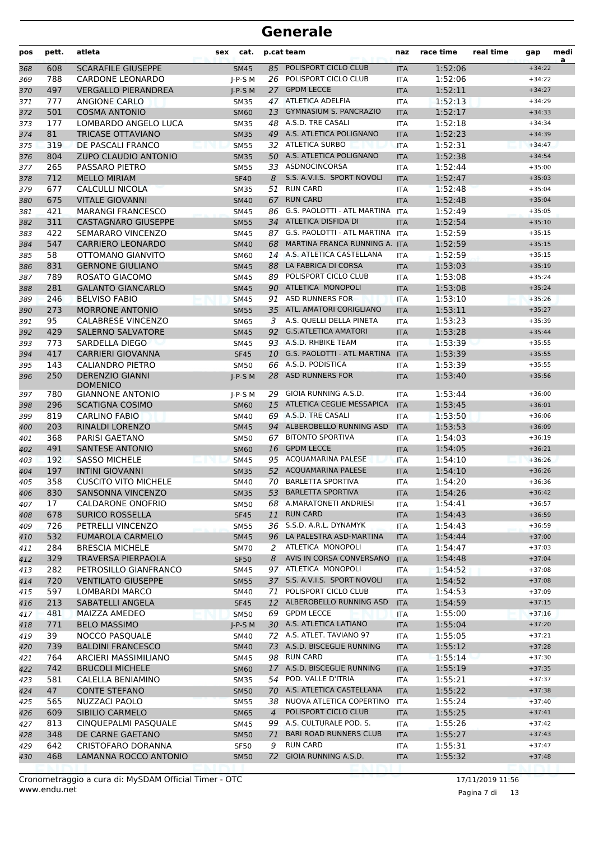| pos | pett. | atleta                                     | sex | cat.        |     | p.cat team                     | naz        | race time | real time | gap      | medi<br>a |
|-----|-------|--------------------------------------------|-----|-------------|-----|--------------------------------|------------|-----------|-----------|----------|-----------|
| 368 | 608   | <b>SCARAFILE GIUSEPPE</b>                  |     | <b>SM45</b> |     | 85 POLISPORT CICLO CLUB        | <b>ITA</b> | 1:52:06   |           | $+34:22$ |           |
| 369 | 788   | <b>CARDONE LEONARDO</b>                    |     | $J-P-S$ M   |     | 26 POLISPORT CICLO CLUB        | <b>ITA</b> | 1:52:06   |           | $+34:22$ |           |
| 370 | 497   | <b>VERGALLO PIERANDREA</b>                 |     | $I-P-S$ M   |     | 27 GPDM LECCE                  | <b>ITA</b> | 1:52:11   |           | $+34:27$ |           |
| 371 | 777   | <b>ANGIONE CARLO</b>                       |     | <b>SM35</b> |     | 47 ATLETICA ADELFIA            | <b>ITA</b> | 1:52:13   |           | $+34:29$ |           |
| 372 | 501   | <b>COSMA ANTONIO</b>                       |     | <b>SM60</b> |     | 13 GYMNASIUM S. PANCRAZIO      | <b>ITA</b> | 1:52:17   |           | $+34:33$ |           |
| 373 | 177   | LOMBARDO ANGELO LUCA                       |     | <b>SM35</b> |     | 48 A.S.D. TRE CASALI           | <b>ITA</b> | 1:52:18   |           | $+34:34$ |           |
| 374 | 81    | <b>TRICASE OTTAVIANO</b>                   |     | <b>SM35</b> |     | 49 A.S. ATLETICA POLIGNANO     | <b>ITA</b> | 1:52:23   |           | $+34:39$ |           |
| 375 | 319   | DE PASCALI FRANCO                          |     | <b>SM55</b> |     | 32 ATLETICA SURBO              | <b>ITA</b> | 1:52:31   |           | $+34:47$ |           |
| 376 | 804   | <b>ZUPO CLAUDIO ANTONIO</b>                |     | <b>SM35</b> |     | 50 A.S. ATLETICA POLIGNANO     | <b>ITA</b> | 1:52:38   |           | $+34:54$ |           |
| 377 | 265   | PASSARO PIETRO                             |     | <b>SM55</b> | 33  | <b>ASDNOCINCORSA</b>           | ITA        | 1:52:44   |           | $+35:00$ |           |
| 378 | 712   | <b>MELLO MIRIAM</b>                        |     | <b>SF40</b> | 8   | S.S. A.V.I.S. SPORT NOVOLI     | <b>ITA</b> | 1:52:47   |           | $+35:03$ |           |
| 379 | 677   | CALCULLI NICOLA                            |     | <b>SM35</b> | 51  | <b>RUN CARD</b>                | <b>ITA</b> | 1:52:48   |           | $+35:04$ |           |
| 380 | 675   | <b>VITALE GIOVANNI</b>                     |     | <b>SM40</b> | 67  | <b>RUN CARD</b>                | <b>ITA</b> | 1:52:48   |           | $+35:04$ |           |
| 381 | 421   | <b>MARANGI FRANCESCO</b>                   |     | <b>SM45</b> |     | 86 G.S. PAOLOTTI - ATL MARTINA | <b>ITA</b> | 1:52:49   |           | $+35:05$ |           |
| 382 | 311   | <b>CASTAGNARO GIUSEPPE</b>                 |     | <b>SM55</b> |     | 34 ATLETICA DISFIDA DI         | <b>ITA</b> | 1:52:54   |           | $+35:10$ |           |
| 383 | 422   | SEMARARO VINCENZO                          |     | SM45        | 87  | G.S. PAOLOTTI - ATL MARTINA    | <b>ITA</b> | 1:52:59   |           | $+35:15$ |           |
| 384 | 547   | <b>CARRIERO LEONARDO</b>                   |     | <b>SM40</b> | 68  | MARTINA FRANCA RUNNING A. ITA  |            | 1:52:59   |           | $+35:15$ |           |
| 385 | 58    | OTTOMANO GIANVITO                          |     | SM60        |     | 14 A.S. ATLETICA CASTELLANA    | <b>ITA</b> | 1:52:59   |           | $+35:15$ |           |
| 386 | 831   | <b>GERNONE GIULIANO</b>                    |     | <b>SM45</b> | 88  | LA FABRICA DI CORSA            | <b>ITA</b> | 1:53:03   |           | $+35:19$ |           |
| 387 | 789   | ROSATO GIACOMO                             |     | <b>SM45</b> |     | 89 POLISPORT CICLO CLUB        | <b>ITA</b> | 1:53:08   |           | $+35:24$ |           |
| 388 | 281   | <b>GALANTO GIANCARLO</b>                   |     | <b>SM45</b> |     | 90 ATLETICA MONOPOLI           | <b>ITA</b> | 1:53:08   |           | $+35:24$ |           |
| 389 | 246   | <b>BELVISO FABIO</b>                       |     | <b>SM45</b> | 91  | <b>ASD RUNNERS FOR</b>         | <b>ITA</b> | 1:53:10   |           | $+35:26$ |           |
| 390 | 273   | <b>MORRONE ANTONIO</b>                     |     | <b>SM55</b> |     | 35 ATL. AMATORI CORIGLIANO     | <b>ITA</b> | 1:53:11   |           | $+35:27$ |           |
| 391 | 95    | <b>CALABRESE VINCENZO</b>                  |     | <b>SM65</b> | 3   | A.S. QUELLI DELLA PINETA       | <b>ITA</b> | 1:53:23   |           | $+35:39$ |           |
| 392 | 429   | <b>SALERNO SALVATORE</b>                   |     | <b>SM45</b> |     | 92 G.S.ATLETICA AMATORI        | <b>ITA</b> | 1:53:28   |           | $+35:44$ |           |
| 393 | 773   | SARDELLA DIEGO                             |     | SM45        |     | 93 A.S.D. RHBIKE TEAM          | <b>ITA</b> | 1:53:39   |           | $+35:55$ |           |
| 394 | 417   | <b>CARRIERI GIOVANNA</b>                   |     | <b>SF45</b> |     | 10 G.S. PAOLOTTI - ATL MARTINA | <b>ITA</b> | 1:53:39   |           | $+35:55$ |           |
| 395 | 143   | <b>CALIANDRO PIETRO</b>                    |     | <b>SM50</b> | 66  | A.S.D. PODISTICA               | ITA        | 1:53:39   |           | $+35:55$ |           |
| 396 | 250   | <b>DERENZIO GIANNI</b>                     |     | $J-P-S$ M   |     | 28 ASD RUNNERS FOR             | <b>ITA</b> | 1:53:40   |           | $+35:56$ |           |
| 397 | 780   | <b>DOMENICO</b><br><b>GIANNONE ANTONIO</b> |     | $J-P-S$ M   | 29. | GIOIA RUNNING A.S.D.           | <b>ITA</b> | 1:53:44   |           | $+36:00$ |           |
| 398 | 296   | <b>SCATIGNA COSIMO</b>                     |     | <b>SM60</b> |     | 15 ATLETICA CEGLIE MESSAPICA   | <b>ITA</b> | 1:53:45   |           | $+36:01$ |           |
| 399 | 819   | <b>CARLINO FABIO</b>                       |     | <b>SM40</b> |     | 69 A.S.D. TRE CASALI           | ITA        | 1:53:50   |           | $+36:06$ |           |
| 400 | 203   | RINALDI LORENZO                            |     | <b>SM45</b> |     | 94 ALBEROBELLO RUNNING ASD     | <b>ITA</b> | 1:53:53   |           | $+36:09$ |           |
| 401 | 368   | <b>PARISI GAETANO</b>                      |     | <b>SM50</b> |     | 67 BITONTO SPORTIVA            | <b>ITA</b> | 1:54:03   |           | $+36:19$ |           |
| 402 | 491   | <b>SANTESE ANTONIO</b>                     |     | <b>SM60</b> | 16  | <b>GPDM LECCE</b>              | <b>ITA</b> | 1:54:05   |           | $+36:21$ |           |
| 403 | 192   | <b>SASSO MICHELE</b>                       |     | <b>SM45</b> |     | 95 ACQUAMARINA PALESE          | <b>ITA</b> | 1:54:10   |           | $+36:26$ |           |
| 404 | 197   | <b>INTINI GIOVANNI</b>                     |     | <b>SM35</b> |     | 52 ACQUAMARINA PALESE          | <b>ITA</b> | 1:54:10   |           | $+36:26$ |           |
| 405 | 358   | <b>CUSCITO VITO MICHELE</b>                |     | SM40        |     | 70 BARLETTA SPORTIVA           | <b>ITA</b> | 1:54:20   |           | $+36:36$ |           |
| 406 | 830   | SANSONNA VINCENZO                          |     | <b>SM35</b> |     | 53 BARLETTA SPORTIVA           | <b>ITA</b> | 1:54:26   |           | $+36:42$ |           |
| 407 | 17    | CALDARONE ONOFRIO                          |     | SM50        |     | 68 A.MARATONETI ANDRIESI       | ITA.       | 1:54:41   |           | $+36:57$ |           |
| 408 | 678   | <b>SURICO ROSSELLA</b>                     |     | <b>SF45</b> | 11  | <b>RUN CARD</b>                | <b>ITA</b> | 1:54:43   |           | $+36:59$ |           |
| 409 | 726   | PETRELLI VINCENZO                          |     | <b>SM55</b> |     | 36 S.S.D. A.R.L. DYNAMYK       | ITA        | 1:54:43   |           | $+36:59$ |           |
| 410 | 532   | <b>FUMAROLA CARMELO</b>                    |     | <b>SM45</b> |     | 96 LA PALESTRA ASD-MARTINA     | <b>ITA</b> | 1:54:44   |           | $+37:00$ |           |
| 411 | 284   | <b>BRESCIA MICHELE</b>                     |     | <b>SM70</b> | 2   | ATLETICA MONOPOLI              | ITA        | 1:54:47   |           | $+37:03$ |           |
| 412 | 329   | <b>TRAVERSA PIERPAOLA</b>                  |     | <b>SF50</b> | 8   | AVIS IN CORSA CONVERSANO       | <b>ITA</b> | 1:54:48   |           | $+37:04$ |           |
| 413 | 282   | PETROSILLO GIANFRANCO                      |     | SM45        |     | 97 ATLETICA MONOPOLI           | ITA        | 1:54:52   |           | $+37:08$ |           |
| 414 | 720   | <b>VENTILATO GIUSEPPE</b>                  |     | <b>SM55</b> |     | 37 S.S. A.V.I.S. SPORT NOVOLI  | <b>ITA</b> | 1:54:52   |           | $+37:08$ |           |
| 415 | 597   | LOMBARDI MARCO                             |     | SM40        |     | 71 POLISPORT CICLO CLUB        | ITA        | 1:54:53   |           | $+37:09$ |           |
| 416 | 213   | SABATELLI ANGELA                           |     | <b>SF45</b> |     | 12 ALBEROBELLO RUNNING ASD     | <b>ITA</b> | 1:54:59   |           | $+37:15$ |           |
| 417 | 481   | MAIZZA AMEDEO                              |     | <b>SM50</b> |     | 69 GPDM LECCE                  | ITA        | 1:55:00   |           | $+37:16$ |           |
| 418 | 771   | <b>BELO MASSIMO</b>                        |     | $J-P-S$ M   |     | 30 A.S. ATLETICA LATIANO       | <b>ITA</b> | 1:55:04   |           | $+37:20$ |           |
| 419 | 39    | NOCCO PASQUALE                             |     | SM40        |     | 72 A.S. ATLET. TAVIANO 97      | ITA        | 1:55:05   |           | $+37:21$ |           |
| 420 | 739   | <b>BALDINI FRANCESCO</b>                   |     | SM40        |     | 73 A.S.D. BISCEGLIE RUNNING    | <b>ITA</b> | 1:55:12   |           | $+37:28$ |           |
| 421 | 764   | ARCIERI MASSIMILIANO                       |     | SM45        |     | 98 RUN CARD                    | ITA        | 1:55:14   |           | $+37:30$ |           |
| 422 | 742   | <b>BRUCOLI MICHELE</b>                     |     | <b>SM60</b> |     | 17 A.S.D. BISCEGLIE RUNNING    | <b>ITA</b> | 1:55:19   |           | $+37:35$ |           |
| 423 | 581   | CALELLA BENIAMINO                          |     | <b>SM35</b> |     | 54 POD. VALLE D'ITRIA          | ITA        | 1:55:21   |           | $+37:37$ |           |
| 424 | 47    | <b>CONTE STEFANO</b>                       |     | <b>SM50</b> |     | 70 A.S. ATLETICA CASTELLANA    | <b>ITA</b> | 1:55:22   |           | $+37:38$ |           |
| 425 | 565   | NUZZACI PAOLO                              |     | <b>SM55</b> |     | 38 NUOVA ATLETICA COPERTINO    | <b>ITA</b> | 1:55:24   |           | $+37:40$ |           |
| 426 | 609   | SIBILIO CARMELO                            |     | <b>SM65</b> | 4   | POLISPORT CICLO CLUB           | <b>ITA</b> | 1:55:25   |           | $+37:41$ |           |
| 427 | 813   | CINQUEPALMI PASQUALE                       |     | SM45        |     | 99 A.S. CULTURALE POD. S.      | ITA        | 1:55:26   |           | $+37:42$ |           |
| 428 | 348   | DE CARNE GAETANO                           |     | <b>SM50</b> | 71  | <b>BARI ROAD RUNNERS CLUB</b>  | <b>ITA</b> | 1:55:27   |           | $+37:43$ |           |
| 429 | 642   | CRISTOFARO DORANNA                         |     | SF50        | 9   | <b>RUN CARD</b>                | ITA        | 1:55:31   |           | $+37:47$ |           |
| 430 | 468   | LAMANNA ROCCO ANTONIO                      |     | <b>SM50</b> |     | 72 GIOIA RUNNING A.S.D.        | <b>ITA</b> | 1:55:32   |           | $+37:48$ |           |
|     |       |                                            |     |             |     |                                |            |           |           |          |           |

Pagina 7 di 13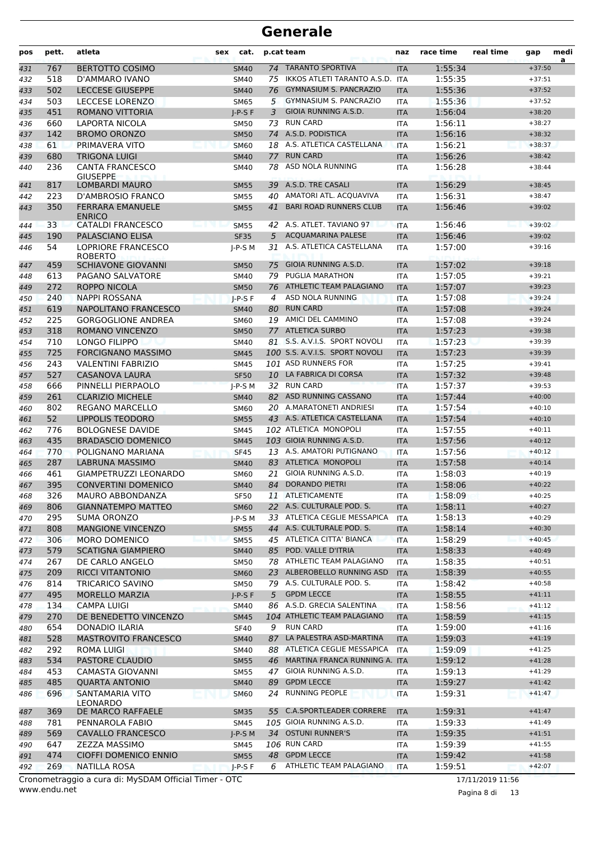| pos        | pett.      | atleta                                       | sex | cat.                       |    | p.cat team                                             | naz                      | race time          | real time | gap                  | medi<br>a |
|------------|------------|----------------------------------------------|-----|----------------------------|----|--------------------------------------------------------|--------------------------|--------------------|-----------|----------------------|-----------|
| 431        | 767        | <b>BERTOTTO COSIMO</b>                       |     | <b>SM40</b>                | 74 | <b>TARANTO SPORTIVA</b>                                | <b>ITA</b>               | 1:55:34            |           | $+37:50$             |           |
| 432        | 518        | D'AMMARO IVANO                               |     | <b>SM40</b>                | 75 | IKKOS ATLETI TARANTO A.S.D.                            | <b>ITA</b>               | 1:55:35            |           | $+37:51$             |           |
| 433        | 502        | <b>LECCESE GIUSEPPE</b>                      |     | <b>SM40</b>                | 76 | <b>GYMNASIUM S. PANCRAZIO</b>                          | <b>ITA</b>               | 1:55:36            |           | $+37:52$             |           |
| 434        | 503        | <b>LECCESE LORENZO</b>                       |     | <b>SM65</b>                | 5  | GYMNASIUM S. PANCRAZIO                                 | <b>ITA</b>               | 1:55:36            |           | $+37:52$             |           |
| 435        | 451        | <b>ROMANO VITTORIA</b>                       |     | $I-P-S F$                  | 3  | GIOIA RUNNING A.S.D.                                   | <b>ITA</b>               | 1:56:04            |           | $+38:20$             |           |
| 436        | 660        | LAPORTA NICOLA                               |     | <b>SM50</b>                | 73 | <b>RUN CARD</b>                                        | <b>ITA</b>               | 1:56:11            |           | $+38:27$             |           |
| 437        | 142        | <b>BROMO ORONZO</b>                          |     | <b>SM50</b>                | 74 | A.S.D. PODISTICA                                       | <b>ITA</b>               | 1:56:16            |           | $+38:32$             |           |
| 438        | 61         | PRIMAVERA VITO                               |     | <b>SM60</b>                |    | 18 A.S. ATLETICA CASTELLANA                            | <b>ITA</b>               | 1:56:21            |           | $+38:37$             |           |
| 439        | 680        | <b>TRIGONA LUIGI</b>                         |     | <b>SM40</b>                | 77 | <b>RUN CARD</b>                                        | <b>ITA</b>               | 1:56:26            |           | $+38:42$             |           |
| 440        | 236        | <b>CANTA FRANCESCO</b><br><b>GIUSEPPE</b>    |     | <b>SM40</b>                | 78 | ASD NOLA RUNNING                                       | <b>ITA</b>               | 1:56:28            |           | $+38:44$             |           |
| 441        | 817        | <b>LOMBARDI MAURO</b>                        |     | <b>SM55</b>                |    | 39 A.S.D. TRE CASALI                                   | <b>ITA</b>               | 1:56:29            |           | $+38:45$             |           |
| 442        | 223        | D'AMBROSIO FRANCO                            |     | <b>SM55</b>                | 40 | AMATORI ATL. ACQUAVIVA                                 | <b>ITA</b>               | 1:56:31            |           | $+38:47$             |           |
| 443        | 350        | <b>FERRARA EMANUELE</b><br><b>ENRICO</b>     |     | <b>SM55</b>                | 41 | <b>BARI ROAD RUNNERS CLUB</b>                          | <b>ITA</b>               | 1:56:46            |           | $+39:02$             |           |
| 444        | 33         | <b>CATALDI FRANCESCO</b>                     |     | <b>SM55</b>                |    | 42 A.S. ATLET. TAVIANO 97                              | <b>ITA</b>               | 1:56:46            |           | $+39:02$             |           |
| 445        | 190        | PALASCIANO ELISA                             |     | <b>SF35</b>                | 5  | <b>ACQUAMARINA PALESE</b>                              | <b>ITA</b>               | 1:56:46            |           | $+39:02$             |           |
| 446        | 54         | <b>LOPRIORE FRANCESCO</b><br><b>ROBERTO</b>  |     | $I-P-S$ M                  | 31 | A.S. ATLETICA CASTELLANA                               | <b>ITA</b>               | 1:57:00            |           | $+39:16$             |           |
| 447        | 459        | <b>SCHIAVONE GIOVANNI</b>                    |     | <b>SM50</b>                | 75 | GIOIA RUNNING A.S.D.                                   | <b>ITA</b>               | 1:57:02            |           | $+39:18$             |           |
| 448        | 613        | PAGANO SALVATORE                             |     | <b>SM40</b>                | 79 | <b>PUGLIA MARATHON</b>                                 | <b>ITA</b>               | 1:57:05            |           | $+39:21$             |           |
| 449        | 272        | <b>ROPPO NICOLA</b>                          |     | <b>SM50</b>                |    | 76 ATHLETIC TEAM PALAGIANO                             | <b>ITA</b>               | 1:57:07            |           | $+39:23$             |           |
| 450        | 240        | NAPPI ROSSANA                                |     | $I-P-S F$                  | 4  | <b>ASD NOLA RUNNING</b>                                | <b>ITA</b>               | 1:57:08            |           | $+39:24$             |           |
| 451        | 619        | NAPOLITANO FRANCESCO                         |     | <b>SM40</b>                | 80 | <b>RUN CARD</b>                                        | <b>ITA</b>               | 1:57:08            |           | $+39:24$             |           |
| 452        | 225        | <b>GORGOGLIONE ANDREA</b>                    |     | <b>SM60</b>                | 19 | AMICI DEL CAMMINO                                      | <b>ITA</b>               | 1:57:08            |           | $+39:24$             |           |
| 453        | 318        | ROMANO VINCENZO                              |     | <b>SM50</b>                |    | 77 ATLETICA SURBO                                      | <b>ITA</b>               | 1:57:23            |           | $+39:38$             |           |
| 454        | 710        | LONGO FILIPPO                                |     | <b>SM40</b>                |    | 81 S.S. A.V.I.S. SPORT NOVOLI                          | <b>ITA</b>               | 1:57:23            |           | $+39:39$             |           |
| 455        | 725        | <b>FORCIGNANO MASSIMO</b>                    |     | <b>SM45</b>                |    | 100 S.S. A.V.I.S. SPORT NOVOLI                         | <b>ITA</b>               | 1:57:23            |           | $+39:39$             |           |
| 456        | 243        | <b>VALENTINI FABRIZIO</b>                    |     | <b>SM45</b>                |    | 101 ASD RUNNERS FOR                                    | <b>ITA</b>               | 1:57:25            |           | $+39:41$             |           |
| 457        | 527        | <b>CASANOVA LAURA</b>                        |     | <b>SF50</b>                |    | 10 LA FABRICA DI CORSA                                 | <b>ITA</b>               | 1:57:32            |           | $+39:48$             |           |
| 458        | 666        | PINNELLI PIERPAOLO                           |     | $I-P-S$ M                  |    | 32 RUN CARD                                            | <b>ITA</b>               | 1:57:37            |           | $+39:53$             |           |
| 459        | 261        | <b>CLARIZIO MICHELE</b>                      |     | <b>SM40</b>                |    | 82 ASD RUNNING CASSANO                                 | <b>ITA</b>               | 1:57:44            |           | $+40:00$             |           |
| 460        | 802        | <b>REGANO MARCELLO</b>                       |     | <b>SM60</b>                |    | 20 A.MARATONETI ANDRIESI                               | <b>ITA</b>               | 1:57:54            |           | $+40:10$             |           |
| 461        | 52         | <b>LIPPOLIS TEODORO</b>                      |     | <b>SM55</b>                |    | 43 A.S. ATLETICA CASTELLANA                            | <b>ITA</b>               | 1:57:54            |           | $+40:10$             |           |
| 462        | 776        | <b>BOLOGNESE DAVIDE</b>                      |     | <b>SM45</b>                |    | 102 ATLETICA MONOPOLI                                  | <b>ITA</b>               | 1:57:55            |           | $+40:11$             |           |
| 463        | 435        | <b>BRADASCIO DOMENICO</b>                    |     | <b>SM45</b>                |    | 103 GIOIA RUNNING A.S.D.                               | <b>ITA</b>               | 1:57:56            |           | $+40:12$             |           |
| 464        | 770        | POLIGNANO MARIANA                            |     | <b>SF45</b>                |    | 13 A.S. AMATORI PUTIGNANO                              | <b>ITA</b>               | 1:57:56            |           | $+40:12$             |           |
| 465        | 287        | LABRUNA MASSIMO                              |     | <b>SM40</b>                | 83 | ATLETICA MONOPOLI<br>GIOIA RUNNING A.S.D.              | <b>ITA</b>               | 1:57:58            |           | $+40:14$             |           |
| 466        | 461        | GIAMPETRUZZI LEONARDO                        |     | SM60                       | 21 |                                                        | <b>ITA</b>               | 1:58:03            |           | $+40:19$             |           |
| 467        | 395        | <b>CONVERTINI DOMENICO</b>                   |     | <b>SM40</b>                | 84 | <b>DORANDO PIETRI</b>                                  | <b>ITA</b>               | 1:58:06            |           | $+40:22$             |           |
| 468        | 326        | <b>MAURO ABBONDANZA</b>                      |     | <b>SF50</b>                |    | 11 ATLETICAMENTE                                       | ITA                      | 1:58:09            |           | $+40:25$             |           |
| 469        | 806        | <b>GIANNATEMPO MATTEO</b>                    |     | <b>SM60</b>                |    | 22 A.S. CULTURALE POD. S.                              | <b>ITA</b>               | 1:58:11            |           | $+40:27$             |           |
| 470        | 295        | SUMA ORONZO                                  |     | $J-P-S$ M                  |    | 33 ATLETICA CEGLIE MESSAPICA                           | <b>ITA</b>               | 1:58:13            |           | $+40:29$             |           |
| 471        | 808        | <b>MANGIONE VINCENZO</b>                     |     | <b>SM55</b>                |    | 44 A.S. CULTURALE POD. S.<br>45 ATLETICA CITTA' BIANCA | <b>ITA</b>               | 1:58:14            |           | $+40:30$             |           |
| 472        | 306        | <b>MORO DOMENICO</b>                         |     | <b>SM55</b>                |    | 85 POD. VALLE D'ITRIA                                  | <b>ITA</b>               | 1:58:29            |           | $+40:45$             |           |
| 473        | 579<br>267 | <b>SCATIGNA GIAMPIERO</b><br>DE CARLO ANGELO |     | <b>SM40</b>                |    | 78 ATHLETIC TEAM PALAGIANO                             | <b>ITA</b>               | 1:58:33<br>1:58:35 |           | $+40:49$<br>$+40:51$ |           |
| 474        | 209        | <b>RICCI VITANTONIO</b>                      |     | <b>SM50</b>                |    | 23 ALBEROBELLO RUNNING ASD                             | ITA                      |                    |           | $+40:55$             |           |
| 475        |            | <b>TRICARICO SAVINO</b>                      |     | <b>SM60</b>                |    | 79 A.S. CULTURALE POD. S.                              | <b>ITA</b>               | 1:58:39<br>1:58:42 |           | $+40:58$             |           |
| 476        | 814<br>495 | <b>MORELLO MARZIA</b>                        |     | SM50                       | 5  | <b>GPDM LECCE</b>                                      | ITA                      |                    |           | $+41:11$             |           |
| 477        | 134        | <b>CAMPA LUIGI</b>                           |     | $I-P-S F$                  |    | 86 A.S.D. GRECIA SALENTINA                             | <b>ITA</b>               | 1:58:55<br>1:58:56 |           | $+41:12$             |           |
| 478        | 270        | DE BENEDETTO VINCENZO                        |     | SM40                       |    | 104 ATHLETIC TEAM PALAGIANO                            | <b>ITA</b>               | 1:58:59            |           | $+41:15$             |           |
| 479        | 654        | <b>DONADIO ILARIA</b>                        |     | <b>SM45</b>                | 9  | <b>RUN CARD</b>                                        | <b>ITA</b>               | 1:59:00            |           | $+41:16$             |           |
| 480        |            |                                              |     | <b>SF40</b>                |    | LA PALESTRA ASD-MARTINA                                | ITA                      |                    |           | $+41:19$             |           |
| 481        | 528<br>292 | MASTROVITO FRANCESCO                         |     | <b>SM40</b>                | 87 | 88 ATLETICA CEGLIE MESSAPICA                           | <b>ITA</b>               | 1:59:03<br>1:59:09 |           | $+41:25$             |           |
| 482        |            | ROMA LUIGI                                   |     | SM40                       |    | MARTINA FRANCA RUNNING A. ITA                          | ITA                      |                    |           | $+41:28$             |           |
| 483<br>484 | 534<br>453 | PASTORE CLAUDIO<br>CAMASTA GIOVANNI          |     | <b>SM55</b><br><b>SM55</b> | 46 | 47 GIOIA RUNNING A.S.D.                                | ITA                      | 1:59:12<br>1:59:13 |           | $+41:29$             |           |
|            |            |                                              |     |                            |    | 89 GPDM LECCE                                          |                          |                    |           |                      |           |
| 485        | 485<br>696 | <b>QUARTA ANTONIO</b><br>SANTAMARIA VITO     |     | <b>SM40</b>                |    | 24 RUNNING PEOPLE                                      | <b>ITA</b><br><b>ITA</b> | 1:59:27<br>1:59:31 |           | $+41:42$<br>$+41:47$ |           |
| 486        | 369        | <b>LEONARDO</b><br>DE MARCO RAFFAELE         |     | <b>SM60</b>                |    | 55 C.A.SPORTLEADER CORRERE                             |                          | 1:59:31            |           | $+41:47$             |           |
| 487        | 781        | PENNAROLA FABIO                              |     | <b>SM35</b><br>SM45        |    | 105 GIOIA RUNNING A.S.D.                               | <b>ITA</b>               | 1:59:33            |           | $+41:49$             |           |
| 488<br>489 | 569        | <b>CAVALLO FRANCESCO</b>                     |     | $J-P-S$ M                  |    | 34 OSTUNI RUNNER'S                                     | ITA<br><b>ITA</b>        | 1:59:35            |           | $+41:51$             |           |
| 490        | 647        | <b>ZEZZA MASSIMO</b>                         |     | SM45                       |    | 106 RUN CARD                                           | ITA                      | 1:59:39            |           | $+41:55$             |           |
| 491        | 474        | <b>CIOFFI DOMENICO ENNIO</b>                 |     | <b>SM55</b>                |    | 48 GPDM LECCE                                          | <b>ITA</b>               | 1:59:42            |           | $+41:58$             |           |
| 492        | 269        | NATILLA ROSA                                 |     | $J-P-S F$                  | 6  | ATHLETIC TEAM PALAGIANO                                | <b>ITA</b>               | 1:59:51            |           | $+42:07$             |           |
|            |            |                                              |     |                            |    |                                                        |                          |                    |           |                      |           |

www.endu.net Cronometraggio a cura di: MySDAM Official Timer - OTC 17/11/2019 11:56

Pagina 8 di 13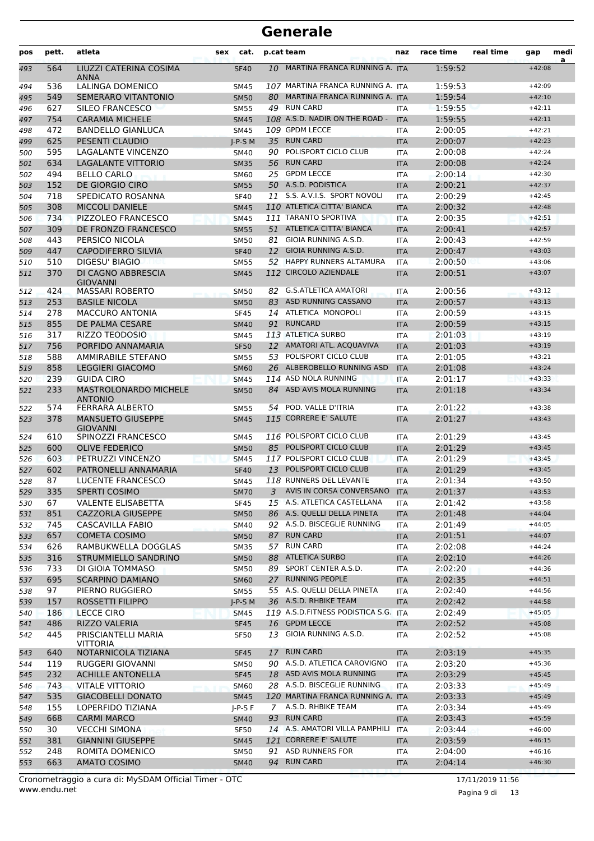| pos | pett. | atleta                                      | sex | cat.        |    | p.cat team                           | naz        | race time | real time | gap      | medi<br>a |
|-----|-------|---------------------------------------------|-----|-------------|----|--------------------------------------|------------|-----------|-----------|----------|-----------|
| 493 | 564   | LIUZZI CATERINA COSIMA<br>ANNA              |     | <b>SF40</b> | 10 | MARTINA FRANCA RUNNING A. ITA        |            | 1:59:52   |           | $+42:08$ |           |
| 494 | 536   | LALINGA DOMENICO                            |     | <b>SM45</b> |    | 107 MARTINA FRANCA RUNNING A. ITA    |            | 1:59:53   |           | $+42:09$ |           |
| 495 | 549   | SEMERARO VITANTONIO                         |     | <b>SM50</b> | 80 | MARTINA FRANCA RUNNING A. ITA        |            | 1:59:54   |           | $+42:10$ |           |
| 496 | 627   | SILEO FRANCESCO                             |     | <b>SM55</b> |    | 49 RUN CARD                          | <b>ITA</b> | 1:59:55   |           | $+42:11$ |           |
| 497 | 754   | <b>CARAMIA MICHELE</b>                      |     | <b>SM45</b> |    | 108 A.S.D. NADIR ON THE ROAD -       | <b>ITA</b> | 1:59:55   |           | $+42:11$ |           |
| 498 | 472   | <b>BANDELLO GIANLUCA</b>                    |     | <b>SM45</b> |    | 109 GPDM LECCE                       | <b>ITA</b> | 2:00:05   |           | $+42:21$ |           |
| 499 | 625   | PESENTI CLAUDIO                             |     | $J-P-S$ M   |    | 35 RUN CARD                          | <b>ITA</b> | 2:00:07   |           | $+42:23$ |           |
| 500 | 595   | LAGALANTE VINCENZO                          |     | <b>SM40</b> | 90 | POLISPORT CICLO CLUB                 | <b>ITA</b> | 2:00:08   |           | $+42:24$ |           |
| 501 | 634   | <b>LAGALANTE VITTORIO</b>                   |     | <b>SM35</b> | 56 | <b>RUN CARD</b>                      | <b>ITA</b> | 2:00:08   |           | $+42:24$ |           |
| 502 | 494   | <b>BELLO CARLO</b>                          |     | <b>SM60</b> | 25 | <b>GPDM LECCE</b>                    | ITA        | 2:00:14   |           | $+42:30$ |           |
| 503 | 152   | DE GIORGIO CIRO                             |     | <b>SM55</b> |    | 50 A.S.D. PODISTICA                  | <b>ITA</b> | 2:00:21   |           | $+42:37$ |           |
| 504 | 718   | SPEDICATO ROSANNA                           |     | <b>SF40</b> |    | 11 S.S. A.V.I.S. SPORT NOVOLI        | <b>ITA</b> | 2:00:29   |           | $+42:45$ |           |
| 505 | 308   | <b>MICCOLI DANIELE</b>                      |     | <b>SM45</b> |    | 110 ATLETICA CITTA' BIANCA           | <b>ITA</b> | 2:00:32   |           | $+42:48$ |           |
| 506 | 734   | PIZZOLEO FRANCESCO                          |     | <b>SM45</b> |    | 111 TARANTO SPORTIVA                 | <b>ITA</b> | 2:00:35   |           | $+42:51$ |           |
| 507 | 309   | DE FRONZO FRANCESCO                         |     | <b>SM55</b> |    | 51 ATLETICA CITTA' BIANCA            | <b>ITA</b> | 2:00:41   |           | $+42:57$ |           |
| 508 | 443   | PERSICO NICOLA                              |     | <b>SM50</b> | 81 | GIOIA RUNNING A.S.D.                 | ITA        | 2:00:43   |           | $+42:59$ |           |
| 509 | 447   | <b>CAPODIFERRO SILVIA</b>                   |     | <b>SF40</b> |    | 12 GIOIA RUNNING A.S.D.              | <b>ITA</b> | 2:00:47   |           | $+43:03$ |           |
| 510 | 510   | DIGESU' BIAGIO                              |     | <b>SM55</b> |    | 52 HAPPY RUNNERS ALTAMURA            | <b>ITA</b> | 2:00:50   |           | $+43:06$ |           |
| 511 | 370   | DI CAGNO ABBRESCIA<br><b>GIOVANNI</b>       |     | <b>SM45</b> |    | 112 CIRCOLO AZIENDALE                | <b>ITA</b> | 2:00:51   |           | $+43:07$ |           |
| 512 | 424   | <b>MASSARI ROBERTO</b>                      |     | <b>SM50</b> | 82 | <b>G.S.ATLETICA AMATORI</b>          | <b>ITA</b> | 2:00:56   |           | $+43:12$ |           |
| 513 | 253   | <b>BASILE NICOLA</b>                        |     | <b>SM50</b> | 83 | ASD RUNNING CASSANO                  | <b>ITA</b> | 2:00:57   |           | $+43:13$ |           |
| 514 | 278   | <b>MACCURO ANTONIA</b>                      |     | <b>SF45</b> |    | 14 ATLETICA MONOPOLI                 | <b>ITA</b> | 2:00:59   |           | $+43:15$ |           |
| 515 | 855   | DE PALMA CESARE                             |     | <b>SM40</b> | 91 | <b>RUNCARD</b>                       | <b>ITA</b> | 2:00:59   |           | $+43:15$ |           |
| 516 | 317   | <b>RIZZO TEODOSIO</b>                       |     | <b>SM45</b> |    | 113 ATLETICA SURBO                   | ITA        | 2:01:03   |           | $+43:19$ |           |
| 517 | 756   | PORFIDO ANNAMARIA                           |     | <b>SF50</b> |    | 12 AMATORI ATL. ACQUAVIVA            | <b>ITA</b> | 2:01:03   |           | $+43:19$ |           |
| 518 | 588   | <b>AMMIRABILE STEFANO</b>                   |     | <b>SM55</b> | 53 | POLISPORT CICLO CLUB                 | <b>ITA</b> | 2:01:05   |           | $+43:21$ |           |
| 519 | 858   | <b>LEGGIERI GIACOMO</b>                     |     | <b>SM60</b> |    | 26 ALBEROBELLO RUNNING ASD           | <b>ITA</b> | 2:01:08   |           | $+43:24$ |           |
| 520 | 239   | <b>GUIDA CIRO</b>                           |     | <b>SM45</b> |    | 114 ASD NOLA RUNNING                 | <b>ITA</b> | 2:01:17   |           | $+43:33$ |           |
| 521 | 233   | MASTROLONARDO MICHELE<br><b>ANTONIO</b>     |     | <b>SM50</b> |    | 84 ASD AVIS MOLA RUNNING             | <b>ITA</b> | 2:01:18   |           | $+43:34$ |           |
| 522 | 574   | <b>FERRARA ALBERTO</b>                      |     | SM55        | 54 | POD. VALLE D'ITRIA                   | ITA        | 2:01:22   |           | $+43:38$ |           |
| 523 | 378   | <b>MANSUETO GIUSEPPE</b><br><b>GIOVANNI</b> |     | <b>SM45</b> |    | 115 CORRERE E' SALUTE                | <b>ITA</b> | 2:01:27   |           | $+43:43$ |           |
| 524 | 610   | SPINOZZI FRANCESCO                          |     | <b>SM45</b> |    | 116 POLISPORT CICLO CLUB             | ITA        | 2:01:29   |           | $+43:45$ |           |
| 525 | 600   | <b>OLIVE FEDERICO</b>                       |     | <b>SM50</b> | 85 | POLISPORT CICLO CLUB                 | <b>ITA</b> | 2:01:29   |           | $+43:45$ |           |
| 526 | 603   | PETRUZZI VINCENZO                           |     | <b>SM45</b> |    | 117 POLISPORT CICLO CLUB             | <b>ITA</b> | 2:01:29   |           | $+43:45$ |           |
| 527 | 602   | PATRONELLI ANNAMARIA                        |     | <b>SF40</b> | 13 | POLISPORT CICLO CLUB                 | <b>ITA</b> | 2:01:29   |           | $+43:45$ |           |
| 528 | 87    | LUCENTE FRANCESCO                           |     | <b>SM45</b> |    | 118 RUNNERS DEL LEVANTE              | <b>ITA</b> | 2:01:34   |           | $+43:50$ |           |
| 529 | 335   | SPERTI COSIMO                               |     | SM70        |    | 3 AVIS IN CORSA CONVERSANO           | <b>ITA</b> | 2:01:37   |           | $+43:53$ |           |
| 530 | 67    | <b>VALENTE ELISABETTA</b>                   |     | <b>SF45</b> |    | 15 A.S. ATLETICA CASTELLANA          | ITA        | 2:01:42   |           | $+43:58$ |           |
| 531 | 851   | CAZZORLA GIUSEPPE                           |     | <b>SM50</b> |    | 86 A.S. QUELLI DELLA PINETA          | <b>ITA</b> | 2:01:48   |           | $+44:04$ |           |
| 532 | 745   | CASCAVILLA FABIO                            |     | <b>SM40</b> |    | 92 A.S.D. BISCEGLIE RUNNING          | ITA        | 2:01:49   |           | $+44:05$ |           |
| 533 | 657   | <b>COMETA COSIMO</b>                        |     | <b>SM50</b> |    | 87 RUN CARD                          | <b>ITA</b> | 2:01:51   |           | $+44:07$ |           |
| 534 | 626   | RAMBUKWELLA DOGGLAS                         |     | <b>SM35</b> |    | 57 RUN CARD                          | ITA        | 2:02:08   |           | $+44:24$ |           |
| 535 | 316   | STRUMMIELLO SANDRINO                        |     | <b>SM50</b> |    | 88 ATLETICA SURBO                    | <b>ITA</b> | 2:02:10   |           | $+44:26$ |           |
| 536 | 733   | DI GIOIA TOMMASO                            |     | <b>SM50</b> |    | 89 SPORT CENTER A.S.D.               | ITA        | 2:02:20   |           | $+44:36$ |           |
| 537 | 695   | <b>SCARPINO DAMIANO</b>                     |     | <b>SM60</b> |    | 27 RUNNING PEOPLE                    | <b>ITA</b> | 2:02:35   |           | $+44:51$ |           |
| 538 | 97    | PIERNO RUGGIERO                             |     | <b>SM55</b> |    | 55 A.S. QUELLI DELLA PINETA          | ITA        | 2:02:40   |           | $+44:56$ |           |
| 539 | 157   | <b>ROSSETTI FILIPPO</b>                     |     | $J-P-S$ M   |    | 36 A.S.D. RHBIKE TEAM                | <b>ITA</b> | 2:02:42   |           | $+44:58$ |           |
| 540 | 186   | <b>LECCE CIRO</b>                           |     | <b>SM45</b> |    | 119 A.S.D.FITNESS PODISTICA S.G. ITA |            | 2:02:49   |           | $+45:05$ |           |
| 541 | 486   | RIZZO VALERIA                               |     | <b>SF45</b> |    | 16 GPDM LECCE                        | <b>ITA</b> | 2:02:52   |           | $+45:08$ |           |
| 542 | 445   | PRISCIANTELLI MARIA<br><b>VITTORIA</b>      |     | <b>SF50</b> | 13 | GIOIA RUNNING A.S.D.                 | ITA        | 2:02:52   |           | $+45:08$ |           |
| 543 | 640   | NOTARNICOLA TIZIANA                         |     | <b>SF45</b> |    | 17 RUN CARD                          | <b>ITA</b> | 2:03:19   |           | $+45:35$ |           |
| 544 | 119   | RUGGERI GIOVANNI                            |     | <b>SM50</b> |    | 90 A.S.D. ATLETICA CAROVIGNO         | ITA        | 2:03:20   |           | $+45:36$ |           |
| 545 | 232   | <b>ACHILLE ANTONELLA</b>                    |     | <b>SF45</b> |    | 18 ASD AVIS MOLA RUNNING             | <b>ITA</b> | 2:03:29   |           | $+45:45$ |           |
| 546 | 743   | <b>VITALE VITTORIO</b>                      |     | <b>SM60</b> |    | 28 A.S.D. BISCEGLIE RUNNING          | ITA        | 2:03:33   |           | $+45:49$ |           |
| 547 | 535   | <b>GIACOBELLI DONATO</b>                    |     | <b>SM45</b> |    | 120 MARTINA FRANCA RUNNING A. ITA    |            | 2:03:33   |           | $+45:49$ |           |
| 548 | 155   | LOPERFIDO TIZIANA                           |     | $I-P-S F$   |    | 7 A.S.D. RHBIKE TEAM                 | ITA        | 2:03:34   |           | $+45:49$ |           |
| 549 | 668   | <b>CARMI MARCO</b>                          |     | <b>SM40</b> |    | 93 RUN CARD                          | <b>ITA</b> | 2:03:43   |           | $+45:59$ |           |
| 550 | 30    | <b>VECCHI SIMONA</b>                        |     | <b>SF50</b> |    | 14 A.S. AMATORI VILLA PAMPHILI       | <b>ITA</b> | 2:03:44   |           | $+46:00$ |           |
| 551 | 381   | <b>GIANNINI GIUSEPPE</b>                    |     | <b>SM45</b> |    | 121 CORRERE E' SALUTE                | <b>ITA</b> | 2:03:59   |           | $+46:15$ |           |
| 552 | 248   | ROMITA DOMENICO                             |     | <b>SM50</b> |    | 91 ASD RUNNERS FOR                   | ITA        | 2:04:00   |           | $+46:16$ |           |
| 553 | 663   | <b>AMATO COSIMO</b>                         |     | <b>SM40</b> |    | 94 RUN CARD                          | <b>ITA</b> | 2:04:14   |           | $+46:30$ |           |

www.endu.net Cronometraggio a cura di: MySDAM Official Timer - OTC 17/11/2019 11:56

Pagina 9 di 13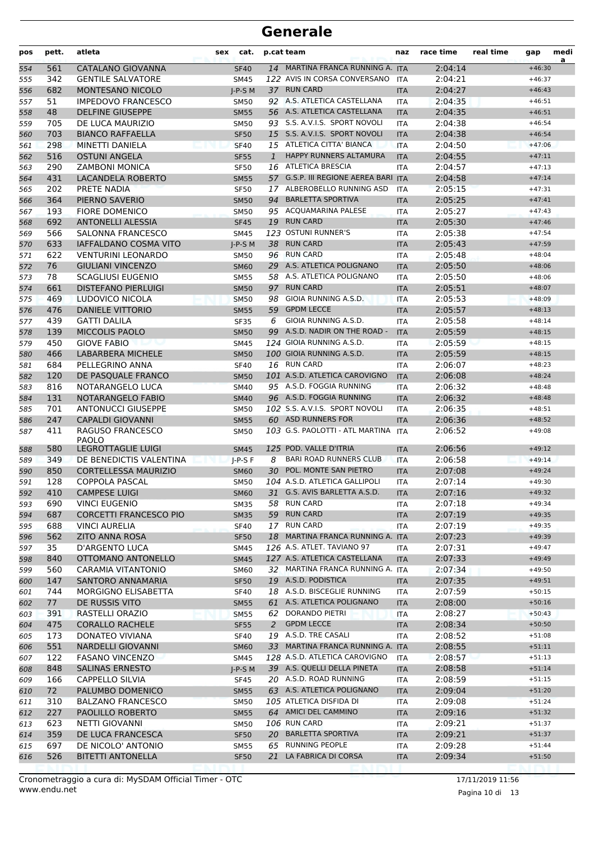| pos        | pett.      | atleta                                            | sex                        | cat.         | p.cat team                                             | naz                      | race time          | real time | gap                  | medi<br>a |
|------------|------------|---------------------------------------------------|----------------------------|--------------|--------------------------------------------------------|--------------------------|--------------------|-----------|----------------------|-----------|
| 554        | 561        | CATALANO GIOVANNA                                 | <b>SF40</b>                |              | 14 MARTINA FRANCA RUNNING A. ITA                       |                          | 2:04:14            |           | $+46:30$             |           |
| 555        | 342        | <b>GENTILE SALVATORE</b>                          | SM45                       |              | 122 AVIS IN CORSA CONVERSANO                           | <b>ITA</b>               | 2:04:21            |           | $+46:37$             |           |
| 556        | 682        | <b>MONTESANO NICOLO</b>                           | $I-P-S$ M                  |              | 37 RUN CARD                                            | <b>ITA</b>               | 2:04:27            |           | $+46:43$             |           |
| 557        | 51         | <b>IMPEDOVO FRANCESCO</b>                         | <b>SM50</b>                |              | 92 A.S. ATLETICA CASTELLANA                            | <b>ITA</b>               | 2:04:35            |           | $+46:51$             |           |
| 558        | 48         | <b>DELFINE GIUSEPPE</b>                           | <b>SM55</b>                |              | 56 A.S. ATLETICA CASTELLANA                            | <b>ITA</b>               | 2:04:35            |           | $+46:51$             |           |
| 559        | 705        | DE LUCA MAURIZIO                                  | <b>SM50</b>                |              | 93 S.S. A.V.I.S. SPORT NOVOLI                          | <b>ITA</b>               | 2:04:38            |           | $+46:54$             |           |
| 560        | 703        | <b>BIANCO RAFFAELLA</b>                           | <b>SF50</b>                |              | 15 S.S. A.V.I.S. SPORT NOVOLI                          | <b>ITA</b>               | 2:04:38            |           | $+46:54$             |           |
| 561        | 298        | MINETTI DANIELA                                   | <b>SF40</b>                |              | 15 ATLETICA CITTA' BIANCA                              | <b>ITA</b>               | 2:04:50            |           | $+47:06$             |           |
| 562        | 516        | <b>OSTUNI ANGELA</b>                              | <b>SF55</b>                | $\mathbf{1}$ | HAPPY RUNNERS ALTAMURA                                 | <b>ITA</b>               | 2:04:55            |           | $+47:11$             |           |
| 563        | 290        | <b>ZAMBONI MONICA</b>                             | <b>SF50</b>                |              | 16 ATLETICA BRESCIA                                    | <b>ITA</b>               | 2:04:57            |           | $+47:13$             |           |
| 564        | 431        | <b>LACANDELA ROBERTO</b>                          | <b>SM55</b>                |              | 57 G.S.P. III REGIONE AEREA BARI ITA                   |                          | 2:04:58            |           | $+47:14$             |           |
| 565        | 202        | PRETE NADIA                                       | <b>SF50</b>                |              | 17 ALBEROBELLO RUNNING ASD<br><b>BARLETTA SPORTIVA</b> | <b>ITA</b>               | 2:05:15            |           | $+47:31$             |           |
| 566        | 364        | PIERNO SAVERIO                                    | <b>SM50</b>                | 94           | 95 ACQUAMARINA PALESE                                  | <b>ITA</b>               | 2:05:25<br>2:05:27 |           | $+47:41$             |           |
| 567        | 193<br>692 | <b>FIORE DOMENICO</b><br><b>ANTONELLI ALESSIA</b> | <b>SM50</b><br><b>SF45</b> |              | 19 RUN CARD                                            | <b>ITA</b>               | 2:05:30            |           | $+47:43$<br>$+47:46$ |           |
| 568        | 566        | SALONNA FRANCESCO                                 | <b>SM45</b>                |              | 123 OSTUNI RUNNER'S                                    | <b>ITA</b><br><b>ITA</b> | 2:05:38            |           | $+47:54$             |           |
| 569<br>570 | 633        | IAFFALDANO COSMA VITO                             | $J-P-S$ M                  |              | 38 RUN CARD                                            | <b>ITA</b>               | 2:05:43            |           | $+47:59$             |           |
| 571        | 622        | <b>VENTURINI LEONARDO</b>                         | <b>SM50</b>                |              | 96 RUN CARD                                            | <b>ITA</b>               | 2:05:48            |           | $+48:04$             |           |
| 572        | 76         | <b>GIULIANI VINCENZO</b>                          | <b>SM60</b>                |              | 29 A.S. ATLETICA POLIGNANO                             | <b>ITA</b>               | 2:05:50            |           | $+48:06$             |           |
| 573        | 78         | <b>SCAGLIUSI EUGENIO</b>                          | <b>SM55</b>                |              | 58 A.S. ATLETICA POLIGNANO                             | <b>ITA</b>               | 2:05:50            |           | $+48:06$             |           |
| 574        | 661        | <b>DISTEFANO PIERLUIGI</b>                        | <b>SM50</b>                |              | 97 RUN CARD                                            | <b>ITA</b>               | 2:05:51            |           | $+48:07$             |           |
| 575        | 469        | LUDOVICO NICOLA                                   | <b>SM50</b>                | 98           | GIOIA RUNNING A.S.D.                                   | <b>ITA</b>               | 2:05:53            |           | $+48:09$             |           |
| 576        | 476        | <b>DANIELE VITTORIO</b>                           | <b>SM55</b>                |              | 59 GPDM LECCE                                          | <b>ITA</b>               | 2:05:57            |           | $+48:13$             |           |
| 577        | 439        | <b>GATTI DALILA</b>                               | <b>SF35</b>                | 6            | GIOIA RUNNING A.S.D.                                   | <b>ITA</b>               | 2:05:58            |           | $+48:14$             |           |
| 578        | 139        | MICCOLIS PAOLO                                    | <b>SM50</b>                |              | 99 A.S.D. NADIR ON THE ROAD -                          | <b>ITA</b>               | 2:05:59            |           | $+48:15$             |           |
| 579        | 450        | <b>GIOVE FABIO</b>                                | <b>SM45</b>                |              | 124 GIOIA RUNNING A.S.D.                               | <b>ITA</b>               | 2:05:59            |           | $+48:15$             |           |
| 580        | 466        | LABARBERA MICHELE                                 | <b>SM50</b>                |              | 100 GIOIA RUNNING A.S.D.                               | <b>ITA</b>               | 2:05:59            |           | $+48:15$             |           |
| 581        | 684        | PELLEGRINO ANNA                                   | <b>SF40</b>                |              | 16 RUN CARD                                            | <b>ITA</b>               | 2:06:07            |           | $+48:23$             |           |
| 582        | 120        | DE PASQUALE FRANCO                                | <b>SM50</b>                |              | 101 A.S.D. ATLETICA CAROVIGNO                          | <b>ITA</b>               | 2:06:08            |           | $+48:24$             |           |
| 583        | 816        | NOTARANGELO LUCA                                  | <b>SM40</b>                |              | 95 A.S.D. FOGGIA RUNNING                               | <b>ITA</b>               | 2:06:32            |           | $+48:48$             |           |
| 584        | 131        | NOTARANGELO FABIO                                 | <b>SM40</b>                |              | 96 A.S.D. FOGGIA RUNNING                               | <b>ITA</b>               | 2:06:32            |           | $+48:48$             |           |
| 585        | 701        | <b>ANTONUCCI GIUSEPPE</b>                         | <b>SM50</b>                |              | 102 S.S. A.V.I.S. SPORT NOVOLI                         | <b>ITA</b>               | 2:06:35            |           | $+48:51$             |           |
| 586        | 247        | <b>CAPALDI GIOVANNI</b>                           | <b>SM55</b>                |              | 60 ASD RUNNERS FOR                                     | <b>ITA</b>               | 2:06:36            |           | $+48:52$             |           |
| 587        | 411        | RAGUSO FRANCESCO<br><b>PAOLO</b>                  | <b>SM50</b>                |              | 103 G.S. PAOLOTTI - ATL MARTINA                        | <b>ITA</b>               | 2:06:52            |           | $+49:08$             |           |
| 588        | 580        | <b>LEGROTTAGLIE LUIGI</b>                         | <b>SM45</b>                |              | 125 POD. VALLE D'ITRIA                                 | <b>ITA</b>               | 2:06:56            |           | $+49:12$             |           |
| 589        | 349        | DE BENEDICTIS VALENTINA                           | $I-P-S F$                  | 8            | <b>BARI ROAD RUNNERS CLUB</b>                          | <b>ITA</b>               | 2:06:58            |           | $+49:14$             |           |
| 590        | 850        | <b>CORTELLESSA MAURIZIO</b>                       | <b>SM60</b>                |              | 30 POL. MONTE SAN PIETRO                               | <b>ITA</b>               | 2:07:08            |           | $+49:24$             |           |
| 591        | 128        | <b>COPPOLA PASCAL</b>                             | <b>SM50</b>                |              | 104 A.S.D. ATLETICA GALLIPOLI                          | <b>ITA</b>               | 2:07:14            |           | $+49:30$             |           |
| 592        | 410        | <b>CAMPESE LUIGI</b>                              | <b>SM60</b>                |              | 31 G.S. AVIS BARLETTA A.S.D.                           | <b>ITA</b>               | 2:07:16            |           | $+49:32$             |           |
| 593        | 690        | <b>VINCI EUGENIO</b>                              | <b>SM35</b>                |              | 58 RUN CARD                                            | ITA                      | 2:07:18            |           | $+49:34$             |           |
| 594        | 687        | <b>CORCETTI FRANCESCO PIO</b>                     | <b>SM35</b>                |              | 59 RUN CARD                                            | <b>ITA</b>               | 2:07:19            |           | $+49:35$             |           |
| 595        | 688        | VINCI AURELIA                                     | <b>SF40</b>                |              | 17 RUN CARD                                            | ITA                      | 2:07:19            |           | $+49:35$             |           |
| 596        | 562        | <b>ZITO ANNA ROSA</b>                             | <b>SF50</b>                | 18           | MARTINA FRANCA RUNNING A. ITA                          |                          | 2:07:23            |           | $+49:39$             |           |
| 597        | 35         | D'ARGENTO LUCA                                    | SM45                       |              | 126 A.S. ATLET. TAVIANO 97                             | ITA                      | 2:07:31            |           | $+49:47$             |           |
| 598        | 840        | OTTOMANO ANTONELLO                                | <b>SM45</b>                |              | 127 A.S. ATLETICA CASTELLANA                           | <b>ITA</b>               | 2:07:33            |           | $+49:49$             |           |
| 599        | 560        | <b>CARAMIA VITANTONIO</b>                         | SM60                       |              | 32 MARTINA FRANCA RUNNING A. ITA                       |                          | 2:07:34            |           | $+49:50$             |           |
| 600        | 147        | SANTORO ANNAMARIA                                 | <b>SF50</b>                |              | 19 A.S.D. PODISTICA                                    | <b>ITA</b>               | 2:07:35            |           | $+49:51$             |           |
| 601        | 744        | MORGIGNO ELISABETTA                               | <b>SF40</b>                |              | 18 A.S.D. BISCEGLIE RUNNING                            | ITA                      | 2:07:59            |           | $+50:15$             |           |
| 602        | 77         | DE RUSSIS VITO                                    | <b>SM55</b>                |              | 61 A.S. ATLETICA POLIGNANO                             | <b>ITA</b>               | 2:08:00            |           | $+50:16$             |           |
| 603        | 391        | RASTELLI ORAZIO                                   | <b>SM55</b>                |              | 62 DORANDO PIETRI<br><b>GPDM LECCE</b>                 | <b>ITA</b>               | 2:08:27            |           | $+50:43$             |           |
| 604        | 475        | <b>CORALLO RACHELE</b>                            | <b>SF55</b>                | 2            | 19 A.S.D. TRE CASALI                                   | <b>ITA</b>               | 2:08:34            |           | $+50:50$<br>$+51:08$ |           |
| 605        | 173<br>551 | DONATEO VIVIANA<br><b>NARDELLI GIOVANNI</b>       | <b>SF40</b><br><b>SM60</b> |              | 33 MARTINA FRANCA RUNNING A. ITA                       | ITA                      | 2:08:52<br>2:08:55 |           | $+51:11$             |           |
| 606        | 122        | <b>FASANO VINCENZO</b>                            |                            |              | 128 A.S.D. ATLETICA CAROVIGNO                          |                          | 2:08:57            |           | $+51:13$             |           |
| 607<br>608 | 848        | <b>SALINAS ERNESTO</b>                            | SM45<br>$J-P-S$ M          |              | 39 A.S. QUELLI DELLA PINETA                            | ITA<br><b>ITA</b>        | 2:08:58            |           | $+51:14$             |           |
| 609        | 166        | <b>CAPPELLO SILVIA</b>                            | SF45                       |              | 20 A.S.D. ROAD RUNNING                                 | <b>ITA</b>               | 2:08:59            |           | $+51:15$             |           |
| 610        | 72         | PALUMBO DOMENICO                                  | <b>SM55</b>                |              | 63 A.S. ATLETICA POLIGNANO                             | <b>ITA</b>               | 2:09:04            |           | $+51:20$             |           |
| 611        | 310        | <b>BALZANO FRANCESCO</b>                          | <b>SM50</b>                |              | 105 ATLETICA DISFIDA DI                                | ITA                      | 2:09:08            |           | $+51:24$             |           |
| 612        | 227        | PAOLILLO ROBERTO                                  | <b>SM55</b>                |              | 64 AMICI DEL CAMMINO                                   | <b>ITA</b>               | 2:09:16            |           | $+51:32$             |           |
| 613        | 623        | NETTI GIOVANNI                                    | <b>SM50</b>                |              | 106 RUN CARD                                           | ITA                      | 2:09:21            |           | $+51:37$             |           |
| 614        | 359        | DE LUCA FRANCESCA                                 | <b>SF50</b>                |              | 20 BARLETTA SPORTIVA                                   | <b>ITA</b>               | 2:09:21            |           | $+51:37$             |           |
| 615        | 697        | DE NICOLO' ANTONIO                                | SM55                       |              | 65 RUNNING PEOPLE                                      | <b>ITA</b>               | 2:09:28            |           | $+51:44$             |           |
| 616        | 526        | <b>BITETTI ANTONELLA</b>                          | <b>SF50</b>                |              | 21 LA FABRICA DI CORSA                                 | <b>ITA</b>               | 2:09:34            |           | $+51:50$             |           |
|            |            |                                                   |                            |              |                                                        |                          |                    |           |                      |           |

Pagina 10 di 13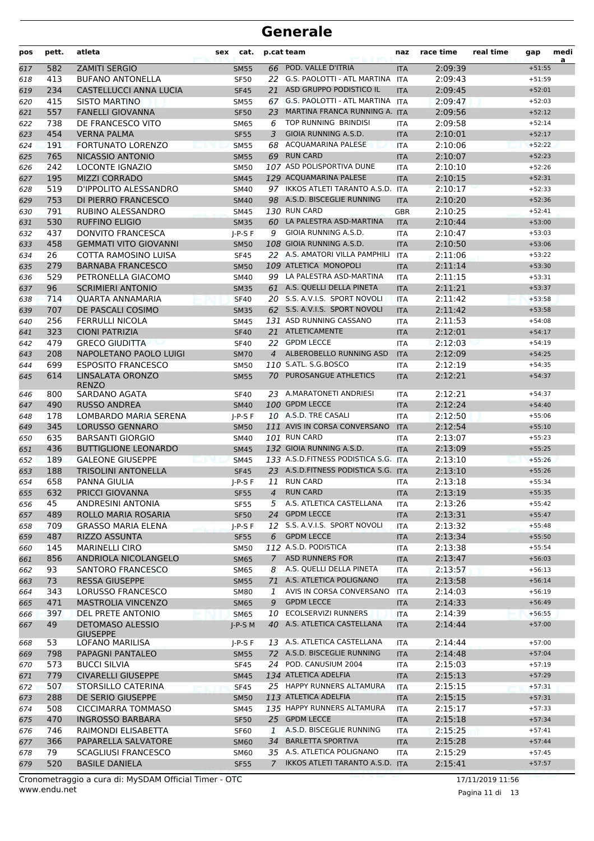| pos        | pett.      | atleta                                  | sex | cat.                       |                | p.cat team                           | naz                      | race time          | real time | gap      | medi<br>a |
|------------|------------|-----------------------------------------|-----|----------------------------|----------------|--------------------------------------|--------------------------|--------------------|-----------|----------|-----------|
| 617        | 582        | <b>ZAMITI SERGIO</b>                    |     | <b>SM55</b>                |                | 66 POD. VALLE D'ITRIA                | <b>ITA</b>               | 2:09:39            |           | $+51:55$ |           |
| 618        | 413        | <b>BUFANO ANTONELLA</b>                 |     | <b>SF50</b>                | 22             | G.S. PAOLOTTI - ATL MARTINA          | <b>ITA</b>               | 2:09:43            |           | $+51:59$ |           |
| 619        | 234        | CASTELLUCCI ANNA LUCIA                  |     | <b>SF45</b>                | 21             | ASD GRUPPO PODISTICO IL              | <b>ITA</b>               | 2:09:45            |           | $+52:01$ |           |
| 620        | 415        | <b>SISTO MARTINO</b>                    |     | <b>SM55</b>                |                | 67 G.S. PAOLOTTI - ATL MARTINA ITA   |                          | 2:09:47            |           | $+52:03$ |           |
| 621        | 557        | <b>FANELLI GIOVANNA</b>                 |     | <b>SF50</b>                | 23             | MARTINA FRANCA RUNNING A. ITA        |                          | 2:09:56            |           | $+52:12$ |           |
| 622        | 738        | DE FRANCESCO VITO                       |     | <b>SM65</b>                | 6              | TOP RUNNING BRINDISI                 | <b>ITA</b>               | 2:09:58            |           | $+52:14$ |           |
| 623        | 454        | <b>VERNA PALMA</b>                      |     | <b>SF55</b>                | 3              | GIOIA RUNNING A.S.D.                 | <b>ITA</b>               | 2:10:01            |           | $+52:17$ |           |
| 624        | 191        | <b>FORTUNATO LORENZO</b>                |     | <b>SM55</b>                |                | 68 ACQUAMARINA PALESE                | <b>ITA</b>               | 2:10:06            |           | $+52:22$ |           |
| 625        | 765        | NICASSIO ANTONIO                        |     | <b>SM55</b>                |                | 69 RUN CARD                          | <b>ITA</b>               | 2:10:07            |           | $+52:23$ |           |
| 626        | 242        | <b>LOCONTE IGNAZIO</b>                  |     | <b>SM50</b>                |                | 107 ASD POLISPORTIVA DUNE            | ITA                      | 2:10:10            |           | $+52:26$ |           |
| 627        | 195        | <b>MIZZI CORRADO</b>                    |     | <b>SM45</b>                |                | 129 ACQUAMARINA PALESE               | <b>ITA</b>               | 2:10:15            |           | $+52:31$ |           |
| 628        | 519        | D'IPPOLITO ALESSANDRO                   |     | <b>SM40</b>                |                | 97 IKKOS ATLETI TARANTO A.S.D.       | <b>ITA</b>               | 2:10:17            |           | $+52:33$ |           |
| 629        | 753        | DI PIERRO FRANCESCO                     |     | <b>SM40</b>                |                | 98 A.S.D. BISCEGLIE RUNNING          | <b>ITA</b>               | 2:10:20            |           | $+52:36$ |           |
| 630        | 791        | RUBINO ALESSANDRO                       |     | <b>SM45</b>                |                | 130 RUN CARD                         | <b>GBR</b>               | 2:10:25            |           | $+52:41$ |           |
| 631        | 530        | <b>RUFFINO ELIGIO</b>                   |     | <b>SM35</b>                |                | 60 LA PALESTRA ASD-MARTINA           | <b>ITA</b>               | 2:10:44            |           | $+53:00$ |           |
| 632        | 437        | <b>DONVITO FRANCESCA</b>                |     | $I-P-S F$                  | 9              | GIOIA RUNNING A.S.D.                 | ITA                      | 2:10:47            |           | $+53:03$ |           |
| 633        | 458        | <b>GEMMATI VITO GIOVANNI</b>            |     | <b>SM50</b>                |                | 108 GIOIA RUNNING A.S.D.             | <b>ITA</b>               | 2:10:50            |           | $+53:06$ |           |
| 634        | 26         | COTTA RAMOSINO LUISA                    |     | <b>SF45</b>                |                | 22 A.S. AMATORI VILLA PAMPHILI       | <b>ITA</b>               | 2:11:06            |           | $+53:22$ |           |
| 635        | 279        | <b>BARNABA FRANCESCO</b>                |     | <b>SM50</b>                |                | 109 ATLETICA MONOPOLI                | <b>ITA</b>               | 2:11:14            |           | $+53:30$ |           |
| 636        | 529        | PETRONELLA GIACOMO                      |     | <b>SM40</b>                |                | 99 LA PALESTRA ASD-MARTINA           | ITA                      | 2:11:15            |           | $+53:31$ |           |
| 637        | 96         | <b>SCRIMIERI ANTONIO</b>                |     | <b>SM35</b>                |                | 61 A.S. QUELLI DELLA PINETA          | <b>ITA</b>               | 2:11:21            |           | $+53:37$ |           |
| 638        | 714        | QUARTA ANNAMARIA                        |     | <b>SF40</b>                |                | 20 S.S. A.V.I.S. SPORT NOVOLI        | <b>ITA</b>               | 2:11:42            |           | $+53:58$ |           |
| 639        | 707        | DE PASCALI COSIMO                       |     | <b>SM35</b>                |                | 62 S.S. A.V.I.S. SPORT NOVOLI        | <b>ITA</b>               | 2:11:42            |           | $+53:58$ |           |
| 640        | 256        | <b>FERRULLI NICOLA</b>                  |     | <b>SM45</b>                |                | 131 ASD RUNNING CASSANO              | <b>ITA</b>               | 2:11:53            |           | $+54:08$ |           |
| 641        | 323        | <b>CIONI PATRIZIA</b>                   |     | <b>SF40</b>                |                | 21 ATLETICAMENTE                     | <b>ITA</b>               | 2:12:01            |           | $+54:17$ |           |
| 642        | 479        | <b>GRECO GIUDITTA</b>                   |     | <b>SF40</b>                |                | 22 GPDM LECCE                        | ITA                      | 2:12:03            |           | $+54:19$ |           |
| 643        | 208        | NAPOLETANO PAOLO LUIGI                  |     | <b>SM70</b>                | $\overline{4}$ | ALBEROBELLO RUNNING ASD              | <b>ITA</b>               | 2:12:09            |           | $+54:25$ |           |
| 644        | 699        | <b>ESPOSITO FRANCESCO</b>               |     | <b>SM50</b>                |                | 110 S.ATL. S.G.BOSCO                 | ITA                      | 2:12:19            |           | $+54:35$ |           |
| 645        | 614        | LINSALATA ORONZO                        |     | <b>SM55</b>                |                | 70 PUROSANGUE ATHLETICS              | <b>ITA</b>               | 2:12:21            |           | $+54:37$ |           |
| 646        | 800        | <b>RENZO</b><br>SARDANO AGATA           |     | <b>SF40</b>                |                | 23 A.MARATONETI ANDRIESI             | ITA                      | 2:12:21            |           | $+54:37$ |           |
| 647        | 490        | <b>RUSSO ANDREA</b>                     |     | <b>SM40</b>                |                | 100 GPDM LECCE                       | <b>ITA</b>               | 2:12:24            |           | $+54:40$ |           |
| 648        | 178        | LOMBARDO MARIA SERENA                   |     | $I-P-S F$                  |                | 10 A.S.D. TRE CASALI                 | <b>ITA</b>               | 2:12:50            |           | $+55:06$ |           |
| 649        | 345        | <b>LORUSSO GENNARO</b>                  |     | <b>SM50</b>                |                | 111 AVIS IN CORSA CONVERSANO         | <b>ITA</b>               | 2:12:54            |           | $+55:10$ |           |
| 650        | 635        | <b>BARSANTI GIORGIO</b>                 |     | <b>SM40</b>                |                | 101 RUN CARD                         | ITA                      | 2:13:07            |           | $+55:23$ |           |
| 651        | 436        | <b>BUTTIGLIONE LEONARDO</b>             |     | <b>SM45</b>                |                | 132 GIOIA RUNNING A.S.D.             | <b>ITA</b>               | 2:13:09            |           | $+55:25$ |           |
| 652        | 189        | <b>GALEONE GIUSEPPE</b>                 |     | <b>SM45</b>                |                | 133 A.S.D.FITNESS PODISTICA S.G. ITA |                          | 2:13:10            |           | $+55:26$ |           |
| 653        | 188        | <b>TRISOLINI ANTONELLA</b>              |     | <b>SF45</b>                |                | 23 A.S.D.FITNESS PODISTICA S.G. ITA  |                          | 2:13:10            |           | $+55:26$ |           |
| 654        | 658        | PANNA GIULIA                            |     | $I-P-S F$                  |                | 11 RUN CARD                          | ITA                      | 2:13:18            |           | $+55:34$ |           |
| 655        | 632        | <b>PRICCI GIOVANNA</b>                  |     | <b>SF55</b>                | 4              | <b>RUN CARD</b>                      | <b>ITA</b>               | 2:13:19            |           | $+55:35$ |           |
| 656        | 45         | ANDRESINI ANTONIA                       |     | <b>SF55</b>                |                | 5 A.S. ATLETICA CASTELLANA           | <b>ITA</b>               | 2:13:26            |           | $+55:42$ |           |
| 657        | 489        | ROLLO MARIA ROSARIA                     |     | <b>SF50</b>                |                | 24 GPDM LECCE                        | <b>ITA</b>               | 2:13:31            |           | $+55:47$ |           |
| 658        | 709        | <b>GRASSO MARIA ELENA</b>               |     | $J-P-S F$                  |                | 12 S.S. A.V.I.S. SPORT NOVOLI        | <b>ITA</b>               | 2:13:32            |           | $+55:48$ |           |
| 659        | 487        | <b>RIZZO ASSUNTA</b>                    |     | <b>SF55</b>                | 6              | <b>GPDM LECCE</b>                    | <b>ITA</b>               | 2:13:34            |           | $+55:50$ |           |
| 660        | 145        | <b>MARINELLI CIRO</b>                   |     | SM50                       |                | 112 A.S.D. PODISTICA                 | <b>ITA</b>               | 2:13:38            |           | $+55:54$ |           |
| 661        | 856        | ANDRIOLA NICOLANGELO                    |     | <b>SM65</b>                | $7^{\circ}$    | <b>ASD RUNNERS FOR</b>               | <b>ITA</b>               | 2:13:47            |           | $+56:03$ |           |
| 662        | 93         | SANTORO FRANCESCO                       |     | <b>SM65</b>                | 8              | A.S. QUELLI DELLA PINETA             | <b>ITA</b>               | 2:13:57            |           | $+56:13$ |           |
| 663        | 73         | <b>RESSA GIUSEPPE</b>                   |     | <b>SM55</b>                |                | 71 A.S. ATLETICA POLIGNANO           | <b>ITA</b>               | 2:13:58            |           | $+56:14$ |           |
| 664        | 343        | LORUSSO FRANCESCO                       |     | <b>SM80</b>                | 1              | AVIS IN CORSA CONVERSANO             | ITA                      | 2:14:03            |           | $+56:19$ |           |
| 665        | 471        | <b>MASTROLIA VINCENZO</b>               |     | <b>SM65</b>                | 9              | <b>GPDM LECCE</b>                    | <b>ITA</b>               | 2:14:33            |           | $+56:49$ |           |
| 666        | 397        | <b>DEL PRETE ANTONIO</b>                |     | <b>SM65</b>                |                | 10 ECOLSERVIZI RUNNERS               | <b>ITA</b>               | 2:14:39            |           | $+56:55$ |           |
| 667        | 49         | <b>DETOMASO ALESSIO</b>                 |     | $J-P-S$ M                  |                | 40 A.S. ATLETICA CASTELLANA          | <b>ITA</b>               | 2:14:44            |           | $+57:00$ |           |
|            | 53         | <b>GIUSEPPE</b><br>LOFANO MARILISA      |     |                            |                | 13 A.S. ATLETICA CASTELLANA          |                          |                    |           | $+57:00$ |           |
| 668        | 798        | PAPAGNI PANTALEO                        |     | $I-P-S F$                  |                | 72 A.S.D. BISCEGLIE RUNNING          | <b>ITA</b>               | 2:14:44<br>2:14:48 |           | $+57:04$ |           |
| 669        | 573        | <b>BUCCI SILVIA</b>                     |     | <b>SM55</b><br><b>SF45</b> |                | 24 POD. CANUSIUM 2004                | <b>ITA</b>               | 2:15:03            |           | $+57:19$ |           |
| 670        | 779        | <b>CIVARELLI GIUSEPPE</b>               |     |                            |                | 134 ATLETICA ADELFIA                 | ITA                      | 2:15:13            |           | $+57:29$ |           |
| 671        |            |                                         |     | <b>SM45</b>                |                | 25 HAPPY RUNNERS ALTAMURA            | <b>ITA</b>               |                    |           | $+57:31$ |           |
| 672<br>673 | 507<br>288 | STORSILLO CATERINA<br>DE SERIO GIUSEPPE |     | <b>SF45</b><br><b>SM50</b> |                | 113 ATLETICA ADELFIA                 | <b>ITA</b><br><b>ITA</b> | 2:15:15<br>2:15:15 |           | $+57:31$ |           |
| 674        | 508        | CICCIMARRA TOMMASO                      |     | SM45                       |                | 135 HAPPY RUNNERS ALTAMURA           | ITA                      | 2:15:17            |           | $+57:33$ |           |
| 675        | 470        | <b>INGROSSO BARBARA</b>                 |     | <b>SF50</b>                |                | 25 GPDM LECCE                        | <b>ITA</b>               | 2:15:18            |           | $+57:34$ |           |
| 676        | 746        | RAIMONDI ELISABETTA                     |     | SF60                       | $\mathbf{1}$   | A.S.D. BISCEGLIE RUNNING             | ITA                      | 2:15:25            |           | $+57:41$ |           |
| 677        | 366        | PAPARELLA SALVATORE                     |     | <b>SM60</b>                |                | 34 BARLETTA SPORTIVA                 | <b>ITA</b>               | 2:15:28            |           | $+57:44$ |           |
| 678        | 79         | <b>SCAGLIUSI FRANCESCO</b>              |     | <b>SM60</b>                |                | 35 A.S. ATLETICA POLIGNANO           | <b>ITA</b>               | 2:15:29            |           | $+57:45$ |           |
| 679        | 520        | <b>BASILE DANIELA</b>                   |     | <b>SF55</b>                | $7^{\circ}$    | IKKOS ATLETI TARANTO A.S.D. ITA      |                          | 2:15:41            |           | $+57:57$ |           |
|            |            |                                         |     |                            |                |                                      |                          |                    |           |          |           |

www.endu.net Cronometraggio a cura di: MySDAM Official Timer - OTC 17/11/2019 11:56

Pagina 11 di 13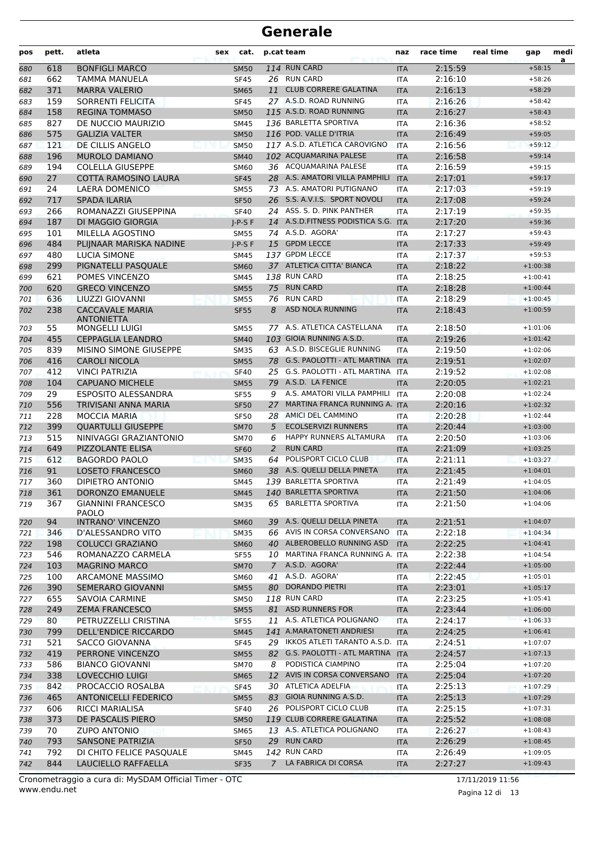| 114 RUN CARD<br><b>BONFIGLI MARCO</b><br>2:15:59<br>618<br>$+58:15$<br>680<br><b>SM50</b><br><b>ITA</b><br>26 RUN CARD<br>662<br>2:16:10<br><b>TAMMA MANUELA</b><br><b>SF45</b><br>681<br>ITA<br>$+58:26$<br>371<br><b>MARRA VALERIO</b><br><b>CLUB CORRERE GALATINA</b><br>2:16:13<br><b>SM65</b><br>11<br>682<br><b>ITA</b><br>$+58:29$<br>27 A.S.D. ROAD RUNNING<br>159<br>SORRENTI FELICITA<br>2:16:26<br>$+58:42$<br>683<br><b>SF45</b><br><b>ITA</b><br>115 A.S.D. ROAD RUNNING<br>2:16:27<br>158<br><b>REGINA TOMMASO</b><br><b>SM50</b><br>$+58:43$<br>684<br><b>ITA</b><br>827<br>136 BARLETTA SPORTIVA<br>DE NUCCIO MAURIZIO<br><b>SM45</b><br>2:16:36<br>$+58:52$<br>685<br><b>ITA</b><br>116 POD. VALLE D'ITRIA<br>575<br><b>GALIZIA VALTER</b><br>2:16:49<br>$+59:05$<br>686<br><b>SM50</b><br><b>ITA</b><br>117 A.S.D. ATLETICA CAROVIGNO<br>121<br>DE CILLIS ANGELO<br><b>SM50</b><br><b>ITA</b><br>2:16:56<br>$+59:12$<br>687<br>196<br>102 ACQUAMARINA PALESE<br><b>MUROLO DAMIANO</b><br><b>SM40</b><br><b>ITA</b><br>2:16:58<br>$+59:14$<br>688<br>36 ACQUAMARINA PALESE<br>194<br><b>COLELLA GIUSEPPE</b><br>2:16:59<br>$+59:15$<br>689<br><b>SM60</b><br><b>ITA</b><br>28 A.S. AMATORI VILLA PAMPHILI<br>27<br><b>COTTA RAMOSINO LAURA</b><br>2:17:01<br><b>SF45</b><br><b>ITA</b><br>$+59:17$<br>690<br>73 A.S. AMATORI PUTIGNANO<br>2:17:03<br>24<br>LAERA DOMENICO<br><b>SM55</b><br>$+59:19$<br>691<br><b>ITA</b><br>26 S.S. A.V.I.S. SPORT NOVOLI<br>2:17:08<br>717<br><b>SPADA ILARIA</b><br><b>SF50</b><br><b>ITA</b><br>$+59:24$<br>692<br>ROMANAZZI GIUSEPPINA<br>24 ASS. S. D. PINK PANTHER<br>2:17:19<br>266<br><b>SF40</b><br><b>ITA</b><br>$+59:35$<br>693<br>187<br>14 A.S.D.FITNESS PODISTICA S.G. ITA<br>2:17:20<br>DI MAGGIO GIORGIA<br>$I-P-S F$<br>$+59:36$<br>694<br>74 A.S.D. AGORA'<br>101<br>MILELLA AGOSTINO<br>2:17:27<br>$+59:43$<br>695<br><b>SM55</b><br><b>ITA</b><br>484<br>15 GPDM LECCE<br>2:17:33<br>PLIJNAAR MARISKA NADINE<br>$J-P-S F$<br>$+59:49$<br>696<br><b>ITA</b><br>137 GPDM LECCE<br>2:17:37<br>480<br><b>LUCIA SIMONE</b><br>$+59:53$<br>697<br>SM45<br><b>ITA</b><br>37 ATLETICA CITTA' BIANCA<br>2:18:22<br>299<br>PIGNATELLI PASQUALE<br><b>ITA</b><br>$+1:00:38$<br>698<br><b>SM60</b><br>138 RUN CARD<br>621<br>POMES VINCENZO<br><b>SM45</b><br><b>ITA</b><br>2:18:25<br>699<br>$+1:00:41$<br>620<br><b>GRECO VINCENZO</b><br>75 RUN CARD<br>2:18:28<br><b>SM55</b><br><b>ITA</b><br>$+1:00:44$<br>700<br><b>RUN CARD</b><br>636<br>2:18:29<br>$+1:00:45$<br>LIUZZI GIOVANNI<br>701<br><b>SM55</b><br>76<br><b>ITA</b><br><b>CACCAVALE MARIA</b><br>ASD NOLA RUNNING<br>702<br>238<br><b>SF55</b><br>8<br>2:18:43<br><b>ITA</b><br>$+1:00:59$<br><b>ANTONIETTA</b><br>55<br>77 A.S. ATLETICA CASTELLANA<br><b>MONGELLI LUIGI</b><br><b>SM55</b><br>2:18:50<br>703<br><b>ITA</b><br>$+1:01:06$<br>103 GIOIA RUNNING A.S.D.<br>455<br><b>CEPPAGLIA LEANDRO</b><br>2:19:26<br>704<br><b>SM40</b><br><b>ITA</b><br>$+1:01:42$<br>63 A.S.D. BISCEGLIE RUNNING<br>839<br>MISINO SIMONE GIUSEPPE<br><b>SM35</b><br>2:19:50<br>$+1:02:06$<br>705<br><b>ITA</b><br>416<br>78 G.S. PAOLOTTI - ATL MARTINA ITA<br><b>CAROLI NICOLA</b><br><b>SM55</b><br>2:19:51<br>706<br>$+1:02:07$<br>412<br>25 G.S. PAOLOTTI - ATL MARTINA ITA<br>2:19:52<br><b>VINCI PATRIZIA</b><br>$+1:02:08$<br><b>SF40</b><br>707<br>79 A.S.D. LA FENICE<br>104<br><b>CAPUANO MICHELE</b><br>2:20:05<br>$+1:02:21$<br>708<br><b>SM55</b><br><b>ITA</b><br>29<br>A.S. AMATORI VILLA PAMPHILI<br>2:20:08<br>709<br><b>ESPOSITO ALESSANDRA</b><br><b>SF55</b><br><b>ITA</b><br>$+1:02:24$<br>9<br>MARTINA FRANCA RUNNING A. ITA<br>556<br>TRIVISANI ANNA MARIA<br>2:20:16<br>710<br><b>SF50</b><br>27<br>$+1:02:32$<br>28 AMICI DEL CAMMINO<br>228<br>711<br><b>MOCCIA MARIA</b><br>2:20:28<br>$+1:02:44$<br><b>SF50</b><br><b>ITA</b><br><b>ECOLSERVIZI RUNNERS</b><br>712<br>399<br><b>QUARTULLI GIUSEPPE</b><br><b>SM70</b><br>5<br><b>ITA</b><br>2:20:44<br>$+1:03:00$<br>515<br>NINIVAGGI GRAZIANTONIO<br>HAPPY RUNNERS ALTAMURA<br>6<br>2:20:50<br>$+1:03:06$<br>713<br><b>SM70</b><br>ITA<br><b>RUN CARD</b><br>649<br><b>PIZZOLANTE ELISA</b><br>2<br>2:21:09<br>714<br><b>SF60</b><br><b>ITA</b><br>$+1:03:25$<br>POLISPORT CICLO CLUB<br>715<br>612<br><b>BAGORDO PAOLO</b><br>64<br>2:21:11<br><b>SM35</b><br><b>ITA</b><br>$+1:03:27$<br>38 A.S. QUELLI DELLA PINETA<br>91<br><b>LOSETO FRANCESCO</b><br><b>SM60</b><br><b>ITA</b><br>2:21:45<br>$+1:04:01$<br>716<br>139 BARLETTA SPORTIVA<br>360<br>DIPIETRO ANTONIO<br><b>ITA</b><br>2:21:49<br>717<br>SM45<br>$+1:04:05$<br>DORONZO EMANUELE<br>140 BARLETTA SPORTIVA<br>2:21:50<br>361<br>$+1:04:06$<br><b>SM45</b><br>718<br><b>ITA</b><br>65 BARLETTA SPORTIVA<br>367<br><b>GIANNINI FRANCESCO</b><br>2:21:50<br>$+1:04:06$<br>719<br>SM35<br>ITA<br><b>PAOLO</b><br>39 A.S. QUELLI DELLA PINETA<br>94<br><b>INTRANO' VINCENZO</b><br>2:21:51<br>$+1:04:07$<br>720<br><b>SM60</b><br><b>ITA</b><br>66 AVIS IN CORSA CONVERSANO<br>D'ALESSANDRO VITO<br>2:22:18<br>346<br><b>SM35</b><br><b>ITA</b><br>$+1:04:34$<br>721<br>40 ALBEROBELLO RUNNING ASD<br><b>COLUCCI GRAZIANO</b><br>2:22:25<br>$+1:04:41$<br>722<br>198<br><b>SM60</b><br><b>ITA</b><br>10 MARTINA FRANCA RUNNING A. ITA<br>$+1:04:54$<br>ROMANAZZO CARMELA<br>2:22:38<br>723<br>546<br>SF55<br>A.S.D. AGORA'<br>103<br><b>MAGRINO MARCO</b><br>$7^{\circ}$<br>2:22:44<br>724<br><b>SM70</b><br><b>ITA</b><br>$+1:05:00$<br>41 A.S.D. AGORA'<br>100<br>ARCAMONE MASSIMO<br>2:22:45<br>725<br><b>SM60</b><br>ITA<br>$+1:05:01$<br>80 DORANDO PIETRI<br>390<br><b>SEMERARO GIOVANNI</b><br>2:23:01<br>$+1:05:17$<br><b>SM55</b><br><b>ITA</b><br>726<br>118 RUN CARD<br>655<br><b>SAVOIA CARMINE</b><br>2:23:25<br>727<br><b>SM50</b><br>ITA<br>$+1:05:41$<br>249<br><b>ZEMA FRANCESCO</b><br>81 ASD RUNNERS FOR<br>2:23:44<br>$+1:06:00$<br>728<br><b>SM55</b><br><b>ITA</b><br>11 A.S. ATLETICA POLIGNANO<br>$+1:06:33$<br>80<br>PETRUZZELLI CRISTINA<br>2:24:17<br>729<br><b>SF55</b><br><b>ITA</b><br>141 A.MARATONETI ANDRIESI<br>799<br><b>DELL'ENDICE RICCARDO</b><br>2:24:25<br>730<br><b>SM45</b><br><b>ITA</b><br>$+1:06:41$<br>29 IKKOS ATLETI TARANTO A.S.D. ITA<br>521<br><b>SACCO GIOVANNA</b><br>2:24:51<br>$+1:07:07$<br>731<br><b>SF45</b><br>82 G.S. PAOLOTTI - ATL MARTINA ITA<br>419<br>PERRONE VINCENZO<br>2:24:57<br>$+1:07:13$<br><b>SM55</b><br>732<br>PODISTICA CIAMPINO<br>586<br><b>BIANCO GIOVANNI</b><br>2:25:04<br>$+1:07:20$<br>733<br><b>SM70</b><br>8<br>ITA<br>12 AVIS IN CORSA CONVERSANO<br>338<br>LOVECCHIO LUIGI<br>2:25:04<br>$+1:07:20$<br><b>ITA</b><br>734<br><b>SM65</b><br>30 ATLETICA ADELFIA<br>$+1:07:29$<br>842<br>PROCACCIO ROSALBA<br>2:25:13<br>735<br><b>SF45</b><br>ITA<br>83 GIOIA RUNNING A.S.D.<br>465<br><b>ANTONICELLI FEDERICO</b><br>2:25:13<br>736<br><b>SM55</b><br><b>ITA</b><br>$+1:07:29$<br>26 POLISPORT CICLO CLUB<br>606<br><b>RICCI MARIALISA</b><br>2:25:15<br>$+1:07:31$<br>737<br><b>SF40</b><br><b>ITA</b><br>119 CLUB CORRERE GALATINA<br>373<br>DE PASCALIS PIERO<br>2:25:52<br>$+1:08:08$<br><b>SM50</b><br><b>ITA</b><br>738<br>70<br><b>ZUPO ANTONIO</b><br>13 A.S. ATLETICA POLIGNANO<br>$+1:08:43$<br>739<br><b>SM65</b><br>2:26:27<br>ITA<br>29 RUN CARD<br>793<br><b>SANSONE PATRIZIA</b><br>2:26:29<br>$+1:08:45$<br>740<br><b>SF50</b><br><b>ITA</b><br>142 RUN CARD<br>DI CHITO FELICE PASQUALE<br>$+1:09:05$<br>792<br>2:26:49<br>741<br>SM45<br>ITA<br>LA FABRICA DI CORSA<br>844<br>LAUCIELLO RAFFAELLA<br>2:27:27<br>742<br><b>SF35</b><br>7<br><b>ITA</b><br>$+1:09:43$ | pos | pett. | atleta | cat.<br>sex | p.cat team | naz | race time | real time | gap | medi<br>a |
|---------------------------------------------------------------------------------------------------------------------------------------------------------------------------------------------------------------------------------------------------------------------------------------------------------------------------------------------------------------------------------------------------------------------------------------------------------------------------------------------------------------------------------------------------------------------------------------------------------------------------------------------------------------------------------------------------------------------------------------------------------------------------------------------------------------------------------------------------------------------------------------------------------------------------------------------------------------------------------------------------------------------------------------------------------------------------------------------------------------------------------------------------------------------------------------------------------------------------------------------------------------------------------------------------------------------------------------------------------------------------------------------------------------------------------------------------------------------------------------------------------------------------------------------------------------------------------------------------------------------------------------------------------------------------------------------------------------------------------------------------------------------------------------------------------------------------------------------------------------------------------------------------------------------------------------------------------------------------------------------------------------------------------------------------------------------------------------------------------------------------------------------------------------------------------------------------------------------------------------------------------------------------------------------------------------------------------------------------------------------------------------------------------------------------------------------------------------------------------------------------------------------------------------------------------------------------------------------------------------------------------------------------------------------------------------------------------------------------------------------------------------------------------------------------------------------------------------------------------------------------------------------------------------------------------------------------------------------------------------------------------------------------------------------------------------------------------------------------------------------------------------------------------------------------------------------------------------------------------------------------------------------------------------------------------------------------------------------------------------------------------------------------------------------------------------------------------------------------------------------------------------------------------------------------------------------------------------------------------------------------------------------------------------------------------------------------------------------------------------------------------------------------------------------------------------------------------------------------------------------------------------------------------------------------------------------------------------------------------------------------------------------------------------------------------------------------------------------------------------------------------------------------------------------------------------------------------------------------------------------------------------------------------------------------------------------------------------------------------------------------------------------------------------------------------------------------------------------------------------------------------------------------------------------------------------------------------------------------------------------------------------------------------------------------------------------------------------------------------------------------------------------------------------------------------------------------------------------------------------------------------------------------------------------------------------------------------------------------------------------------------------------------------------------------------------------------------------------------------------------------------------------------------------------------------------------------------------------------------------------------------------------------------------------------------------------------------------------------------------------------------------------------------------------------------------------------------------------------------------------------------------------------------------------------------------------------------------------------------------------------------------------------------------------------------------------------------------------------------------------------------------------------------------------------------------------------------------------------------------------------------------------------------------------------------------------------------------------------------------------------------------------------------------------------------------------------------------------------------------------------------------------------------------------------------------------------------------------------------------------------------------------------------------------------------------------------------------------------------------------------------------------------------------------------------------------------------------------------------------------------------------------------------------------------------------------------------------------------------------------------------------------------------------------------------------------------------------------------------------------------------------------------------------------------------------------------------------------------------------------------------------------------------------------------------------------------------------------------------------------------------------------------------------------------------------------------------------------------------------------------------------------------------------------------------------------------------------------------------------------------------------------------------------------------------------------------------------------------------------------------------------------------------------------------------------------------------------------------------------------------------------------------------------------------------------------------------------------------------------------------------------|-----|-------|--------|-------------|------------|-----|-----------|-----------|-----|-----------|
|                                                                                                                                                                                                                                                                                                                                                                                                                                                                                                                                                                                                                                                                                                                                                                                                                                                                                                                                                                                                                                                                                                                                                                                                                                                                                                                                                                                                                                                                                                                                                                                                                                                                                                                                                                                                                                                                                                                                                                                                                                                                                                                                                                                                                                                                                                                                                                                                                                                                                                                                                                                                                                                                                                                                                                                                                                                                                                                                                                                                                                                                                                                                                                                                                                                                                                                                                                                                                                                                                                                                                                                                                                                                                                                                                                                                                                                                                                                                                                                                                                                                                                                                                                                                                                                                                                                                                                                                                                                                                                                                                                                                                                                                                                                                                                                                                                                                                                                                                                                                                                                                                                                                                                                                                                                                                                                                                                                                                                                                                                                                                                                                                                                                                                                                                                                                                                                                                                                                                                                                                                                                                                                                                                                                                                                                                                                                                                                                                                                                                                                                                                                                                                                                                                                                                                                                                                                                                                                                                                                                                                                                                                                                                                                                                                                                                                                                                                                                                                                                                                                                                                                                                                       |     |       |        |             |            |     |           |           |     |           |
|                                                                                                                                                                                                                                                                                                                                                                                                                                                                                                                                                                                                                                                                                                                                                                                                                                                                                                                                                                                                                                                                                                                                                                                                                                                                                                                                                                                                                                                                                                                                                                                                                                                                                                                                                                                                                                                                                                                                                                                                                                                                                                                                                                                                                                                                                                                                                                                                                                                                                                                                                                                                                                                                                                                                                                                                                                                                                                                                                                                                                                                                                                                                                                                                                                                                                                                                                                                                                                                                                                                                                                                                                                                                                                                                                                                                                                                                                                                                                                                                                                                                                                                                                                                                                                                                                                                                                                                                                                                                                                                                                                                                                                                                                                                                                                                                                                                                                                                                                                                                                                                                                                                                                                                                                                                                                                                                                                                                                                                                                                                                                                                                                                                                                                                                                                                                                                                                                                                                                                                                                                                                                                                                                                                                                                                                                                                                                                                                                                                                                                                                                                                                                                                                                                                                                                                                                                                                                                                                                                                                                                                                                                                                                                                                                                                                                                                                                                                                                                                                                                                                                                                                                                       |     |       |        |             |            |     |           |           |     |           |
|                                                                                                                                                                                                                                                                                                                                                                                                                                                                                                                                                                                                                                                                                                                                                                                                                                                                                                                                                                                                                                                                                                                                                                                                                                                                                                                                                                                                                                                                                                                                                                                                                                                                                                                                                                                                                                                                                                                                                                                                                                                                                                                                                                                                                                                                                                                                                                                                                                                                                                                                                                                                                                                                                                                                                                                                                                                                                                                                                                                                                                                                                                                                                                                                                                                                                                                                                                                                                                                                                                                                                                                                                                                                                                                                                                                                                                                                                                                                                                                                                                                                                                                                                                                                                                                                                                                                                                                                                                                                                                                                                                                                                                                                                                                                                                                                                                                                                                                                                                                                                                                                                                                                                                                                                                                                                                                                                                                                                                                                                                                                                                                                                                                                                                                                                                                                                                                                                                                                                                                                                                                                                                                                                                                                                                                                                                                                                                                                                                                                                                                                                                                                                                                                                                                                                                                                                                                                                                                                                                                                                                                                                                                                                                                                                                                                                                                                                                                                                                                                                                                                                                                                                                       |     |       |        |             |            |     |           |           |     |           |
|                                                                                                                                                                                                                                                                                                                                                                                                                                                                                                                                                                                                                                                                                                                                                                                                                                                                                                                                                                                                                                                                                                                                                                                                                                                                                                                                                                                                                                                                                                                                                                                                                                                                                                                                                                                                                                                                                                                                                                                                                                                                                                                                                                                                                                                                                                                                                                                                                                                                                                                                                                                                                                                                                                                                                                                                                                                                                                                                                                                                                                                                                                                                                                                                                                                                                                                                                                                                                                                                                                                                                                                                                                                                                                                                                                                                                                                                                                                                                                                                                                                                                                                                                                                                                                                                                                                                                                                                                                                                                                                                                                                                                                                                                                                                                                                                                                                                                                                                                                                                                                                                                                                                                                                                                                                                                                                                                                                                                                                                                                                                                                                                                                                                                                                                                                                                                                                                                                                                                                                                                                                                                                                                                                                                                                                                                                                                                                                                                                                                                                                                                                                                                                                                                                                                                                                                                                                                                                                                                                                                                                                                                                                                                                                                                                                                                                                                                                                                                                                                                                                                                                                                                                       |     |       |        |             |            |     |           |           |     |           |
|                                                                                                                                                                                                                                                                                                                                                                                                                                                                                                                                                                                                                                                                                                                                                                                                                                                                                                                                                                                                                                                                                                                                                                                                                                                                                                                                                                                                                                                                                                                                                                                                                                                                                                                                                                                                                                                                                                                                                                                                                                                                                                                                                                                                                                                                                                                                                                                                                                                                                                                                                                                                                                                                                                                                                                                                                                                                                                                                                                                                                                                                                                                                                                                                                                                                                                                                                                                                                                                                                                                                                                                                                                                                                                                                                                                                                                                                                                                                                                                                                                                                                                                                                                                                                                                                                                                                                                                                                                                                                                                                                                                                                                                                                                                                                                                                                                                                                                                                                                                                                                                                                                                                                                                                                                                                                                                                                                                                                                                                                                                                                                                                                                                                                                                                                                                                                                                                                                                                                                                                                                                                                                                                                                                                                                                                                                                                                                                                                                                                                                                                                                                                                                                                                                                                                                                                                                                                                                                                                                                                                                                                                                                                                                                                                                                                                                                                                                                                                                                                                                                                                                                                                                       |     |       |        |             |            |     |           |           |     |           |
|                                                                                                                                                                                                                                                                                                                                                                                                                                                                                                                                                                                                                                                                                                                                                                                                                                                                                                                                                                                                                                                                                                                                                                                                                                                                                                                                                                                                                                                                                                                                                                                                                                                                                                                                                                                                                                                                                                                                                                                                                                                                                                                                                                                                                                                                                                                                                                                                                                                                                                                                                                                                                                                                                                                                                                                                                                                                                                                                                                                                                                                                                                                                                                                                                                                                                                                                                                                                                                                                                                                                                                                                                                                                                                                                                                                                                                                                                                                                                                                                                                                                                                                                                                                                                                                                                                                                                                                                                                                                                                                                                                                                                                                                                                                                                                                                                                                                                                                                                                                                                                                                                                                                                                                                                                                                                                                                                                                                                                                                                                                                                                                                                                                                                                                                                                                                                                                                                                                                                                                                                                                                                                                                                                                                                                                                                                                                                                                                                                                                                                                                                                                                                                                                                                                                                                                                                                                                                                                                                                                                                                                                                                                                                                                                                                                                                                                                                                                                                                                                                                                                                                                                                                       |     |       |        |             |            |     |           |           |     |           |
|                                                                                                                                                                                                                                                                                                                                                                                                                                                                                                                                                                                                                                                                                                                                                                                                                                                                                                                                                                                                                                                                                                                                                                                                                                                                                                                                                                                                                                                                                                                                                                                                                                                                                                                                                                                                                                                                                                                                                                                                                                                                                                                                                                                                                                                                                                                                                                                                                                                                                                                                                                                                                                                                                                                                                                                                                                                                                                                                                                                                                                                                                                                                                                                                                                                                                                                                                                                                                                                                                                                                                                                                                                                                                                                                                                                                                                                                                                                                                                                                                                                                                                                                                                                                                                                                                                                                                                                                                                                                                                                                                                                                                                                                                                                                                                                                                                                                                                                                                                                                                                                                                                                                                                                                                                                                                                                                                                                                                                                                                                                                                                                                                                                                                                                                                                                                                                                                                                                                                                                                                                                                                                                                                                                                                                                                                                                                                                                                                                                                                                                                                                                                                                                                                                                                                                                                                                                                                                                                                                                                                                                                                                                                                                                                                                                                                                                                                                                                                                                                                                                                                                                                                                       |     |       |        |             |            |     |           |           |     |           |
|                                                                                                                                                                                                                                                                                                                                                                                                                                                                                                                                                                                                                                                                                                                                                                                                                                                                                                                                                                                                                                                                                                                                                                                                                                                                                                                                                                                                                                                                                                                                                                                                                                                                                                                                                                                                                                                                                                                                                                                                                                                                                                                                                                                                                                                                                                                                                                                                                                                                                                                                                                                                                                                                                                                                                                                                                                                                                                                                                                                                                                                                                                                                                                                                                                                                                                                                                                                                                                                                                                                                                                                                                                                                                                                                                                                                                                                                                                                                                                                                                                                                                                                                                                                                                                                                                                                                                                                                                                                                                                                                                                                                                                                                                                                                                                                                                                                                                                                                                                                                                                                                                                                                                                                                                                                                                                                                                                                                                                                                                                                                                                                                                                                                                                                                                                                                                                                                                                                                                                                                                                                                                                                                                                                                                                                                                                                                                                                                                                                                                                                                                                                                                                                                                                                                                                                                                                                                                                                                                                                                                                                                                                                                                                                                                                                                                                                                                                                                                                                                                                                                                                                                                                       |     |       |        |             |            |     |           |           |     |           |
|                                                                                                                                                                                                                                                                                                                                                                                                                                                                                                                                                                                                                                                                                                                                                                                                                                                                                                                                                                                                                                                                                                                                                                                                                                                                                                                                                                                                                                                                                                                                                                                                                                                                                                                                                                                                                                                                                                                                                                                                                                                                                                                                                                                                                                                                                                                                                                                                                                                                                                                                                                                                                                                                                                                                                                                                                                                                                                                                                                                                                                                                                                                                                                                                                                                                                                                                                                                                                                                                                                                                                                                                                                                                                                                                                                                                                                                                                                                                                                                                                                                                                                                                                                                                                                                                                                                                                                                                                                                                                                                                                                                                                                                                                                                                                                                                                                                                                                                                                                                                                                                                                                                                                                                                                                                                                                                                                                                                                                                                                                                                                                                                                                                                                                                                                                                                                                                                                                                                                                                                                                                                                                                                                                                                                                                                                                                                                                                                                                                                                                                                                                                                                                                                                                                                                                                                                                                                                                                                                                                                                                                                                                                                                                                                                                                                                                                                                                                                                                                                                                                                                                                                                                       |     |       |        |             |            |     |           |           |     |           |
|                                                                                                                                                                                                                                                                                                                                                                                                                                                                                                                                                                                                                                                                                                                                                                                                                                                                                                                                                                                                                                                                                                                                                                                                                                                                                                                                                                                                                                                                                                                                                                                                                                                                                                                                                                                                                                                                                                                                                                                                                                                                                                                                                                                                                                                                                                                                                                                                                                                                                                                                                                                                                                                                                                                                                                                                                                                                                                                                                                                                                                                                                                                                                                                                                                                                                                                                                                                                                                                                                                                                                                                                                                                                                                                                                                                                                                                                                                                                                                                                                                                                                                                                                                                                                                                                                                                                                                                                                                                                                                                                                                                                                                                                                                                                                                                                                                                                                                                                                                                                                                                                                                                                                                                                                                                                                                                                                                                                                                                                                                                                                                                                                                                                                                                                                                                                                                                                                                                                                                                                                                                                                                                                                                                                                                                                                                                                                                                                                                                                                                                                                                                                                                                                                                                                                                                                                                                                                                                                                                                                                                                                                                                                                                                                                                                                                                                                                                                                                                                                                                                                                                                                                                       |     |       |        |             |            |     |           |           |     |           |
|                                                                                                                                                                                                                                                                                                                                                                                                                                                                                                                                                                                                                                                                                                                                                                                                                                                                                                                                                                                                                                                                                                                                                                                                                                                                                                                                                                                                                                                                                                                                                                                                                                                                                                                                                                                                                                                                                                                                                                                                                                                                                                                                                                                                                                                                                                                                                                                                                                                                                                                                                                                                                                                                                                                                                                                                                                                                                                                                                                                                                                                                                                                                                                                                                                                                                                                                                                                                                                                                                                                                                                                                                                                                                                                                                                                                                                                                                                                                                                                                                                                                                                                                                                                                                                                                                                                                                                                                                                                                                                                                                                                                                                                                                                                                                                                                                                                                                                                                                                                                                                                                                                                                                                                                                                                                                                                                                                                                                                                                                                                                                                                                                                                                                                                                                                                                                                                                                                                                                                                                                                                                                                                                                                                                                                                                                                                                                                                                                                                                                                                                                                                                                                                                                                                                                                                                                                                                                                                                                                                                                                                                                                                                                                                                                                                                                                                                                                                                                                                                                                                                                                                                                                       |     |       |        |             |            |     |           |           |     |           |
|                                                                                                                                                                                                                                                                                                                                                                                                                                                                                                                                                                                                                                                                                                                                                                                                                                                                                                                                                                                                                                                                                                                                                                                                                                                                                                                                                                                                                                                                                                                                                                                                                                                                                                                                                                                                                                                                                                                                                                                                                                                                                                                                                                                                                                                                                                                                                                                                                                                                                                                                                                                                                                                                                                                                                                                                                                                                                                                                                                                                                                                                                                                                                                                                                                                                                                                                                                                                                                                                                                                                                                                                                                                                                                                                                                                                                                                                                                                                                                                                                                                                                                                                                                                                                                                                                                                                                                                                                                                                                                                                                                                                                                                                                                                                                                                                                                                                                                                                                                                                                                                                                                                                                                                                                                                                                                                                                                                                                                                                                                                                                                                                                                                                                                                                                                                                                                                                                                                                                                                                                                                                                                                                                                                                                                                                                                                                                                                                                                                                                                                                                                                                                                                                                                                                                                                                                                                                                                                                                                                                                                                                                                                                                                                                                                                                                                                                                                                                                                                                                                                                                                                                                                       |     |       |        |             |            |     |           |           |     |           |
|                                                                                                                                                                                                                                                                                                                                                                                                                                                                                                                                                                                                                                                                                                                                                                                                                                                                                                                                                                                                                                                                                                                                                                                                                                                                                                                                                                                                                                                                                                                                                                                                                                                                                                                                                                                                                                                                                                                                                                                                                                                                                                                                                                                                                                                                                                                                                                                                                                                                                                                                                                                                                                                                                                                                                                                                                                                                                                                                                                                                                                                                                                                                                                                                                                                                                                                                                                                                                                                                                                                                                                                                                                                                                                                                                                                                                                                                                                                                                                                                                                                                                                                                                                                                                                                                                                                                                                                                                                                                                                                                                                                                                                                                                                                                                                                                                                                                                                                                                                                                                                                                                                                                                                                                                                                                                                                                                                                                                                                                                                                                                                                                                                                                                                                                                                                                                                                                                                                                                                                                                                                                                                                                                                                                                                                                                                                                                                                                                                                                                                                                                                                                                                                                                                                                                                                                                                                                                                                                                                                                                                                                                                                                                                                                                                                                                                                                                                                                                                                                                                                                                                                                                                       |     |       |        |             |            |     |           |           |     |           |
|                                                                                                                                                                                                                                                                                                                                                                                                                                                                                                                                                                                                                                                                                                                                                                                                                                                                                                                                                                                                                                                                                                                                                                                                                                                                                                                                                                                                                                                                                                                                                                                                                                                                                                                                                                                                                                                                                                                                                                                                                                                                                                                                                                                                                                                                                                                                                                                                                                                                                                                                                                                                                                                                                                                                                                                                                                                                                                                                                                                                                                                                                                                                                                                                                                                                                                                                                                                                                                                                                                                                                                                                                                                                                                                                                                                                                                                                                                                                                                                                                                                                                                                                                                                                                                                                                                                                                                                                                                                                                                                                                                                                                                                                                                                                                                                                                                                                                                                                                                                                                                                                                                                                                                                                                                                                                                                                                                                                                                                                                                                                                                                                                                                                                                                                                                                                                                                                                                                                                                                                                                                                                                                                                                                                                                                                                                                                                                                                                                                                                                                                                                                                                                                                                                                                                                                                                                                                                                                                                                                                                                                                                                                                                                                                                                                                                                                                                                                                                                                                                                                                                                                                                                       |     |       |        |             |            |     |           |           |     |           |
|                                                                                                                                                                                                                                                                                                                                                                                                                                                                                                                                                                                                                                                                                                                                                                                                                                                                                                                                                                                                                                                                                                                                                                                                                                                                                                                                                                                                                                                                                                                                                                                                                                                                                                                                                                                                                                                                                                                                                                                                                                                                                                                                                                                                                                                                                                                                                                                                                                                                                                                                                                                                                                                                                                                                                                                                                                                                                                                                                                                                                                                                                                                                                                                                                                                                                                                                                                                                                                                                                                                                                                                                                                                                                                                                                                                                                                                                                                                                                                                                                                                                                                                                                                                                                                                                                                                                                                                                                                                                                                                                                                                                                                                                                                                                                                                                                                                                                                                                                                                                                                                                                                                                                                                                                                                                                                                                                                                                                                                                                                                                                                                                                                                                                                                                                                                                                                                                                                                                                                                                                                                                                                                                                                                                                                                                                                                                                                                                                                                                                                                                                                                                                                                                                                                                                                                                                                                                                                                                                                                                                                                                                                                                                                                                                                                                                                                                                                                                                                                                                                                                                                                                                                       |     |       |        |             |            |     |           |           |     |           |
|                                                                                                                                                                                                                                                                                                                                                                                                                                                                                                                                                                                                                                                                                                                                                                                                                                                                                                                                                                                                                                                                                                                                                                                                                                                                                                                                                                                                                                                                                                                                                                                                                                                                                                                                                                                                                                                                                                                                                                                                                                                                                                                                                                                                                                                                                                                                                                                                                                                                                                                                                                                                                                                                                                                                                                                                                                                                                                                                                                                                                                                                                                                                                                                                                                                                                                                                                                                                                                                                                                                                                                                                                                                                                                                                                                                                                                                                                                                                                                                                                                                                                                                                                                                                                                                                                                                                                                                                                                                                                                                                                                                                                                                                                                                                                                                                                                                                                                                                                                                                                                                                                                                                                                                                                                                                                                                                                                                                                                                                                                                                                                                                                                                                                                                                                                                                                                                                                                                                                                                                                                                                                                                                                                                                                                                                                                                                                                                                                                                                                                                                                                                                                                                                                                                                                                                                                                                                                                                                                                                                                                                                                                                                                                                                                                                                                                                                                                                                                                                                                                                                                                                                                                       |     |       |        |             |            |     |           |           |     |           |
|                                                                                                                                                                                                                                                                                                                                                                                                                                                                                                                                                                                                                                                                                                                                                                                                                                                                                                                                                                                                                                                                                                                                                                                                                                                                                                                                                                                                                                                                                                                                                                                                                                                                                                                                                                                                                                                                                                                                                                                                                                                                                                                                                                                                                                                                                                                                                                                                                                                                                                                                                                                                                                                                                                                                                                                                                                                                                                                                                                                                                                                                                                                                                                                                                                                                                                                                                                                                                                                                                                                                                                                                                                                                                                                                                                                                                                                                                                                                                                                                                                                                                                                                                                                                                                                                                                                                                                                                                                                                                                                                                                                                                                                                                                                                                                                                                                                                                                                                                                                                                                                                                                                                                                                                                                                                                                                                                                                                                                                                                                                                                                                                                                                                                                                                                                                                                                                                                                                                                                                                                                                                                                                                                                                                                                                                                                                                                                                                                                                                                                                                                                                                                                                                                                                                                                                                                                                                                                                                                                                                                                                                                                                                                                                                                                                                                                                                                                                                                                                                                                                                                                                                                                       |     |       |        |             |            |     |           |           |     |           |
|                                                                                                                                                                                                                                                                                                                                                                                                                                                                                                                                                                                                                                                                                                                                                                                                                                                                                                                                                                                                                                                                                                                                                                                                                                                                                                                                                                                                                                                                                                                                                                                                                                                                                                                                                                                                                                                                                                                                                                                                                                                                                                                                                                                                                                                                                                                                                                                                                                                                                                                                                                                                                                                                                                                                                                                                                                                                                                                                                                                                                                                                                                                                                                                                                                                                                                                                                                                                                                                                                                                                                                                                                                                                                                                                                                                                                                                                                                                                                                                                                                                                                                                                                                                                                                                                                                                                                                                                                                                                                                                                                                                                                                                                                                                                                                                                                                                                                                                                                                                                                                                                                                                                                                                                                                                                                                                                                                                                                                                                                                                                                                                                                                                                                                                                                                                                                                                                                                                                                                                                                                                                                                                                                                                                                                                                                                                                                                                                                                                                                                                                                                                                                                                                                                                                                                                                                                                                                                                                                                                                                                                                                                                                                                                                                                                                                                                                                                                                                                                                                                                                                                                                                                       |     |       |        |             |            |     |           |           |     |           |
|                                                                                                                                                                                                                                                                                                                                                                                                                                                                                                                                                                                                                                                                                                                                                                                                                                                                                                                                                                                                                                                                                                                                                                                                                                                                                                                                                                                                                                                                                                                                                                                                                                                                                                                                                                                                                                                                                                                                                                                                                                                                                                                                                                                                                                                                                                                                                                                                                                                                                                                                                                                                                                                                                                                                                                                                                                                                                                                                                                                                                                                                                                                                                                                                                                                                                                                                                                                                                                                                                                                                                                                                                                                                                                                                                                                                                                                                                                                                                                                                                                                                                                                                                                                                                                                                                                                                                                                                                                                                                                                                                                                                                                                                                                                                                                                                                                                                                                                                                                                                                                                                                                                                                                                                                                                                                                                                                                                                                                                                                                                                                                                                                                                                                                                                                                                                                                                                                                                                                                                                                                                                                                                                                                                                                                                                                                                                                                                                                                                                                                                                                                                                                                                                                                                                                                                                                                                                                                                                                                                                                                                                                                                                                                                                                                                                                                                                                                                                                                                                                                                                                                                                                                       |     |       |        |             |            |     |           |           |     |           |
|                                                                                                                                                                                                                                                                                                                                                                                                                                                                                                                                                                                                                                                                                                                                                                                                                                                                                                                                                                                                                                                                                                                                                                                                                                                                                                                                                                                                                                                                                                                                                                                                                                                                                                                                                                                                                                                                                                                                                                                                                                                                                                                                                                                                                                                                                                                                                                                                                                                                                                                                                                                                                                                                                                                                                                                                                                                                                                                                                                                                                                                                                                                                                                                                                                                                                                                                                                                                                                                                                                                                                                                                                                                                                                                                                                                                                                                                                                                                                                                                                                                                                                                                                                                                                                                                                                                                                                                                                                                                                                                                                                                                                                                                                                                                                                                                                                                                                                                                                                                                                                                                                                                                                                                                                                                                                                                                                                                                                                                                                                                                                                                                                                                                                                                                                                                                                                                                                                                                                                                                                                                                                                                                                                                                                                                                                                                                                                                                                                                                                                                                                                                                                                                                                                                                                                                                                                                                                                                                                                                                                                                                                                                                                                                                                                                                                                                                                                                                                                                                                                                                                                                                                                       |     |       |        |             |            |     |           |           |     |           |
|                                                                                                                                                                                                                                                                                                                                                                                                                                                                                                                                                                                                                                                                                                                                                                                                                                                                                                                                                                                                                                                                                                                                                                                                                                                                                                                                                                                                                                                                                                                                                                                                                                                                                                                                                                                                                                                                                                                                                                                                                                                                                                                                                                                                                                                                                                                                                                                                                                                                                                                                                                                                                                                                                                                                                                                                                                                                                                                                                                                                                                                                                                                                                                                                                                                                                                                                                                                                                                                                                                                                                                                                                                                                                                                                                                                                                                                                                                                                                                                                                                                                                                                                                                                                                                                                                                                                                                                                                                                                                                                                                                                                                                                                                                                                                                                                                                                                                                                                                                                                                                                                                                                                                                                                                                                                                                                                                                                                                                                                                                                                                                                                                                                                                                                                                                                                                                                                                                                                                                                                                                                                                                                                                                                                                                                                                                                                                                                                                                                                                                                                                                                                                                                                                                                                                                                                                                                                                                                                                                                                                                                                                                                                                                                                                                                                                                                                                                                                                                                                                                                                                                                                                                       |     |       |        |             |            |     |           |           |     |           |
|                                                                                                                                                                                                                                                                                                                                                                                                                                                                                                                                                                                                                                                                                                                                                                                                                                                                                                                                                                                                                                                                                                                                                                                                                                                                                                                                                                                                                                                                                                                                                                                                                                                                                                                                                                                                                                                                                                                                                                                                                                                                                                                                                                                                                                                                                                                                                                                                                                                                                                                                                                                                                                                                                                                                                                                                                                                                                                                                                                                                                                                                                                                                                                                                                                                                                                                                                                                                                                                                                                                                                                                                                                                                                                                                                                                                                                                                                                                                                                                                                                                                                                                                                                                                                                                                                                                                                                                                                                                                                                                                                                                                                                                                                                                                                                                                                                                                                                                                                                                                                                                                                                                                                                                                                                                                                                                                                                                                                                                                                                                                                                                                                                                                                                                                                                                                                                                                                                                                                                                                                                                                                                                                                                                                                                                                                                                                                                                                                                                                                                                                                                                                                                                                                                                                                                                                                                                                                                                                                                                                                                                                                                                                                                                                                                                                                                                                                                                                                                                                                                                                                                                                                                       |     |       |        |             |            |     |           |           |     |           |
|                                                                                                                                                                                                                                                                                                                                                                                                                                                                                                                                                                                                                                                                                                                                                                                                                                                                                                                                                                                                                                                                                                                                                                                                                                                                                                                                                                                                                                                                                                                                                                                                                                                                                                                                                                                                                                                                                                                                                                                                                                                                                                                                                                                                                                                                                                                                                                                                                                                                                                                                                                                                                                                                                                                                                                                                                                                                                                                                                                                                                                                                                                                                                                                                                                                                                                                                                                                                                                                                                                                                                                                                                                                                                                                                                                                                                                                                                                                                                                                                                                                                                                                                                                                                                                                                                                                                                                                                                                                                                                                                                                                                                                                                                                                                                                                                                                                                                                                                                                                                                                                                                                                                                                                                                                                                                                                                                                                                                                                                                                                                                                                                                                                                                                                                                                                                                                                                                                                                                                                                                                                                                                                                                                                                                                                                                                                                                                                                                                                                                                                                                                                                                                                                                                                                                                                                                                                                                                                                                                                                                                                                                                                                                                                                                                                                                                                                                                                                                                                                                                                                                                                                                                       |     |       |        |             |            |     |           |           |     |           |
|                                                                                                                                                                                                                                                                                                                                                                                                                                                                                                                                                                                                                                                                                                                                                                                                                                                                                                                                                                                                                                                                                                                                                                                                                                                                                                                                                                                                                                                                                                                                                                                                                                                                                                                                                                                                                                                                                                                                                                                                                                                                                                                                                                                                                                                                                                                                                                                                                                                                                                                                                                                                                                                                                                                                                                                                                                                                                                                                                                                                                                                                                                                                                                                                                                                                                                                                                                                                                                                                                                                                                                                                                                                                                                                                                                                                                                                                                                                                                                                                                                                                                                                                                                                                                                                                                                                                                                                                                                                                                                                                                                                                                                                                                                                                                                                                                                                                                                                                                                                                                                                                                                                                                                                                                                                                                                                                                                                                                                                                                                                                                                                                                                                                                                                                                                                                                                                                                                                                                                                                                                                                                                                                                                                                                                                                                                                                                                                                                                                                                                                                                                                                                                                                                                                                                                                                                                                                                                                                                                                                                                                                                                                                                                                                                                                                                                                                                                                                                                                                                                                                                                                                                                       |     |       |        |             |            |     |           |           |     |           |
|                                                                                                                                                                                                                                                                                                                                                                                                                                                                                                                                                                                                                                                                                                                                                                                                                                                                                                                                                                                                                                                                                                                                                                                                                                                                                                                                                                                                                                                                                                                                                                                                                                                                                                                                                                                                                                                                                                                                                                                                                                                                                                                                                                                                                                                                                                                                                                                                                                                                                                                                                                                                                                                                                                                                                                                                                                                                                                                                                                                                                                                                                                                                                                                                                                                                                                                                                                                                                                                                                                                                                                                                                                                                                                                                                                                                                                                                                                                                                                                                                                                                                                                                                                                                                                                                                                                                                                                                                                                                                                                                                                                                                                                                                                                                                                                                                                                                                                                                                                                                                                                                                                                                                                                                                                                                                                                                                                                                                                                                                                                                                                                                                                                                                                                                                                                                                                                                                                                                                                                                                                                                                                                                                                                                                                                                                                                                                                                                                                                                                                                                                                                                                                                                                                                                                                                                                                                                                                                                                                                                                                                                                                                                                                                                                                                                                                                                                                                                                                                                                                                                                                                                                                       |     |       |        |             |            |     |           |           |     |           |
|                                                                                                                                                                                                                                                                                                                                                                                                                                                                                                                                                                                                                                                                                                                                                                                                                                                                                                                                                                                                                                                                                                                                                                                                                                                                                                                                                                                                                                                                                                                                                                                                                                                                                                                                                                                                                                                                                                                                                                                                                                                                                                                                                                                                                                                                                                                                                                                                                                                                                                                                                                                                                                                                                                                                                                                                                                                                                                                                                                                                                                                                                                                                                                                                                                                                                                                                                                                                                                                                                                                                                                                                                                                                                                                                                                                                                                                                                                                                                                                                                                                                                                                                                                                                                                                                                                                                                                                                                                                                                                                                                                                                                                                                                                                                                                                                                                                                                                                                                                                                                                                                                                                                                                                                                                                                                                                                                                                                                                                                                                                                                                                                                                                                                                                                                                                                                                                                                                                                                                                                                                                                                                                                                                                                                                                                                                                                                                                                                                                                                                                                                                                                                                                                                                                                                                                                                                                                                                                                                                                                                                                                                                                                                                                                                                                                                                                                                                                                                                                                                                                                                                                                                                       |     |       |        |             |            |     |           |           |     |           |
|                                                                                                                                                                                                                                                                                                                                                                                                                                                                                                                                                                                                                                                                                                                                                                                                                                                                                                                                                                                                                                                                                                                                                                                                                                                                                                                                                                                                                                                                                                                                                                                                                                                                                                                                                                                                                                                                                                                                                                                                                                                                                                                                                                                                                                                                                                                                                                                                                                                                                                                                                                                                                                                                                                                                                                                                                                                                                                                                                                                                                                                                                                                                                                                                                                                                                                                                                                                                                                                                                                                                                                                                                                                                                                                                                                                                                                                                                                                                                                                                                                                                                                                                                                                                                                                                                                                                                                                                                                                                                                                                                                                                                                                                                                                                                                                                                                                                                                                                                                                                                                                                                                                                                                                                                                                                                                                                                                                                                                                                                                                                                                                                                                                                                                                                                                                                                                                                                                                                                                                                                                                                                                                                                                                                                                                                                                                                                                                                                                                                                                                                                                                                                                                                                                                                                                                                                                                                                                                                                                                                                                                                                                                                                                                                                                                                                                                                                                                                                                                                                                                                                                                                                                       |     |       |        |             |            |     |           |           |     |           |
|                                                                                                                                                                                                                                                                                                                                                                                                                                                                                                                                                                                                                                                                                                                                                                                                                                                                                                                                                                                                                                                                                                                                                                                                                                                                                                                                                                                                                                                                                                                                                                                                                                                                                                                                                                                                                                                                                                                                                                                                                                                                                                                                                                                                                                                                                                                                                                                                                                                                                                                                                                                                                                                                                                                                                                                                                                                                                                                                                                                                                                                                                                                                                                                                                                                                                                                                                                                                                                                                                                                                                                                                                                                                                                                                                                                                                                                                                                                                                                                                                                                                                                                                                                                                                                                                                                                                                                                                                                                                                                                                                                                                                                                                                                                                                                                                                                                                                                                                                                                                                                                                                                                                                                                                                                                                                                                                                                                                                                                                                                                                                                                                                                                                                                                                                                                                                                                                                                                                                                                                                                                                                                                                                                                                                                                                                                                                                                                                                                                                                                                                                                                                                                                                                                                                                                                                                                                                                                                                                                                                                                                                                                                                                                                                                                                                                                                                                                                                                                                                                                                                                                                                                                       |     |       |        |             |            |     |           |           |     |           |
|                                                                                                                                                                                                                                                                                                                                                                                                                                                                                                                                                                                                                                                                                                                                                                                                                                                                                                                                                                                                                                                                                                                                                                                                                                                                                                                                                                                                                                                                                                                                                                                                                                                                                                                                                                                                                                                                                                                                                                                                                                                                                                                                                                                                                                                                                                                                                                                                                                                                                                                                                                                                                                                                                                                                                                                                                                                                                                                                                                                                                                                                                                                                                                                                                                                                                                                                                                                                                                                                                                                                                                                                                                                                                                                                                                                                                                                                                                                                                                                                                                                                                                                                                                                                                                                                                                                                                                                                                                                                                                                                                                                                                                                                                                                                                                                                                                                                                                                                                                                                                                                                                                                                                                                                                                                                                                                                                                                                                                                                                                                                                                                                                                                                                                                                                                                                                                                                                                                                                                                                                                                                                                                                                                                                                                                                                                                                                                                                                                                                                                                                                                                                                                                                                                                                                                                                                                                                                                                                                                                                                                                                                                                                                                                                                                                                                                                                                                                                                                                                                                                                                                                                                                       |     |       |        |             |            |     |           |           |     |           |
|                                                                                                                                                                                                                                                                                                                                                                                                                                                                                                                                                                                                                                                                                                                                                                                                                                                                                                                                                                                                                                                                                                                                                                                                                                                                                                                                                                                                                                                                                                                                                                                                                                                                                                                                                                                                                                                                                                                                                                                                                                                                                                                                                                                                                                                                                                                                                                                                                                                                                                                                                                                                                                                                                                                                                                                                                                                                                                                                                                                                                                                                                                                                                                                                                                                                                                                                                                                                                                                                                                                                                                                                                                                                                                                                                                                                                                                                                                                                                                                                                                                                                                                                                                                                                                                                                                                                                                                                                                                                                                                                                                                                                                                                                                                                                                                                                                                                                                                                                                                                                                                                                                                                                                                                                                                                                                                                                                                                                                                                                                                                                                                                                                                                                                                                                                                                                                                                                                                                                                                                                                                                                                                                                                                                                                                                                                                                                                                                                                                                                                                                                                                                                                                                                                                                                                                                                                                                                                                                                                                                                                                                                                                                                                                                                                                                                                                                                                                                                                                                                                                                                                                                                                       |     |       |        |             |            |     |           |           |     |           |
|                                                                                                                                                                                                                                                                                                                                                                                                                                                                                                                                                                                                                                                                                                                                                                                                                                                                                                                                                                                                                                                                                                                                                                                                                                                                                                                                                                                                                                                                                                                                                                                                                                                                                                                                                                                                                                                                                                                                                                                                                                                                                                                                                                                                                                                                                                                                                                                                                                                                                                                                                                                                                                                                                                                                                                                                                                                                                                                                                                                                                                                                                                                                                                                                                                                                                                                                                                                                                                                                                                                                                                                                                                                                                                                                                                                                                                                                                                                                                                                                                                                                                                                                                                                                                                                                                                                                                                                                                                                                                                                                                                                                                                                                                                                                                                                                                                                                                                                                                                                                                                                                                                                                                                                                                                                                                                                                                                                                                                                                                                                                                                                                                                                                                                                                                                                                                                                                                                                                                                                                                                                                                                                                                                                                                                                                                                                                                                                                                                                                                                                                                                                                                                                                                                                                                                                                                                                                                                                                                                                                                                                                                                                                                                                                                                                                                                                                                                                                                                                                                                                                                                                                                                       |     |       |        |             |            |     |           |           |     |           |
|                                                                                                                                                                                                                                                                                                                                                                                                                                                                                                                                                                                                                                                                                                                                                                                                                                                                                                                                                                                                                                                                                                                                                                                                                                                                                                                                                                                                                                                                                                                                                                                                                                                                                                                                                                                                                                                                                                                                                                                                                                                                                                                                                                                                                                                                                                                                                                                                                                                                                                                                                                                                                                                                                                                                                                                                                                                                                                                                                                                                                                                                                                                                                                                                                                                                                                                                                                                                                                                                                                                                                                                                                                                                                                                                                                                                                                                                                                                                                                                                                                                                                                                                                                                                                                                                                                                                                                                                                                                                                                                                                                                                                                                                                                                                                                                                                                                                                                                                                                                                                                                                                                                                                                                                                                                                                                                                                                                                                                                                                                                                                                                                                                                                                                                                                                                                                                                                                                                                                                                                                                                                                                                                                                                                                                                                                                                                                                                                                                                                                                                                                                                                                                                                                                                                                                                                                                                                                                                                                                                                                                                                                                                                                                                                                                                                                                                                                                                                                                                                                                                                                                                                                                       |     |       |        |             |            |     |           |           |     |           |
|                                                                                                                                                                                                                                                                                                                                                                                                                                                                                                                                                                                                                                                                                                                                                                                                                                                                                                                                                                                                                                                                                                                                                                                                                                                                                                                                                                                                                                                                                                                                                                                                                                                                                                                                                                                                                                                                                                                                                                                                                                                                                                                                                                                                                                                                                                                                                                                                                                                                                                                                                                                                                                                                                                                                                                                                                                                                                                                                                                                                                                                                                                                                                                                                                                                                                                                                                                                                                                                                                                                                                                                                                                                                                                                                                                                                                                                                                                                                                                                                                                                                                                                                                                                                                                                                                                                                                                                                                                                                                                                                                                                                                                                                                                                                                                                                                                                                                                                                                                                                                                                                                                                                                                                                                                                                                                                                                                                                                                                                                                                                                                                                                                                                                                                                                                                                                                                                                                                                                                                                                                                                                                                                                                                                                                                                                                                                                                                                                                                                                                                                                                                                                                                                                                                                                                                                                                                                                                                                                                                                                                                                                                                                                                                                                                                                                                                                                                                                                                                                                                                                                                                                                                       |     |       |        |             |            |     |           |           |     |           |
|                                                                                                                                                                                                                                                                                                                                                                                                                                                                                                                                                                                                                                                                                                                                                                                                                                                                                                                                                                                                                                                                                                                                                                                                                                                                                                                                                                                                                                                                                                                                                                                                                                                                                                                                                                                                                                                                                                                                                                                                                                                                                                                                                                                                                                                                                                                                                                                                                                                                                                                                                                                                                                                                                                                                                                                                                                                                                                                                                                                                                                                                                                                                                                                                                                                                                                                                                                                                                                                                                                                                                                                                                                                                                                                                                                                                                                                                                                                                                                                                                                                                                                                                                                                                                                                                                                                                                                                                                                                                                                                                                                                                                                                                                                                                                                                                                                                                                                                                                                                                                                                                                                                                                                                                                                                                                                                                                                                                                                                                                                                                                                                                                                                                                                                                                                                                                                                                                                                                                                                                                                                                                                                                                                                                                                                                                                                                                                                                                                                                                                                                                                                                                                                                                                                                                                                                                                                                                                                                                                                                                                                                                                                                                                                                                                                                                                                                                                                                                                                                                                                                                                                                                                       |     |       |        |             |            |     |           |           |     |           |
|                                                                                                                                                                                                                                                                                                                                                                                                                                                                                                                                                                                                                                                                                                                                                                                                                                                                                                                                                                                                                                                                                                                                                                                                                                                                                                                                                                                                                                                                                                                                                                                                                                                                                                                                                                                                                                                                                                                                                                                                                                                                                                                                                                                                                                                                                                                                                                                                                                                                                                                                                                                                                                                                                                                                                                                                                                                                                                                                                                                                                                                                                                                                                                                                                                                                                                                                                                                                                                                                                                                                                                                                                                                                                                                                                                                                                                                                                                                                                                                                                                                                                                                                                                                                                                                                                                                                                                                                                                                                                                                                                                                                                                                                                                                                                                                                                                                                                                                                                                                                                                                                                                                                                                                                                                                                                                                                                                                                                                                                                                                                                                                                                                                                                                                                                                                                                                                                                                                                                                                                                                                                                                                                                                                                                                                                                                                                                                                                                                                                                                                                                                                                                                                                                                                                                                                                                                                                                                                                                                                                                                                                                                                                                                                                                                                                                                                                                                                                                                                                                                                                                                                                                                       |     |       |        |             |            |     |           |           |     |           |
|                                                                                                                                                                                                                                                                                                                                                                                                                                                                                                                                                                                                                                                                                                                                                                                                                                                                                                                                                                                                                                                                                                                                                                                                                                                                                                                                                                                                                                                                                                                                                                                                                                                                                                                                                                                                                                                                                                                                                                                                                                                                                                                                                                                                                                                                                                                                                                                                                                                                                                                                                                                                                                                                                                                                                                                                                                                                                                                                                                                                                                                                                                                                                                                                                                                                                                                                                                                                                                                                                                                                                                                                                                                                                                                                                                                                                                                                                                                                                                                                                                                                                                                                                                                                                                                                                                                                                                                                                                                                                                                                                                                                                                                                                                                                                                                                                                                                                                                                                                                                                                                                                                                                                                                                                                                                                                                                                                                                                                                                                                                                                                                                                                                                                                                                                                                                                                                                                                                                                                                                                                                                                                                                                                                                                                                                                                                                                                                                                                                                                                                                                                                                                                                                                                                                                                                                                                                                                                                                                                                                                                                                                                                                                                                                                                                                                                                                                                                                                                                                                                                                                                                                                                       |     |       |        |             |            |     |           |           |     |           |
|                                                                                                                                                                                                                                                                                                                                                                                                                                                                                                                                                                                                                                                                                                                                                                                                                                                                                                                                                                                                                                                                                                                                                                                                                                                                                                                                                                                                                                                                                                                                                                                                                                                                                                                                                                                                                                                                                                                                                                                                                                                                                                                                                                                                                                                                                                                                                                                                                                                                                                                                                                                                                                                                                                                                                                                                                                                                                                                                                                                                                                                                                                                                                                                                                                                                                                                                                                                                                                                                                                                                                                                                                                                                                                                                                                                                                                                                                                                                                                                                                                                                                                                                                                                                                                                                                                                                                                                                                                                                                                                                                                                                                                                                                                                                                                                                                                                                                                                                                                                                                                                                                                                                                                                                                                                                                                                                                                                                                                                                                                                                                                                                                                                                                                                                                                                                                                                                                                                                                                                                                                                                                                                                                                                                                                                                                                                                                                                                                                                                                                                                                                                                                                                                                                                                                                                                                                                                                                                                                                                                                                                                                                                                                                                                                                                                                                                                                                                                                                                                                                                                                                                                                                       |     |       |        |             |            |     |           |           |     |           |
|                                                                                                                                                                                                                                                                                                                                                                                                                                                                                                                                                                                                                                                                                                                                                                                                                                                                                                                                                                                                                                                                                                                                                                                                                                                                                                                                                                                                                                                                                                                                                                                                                                                                                                                                                                                                                                                                                                                                                                                                                                                                                                                                                                                                                                                                                                                                                                                                                                                                                                                                                                                                                                                                                                                                                                                                                                                                                                                                                                                                                                                                                                                                                                                                                                                                                                                                                                                                                                                                                                                                                                                                                                                                                                                                                                                                                                                                                                                                                                                                                                                                                                                                                                                                                                                                                                                                                                                                                                                                                                                                                                                                                                                                                                                                                                                                                                                                                                                                                                                                                                                                                                                                                                                                                                                                                                                                                                                                                                                                                                                                                                                                                                                                                                                                                                                                                                                                                                                                                                                                                                                                                                                                                                                                                                                                                                                                                                                                                                                                                                                                                                                                                                                                                                                                                                                                                                                                                                                                                                                                                                                                                                                                                                                                                                                                                                                                                                                                                                                                                                                                                                                                                                       |     |       |        |             |            |     |           |           |     |           |
|                                                                                                                                                                                                                                                                                                                                                                                                                                                                                                                                                                                                                                                                                                                                                                                                                                                                                                                                                                                                                                                                                                                                                                                                                                                                                                                                                                                                                                                                                                                                                                                                                                                                                                                                                                                                                                                                                                                                                                                                                                                                                                                                                                                                                                                                                                                                                                                                                                                                                                                                                                                                                                                                                                                                                                                                                                                                                                                                                                                                                                                                                                                                                                                                                                                                                                                                                                                                                                                                                                                                                                                                                                                                                                                                                                                                                                                                                                                                                                                                                                                                                                                                                                                                                                                                                                                                                                                                                                                                                                                                                                                                                                                                                                                                                                                                                                                                                                                                                                                                                                                                                                                                                                                                                                                                                                                                                                                                                                                                                                                                                                                                                                                                                                                                                                                                                                                                                                                                                                                                                                                                                                                                                                                                                                                                                                                                                                                                                                                                                                                                                                                                                                                                                                                                                                                                                                                                                                                                                                                                                                                                                                                                                                                                                                                                                                                                                                                                                                                                                                                                                                                                                                       |     |       |        |             |            |     |           |           |     |           |
|                                                                                                                                                                                                                                                                                                                                                                                                                                                                                                                                                                                                                                                                                                                                                                                                                                                                                                                                                                                                                                                                                                                                                                                                                                                                                                                                                                                                                                                                                                                                                                                                                                                                                                                                                                                                                                                                                                                                                                                                                                                                                                                                                                                                                                                                                                                                                                                                                                                                                                                                                                                                                                                                                                                                                                                                                                                                                                                                                                                                                                                                                                                                                                                                                                                                                                                                                                                                                                                                                                                                                                                                                                                                                                                                                                                                                                                                                                                                                                                                                                                                                                                                                                                                                                                                                                                                                                                                                                                                                                                                                                                                                                                                                                                                                                                                                                                                                                                                                                                                                                                                                                                                                                                                                                                                                                                                                                                                                                                                                                                                                                                                                                                                                                                                                                                                                                                                                                                                                                                                                                                                                                                                                                                                                                                                                                                                                                                                                                                                                                                                                                                                                                                                                                                                                                                                                                                                                                                                                                                                                                                                                                                                                                                                                                                                                                                                                                                                                                                                                                                                                                                                                                       |     |       |        |             |            |     |           |           |     |           |
|                                                                                                                                                                                                                                                                                                                                                                                                                                                                                                                                                                                                                                                                                                                                                                                                                                                                                                                                                                                                                                                                                                                                                                                                                                                                                                                                                                                                                                                                                                                                                                                                                                                                                                                                                                                                                                                                                                                                                                                                                                                                                                                                                                                                                                                                                                                                                                                                                                                                                                                                                                                                                                                                                                                                                                                                                                                                                                                                                                                                                                                                                                                                                                                                                                                                                                                                                                                                                                                                                                                                                                                                                                                                                                                                                                                                                                                                                                                                                                                                                                                                                                                                                                                                                                                                                                                                                                                                                                                                                                                                                                                                                                                                                                                                                                                                                                                                                                                                                                                                                                                                                                                                                                                                                                                                                                                                                                                                                                                                                                                                                                                                                                                                                                                                                                                                                                                                                                                                                                                                                                                                                                                                                                                                                                                                                                                                                                                                                                                                                                                                                                                                                                                                                                                                                                                                                                                                                                                                                                                                                                                                                                                                                                                                                                                                                                                                                                                                                                                                                                                                                                                                                                       |     |       |        |             |            |     |           |           |     |           |
|                                                                                                                                                                                                                                                                                                                                                                                                                                                                                                                                                                                                                                                                                                                                                                                                                                                                                                                                                                                                                                                                                                                                                                                                                                                                                                                                                                                                                                                                                                                                                                                                                                                                                                                                                                                                                                                                                                                                                                                                                                                                                                                                                                                                                                                                                                                                                                                                                                                                                                                                                                                                                                                                                                                                                                                                                                                                                                                                                                                                                                                                                                                                                                                                                                                                                                                                                                                                                                                                                                                                                                                                                                                                                                                                                                                                                                                                                                                                                                                                                                                                                                                                                                                                                                                                                                                                                                                                                                                                                                                                                                                                                                                                                                                                                                                                                                                                                                                                                                                                                                                                                                                                                                                                                                                                                                                                                                                                                                                                                                                                                                                                                                                                                                                                                                                                                                                                                                                                                                                                                                                                                                                                                                                                                                                                                                                                                                                                                                                                                                                                                                                                                                                                                                                                                                                                                                                                                                                                                                                                                                                                                                                                                                                                                                                                                                                                                                                                                                                                                                                                                                                                                                       |     |       |        |             |            |     |           |           |     |           |
|                                                                                                                                                                                                                                                                                                                                                                                                                                                                                                                                                                                                                                                                                                                                                                                                                                                                                                                                                                                                                                                                                                                                                                                                                                                                                                                                                                                                                                                                                                                                                                                                                                                                                                                                                                                                                                                                                                                                                                                                                                                                                                                                                                                                                                                                                                                                                                                                                                                                                                                                                                                                                                                                                                                                                                                                                                                                                                                                                                                                                                                                                                                                                                                                                                                                                                                                                                                                                                                                                                                                                                                                                                                                                                                                                                                                                                                                                                                                                                                                                                                                                                                                                                                                                                                                                                                                                                                                                                                                                                                                                                                                                                                                                                                                                                                                                                                                                                                                                                                                                                                                                                                                                                                                                                                                                                                                                                                                                                                                                                                                                                                                                                                                                                                                                                                                                                                                                                                                                                                                                                                                                                                                                                                                                                                                                                                                                                                                                                                                                                                                                                                                                                                                                                                                                                                                                                                                                                                                                                                                                                                                                                                                                                                                                                                                                                                                                                                                                                                                                                                                                                                                                                       |     |       |        |             |            |     |           |           |     |           |
|                                                                                                                                                                                                                                                                                                                                                                                                                                                                                                                                                                                                                                                                                                                                                                                                                                                                                                                                                                                                                                                                                                                                                                                                                                                                                                                                                                                                                                                                                                                                                                                                                                                                                                                                                                                                                                                                                                                                                                                                                                                                                                                                                                                                                                                                                                                                                                                                                                                                                                                                                                                                                                                                                                                                                                                                                                                                                                                                                                                                                                                                                                                                                                                                                                                                                                                                                                                                                                                                                                                                                                                                                                                                                                                                                                                                                                                                                                                                                                                                                                                                                                                                                                                                                                                                                                                                                                                                                                                                                                                                                                                                                                                                                                                                                                                                                                                                                                                                                                                                                                                                                                                                                                                                                                                                                                                                                                                                                                                                                                                                                                                                                                                                                                                                                                                                                                                                                                                                                                                                                                                                                                                                                                                                                                                                                                                                                                                                                                                                                                                                                                                                                                                                                                                                                                                                                                                                                                                                                                                                                                                                                                                                                                                                                                                                                                                                                                                                                                                                                                                                                                                                                                       |     |       |        |             |            |     |           |           |     |           |
|                                                                                                                                                                                                                                                                                                                                                                                                                                                                                                                                                                                                                                                                                                                                                                                                                                                                                                                                                                                                                                                                                                                                                                                                                                                                                                                                                                                                                                                                                                                                                                                                                                                                                                                                                                                                                                                                                                                                                                                                                                                                                                                                                                                                                                                                                                                                                                                                                                                                                                                                                                                                                                                                                                                                                                                                                                                                                                                                                                                                                                                                                                                                                                                                                                                                                                                                                                                                                                                                                                                                                                                                                                                                                                                                                                                                                                                                                                                                                                                                                                                                                                                                                                                                                                                                                                                                                                                                                                                                                                                                                                                                                                                                                                                                                                                                                                                                                                                                                                                                                                                                                                                                                                                                                                                                                                                                                                                                                                                                                                                                                                                                                                                                                                                                                                                                                                                                                                                                                                                                                                                                                                                                                                                                                                                                                                                                                                                                                                                                                                                                                                                                                                                                                                                                                                                                                                                                                                                                                                                                                                                                                                                                                                                                                                                                                                                                                                                                                                                                                                                                                                                                                                       |     |       |        |             |            |     |           |           |     |           |
|                                                                                                                                                                                                                                                                                                                                                                                                                                                                                                                                                                                                                                                                                                                                                                                                                                                                                                                                                                                                                                                                                                                                                                                                                                                                                                                                                                                                                                                                                                                                                                                                                                                                                                                                                                                                                                                                                                                                                                                                                                                                                                                                                                                                                                                                                                                                                                                                                                                                                                                                                                                                                                                                                                                                                                                                                                                                                                                                                                                                                                                                                                                                                                                                                                                                                                                                                                                                                                                                                                                                                                                                                                                                                                                                                                                                                                                                                                                                                                                                                                                                                                                                                                                                                                                                                                                                                                                                                                                                                                                                                                                                                                                                                                                                                                                                                                                                                                                                                                                                                                                                                                                                                                                                                                                                                                                                                                                                                                                                                                                                                                                                                                                                                                                                                                                                                                                                                                                                                                                                                                                                                                                                                                                                                                                                                                                                                                                                                                                                                                                                                                                                                                                                                                                                                                                                                                                                                                                                                                                                                                                                                                                                                                                                                                                                                                                                                                                                                                                                                                                                                                                                                                       |     |       |        |             |            |     |           |           |     |           |
|                                                                                                                                                                                                                                                                                                                                                                                                                                                                                                                                                                                                                                                                                                                                                                                                                                                                                                                                                                                                                                                                                                                                                                                                                                                                                                                                                                                                                                                                                                                                                                                                                                                                                                                                                                                                                                                                                                                                                                                                                                                                                                                                                                                                                                                                                                                                                                                                                                                                                                                                                                                                                                                                                                                                                                                                                                                                                                                                                                                                                                                                                                                                                                                                                                                                                                                                                                                                                                                                                                                                                                                                                                                                                                                                                                                                                                                                                                                                                                                                                                                                                                                                                                                                                                                                                                                                                                                                                                                                                                                                                                                                                                                                                                                                                                                                                                                                                                                                                                                                                                                                                                                                                                                                                                                                                                                                                                                                                                                                                                                                                                                                                                                                                                                                                                                                                                                                                                                                                                                                                                                                                                                                                                                                                                                                                                                                                                                                                                                                                                                                                                                                                                                                                                                                                                                                                                                                                                                                                                                                                                                                                                                                                                                                                                                                                                                                                                                                                                                                                                                                                                                                                                       |     |       |        |             |            |     |           |           |     |           |
|                                                                                                                                                                                                                                                                                                                                                                                                                                                                                                                                                                                                                                                                                                                                                                                                                                                                                                                                                                                                                                                                                                                                                                                                                                                                                                                                                                                                                                                                                                                                                                                                                                                                                                                                                                                                                                                                                                                                                                                                                                                                                                                                                                                                                                                                                                                                                                                                                                                                                                                                                                                                                                                                                                                                                                                                                                                                                                                                                                                                                                                                                                                                                                                                                                                                                                                                                                                                                                                                                                                                                                                                                                                                                                                                                                                                                                                                                                                                                                                                                                                                                                                                                                                                                                                                                                                                                                                                                                                                                                                                                                                                                                                                                                                                                                                                                                                                                                                                                                                                                                                                                                                                                                                                                                                                                                                                                                                                                                                                                                                                                                                                                                                                                                                                                                                                                                                                                                                                                                                                                                                                                                                                                                                                                                                                                                                                                                                                                                                                                                                                                                                                                                                                                                                                                                                                                                                                                                                                                                                                                                                                                                                                                                                                                                                                                                                                                                                                                                                                                                                                                                                                                                       |     |       |        |             |            |     |           |           |     |           |
|                                                                                                                                                                                                                                                                                                                                                                                                                                                                                                                                                                                                                                                                                                                                                                                                                                                                                                                                                                                                                                                                                                                                                                                                                                                                                                                                                                                                                                                                                                                                                                                                                                                                                                                                                                                                                                                                                                                                                                                                                                                                                                                                                                                                                                                                                                                                                                                                                                                                                                                                                                                                                                                                                                                                                                                                                                                                                                                                                                                                                                                                                                                                                                                                                                                                                                                                                                                                                                                                                                                                                                                                                                                                                                                                                                                                                                                                                                                                                                                                                                                                                                                                                                                                                                                                                                                                                                                                                                                                                                                                                                                                                                                                                                                                                                                                                                                                                                                                                                                                                                                                                                                                                                                                                                                                                                                                                                                                                                                                                                                                                                                                                                                                                                                                                                                                                                                                                                                                                                                                                                                                                                                                                                                                                                                                                                                                                                                                                                                                                                                                                                                                                                                                                                                                                                                                                                                                                                                                                                                                                                                                                                                                                                                                                                                                                                                                                                                                                                                                                                                                                                                                                                       |     |       |        |             |            |     |           |           |     |           |
|                                                                                                                                                                                                                                                                                                                                                                                                                                                                                                                                                                                                                                                                                                                                                                                                                                                                                                                                                                                                                                                                                                                                                                                                                                                                                                                                                                                                                                                                                                                                                                                                                                                                                                                                                                                                                                                                                                                                                                                                                                                                                                                                                                                                                                                                                                                                                                                                                                                                                                                                                                                                                                                                                                                                                                                                                                                                                                                                                                                                                                                                                                                                                                                                                                                                                                                                                                                                                                                                                                                                                                                                                                                                                                                                                                                                                                                                                                                                                                                                                                                                                                                                                                                                                                                                                                                                                                                                                                                                                                                                                                                                                                                                                                                                                                                                                                                                                                                                                                                                                                                                                                                                                                                                                                                                                                                                                                                                                                                                                                                                                                                                                                                                                                                                                                                                                                                                                                                                                                                                                                                                                                                                                                                                                                                                                                                                                                                                                                                                                                                                                                                                                                                                                                                                                                                                                                                                                                                                                                                                                                                                                                                                                                                                                                                                                                                                                                                                                                                                                                                                                                                                                                       |     |       |        |             |            |     |           |           |     |           |
|                                                                                                                                                                                                                                                                                                                                                                                                                                                                                                                                                                                                                                                                                                                                                                                                                                                                                                                                                                                                                                                                                                                                                                                                                                                                                                                                                                                                                                                                                                                                                                                                                                                                                                                                                                                                                                                                                                                                                                                                                                                                                                                                                                                                                                                                                                                                                                                                                                                                                                                                                                                                                                                                                                                                                                                                                                                                                                                                                                                                                                                                                                                                                                                                                                                                                                                                                                                                                                                                                                                                                                                                                                                                                                                                                                                                                                                                                                                                                                                                                                                                                                                                                                                                                                                                                                                                                                                                                                                                                                                                                                                                                                                                                                                                                                                                                                                                                                                                                                                                                                                                                                                                                                                                                                                                                                                                                                                                                                                                                                                                                                                                                                                                                                                                                                                                                                                                                                                                                                                                                                                                                                                                                                                                                                                                                                                                                                                                                                                                                                                                                                                                                                                                                                                                                                                                                                                                                                                                                                                                                                                                                                                                                                                                                                                                                                                                                                                                                                                                                                                                                                                                                                       |     |       |        |             |            |     |           |           |     |           |
|                                                                                                                                                                                                                                                                                                                                                                                                                                                                                                                                                                                                                                                                                                                                                                                                                                                                                                                                                                                                                                                                                                                                                                                                                                                                                                                                                                                                                                                                                                                                                                                                                                                                                                                                                                                                                                                                                                                                                                                                                                                                                                                                                                                                                                                                                                                                                                                                                                                                                                                                                                                                                                                                                                                                                                                                                                                                                                                                                                                                                                                                                                                                                                                                                                                                                                                                                                                                                                                                                                                                                                                                                                                                                                                                                                                                                                                                                                                                                                                                                                                                                                                                                                                                                                                                                                                                                                                                                                                                                                                                                                                                                                                                                                                                                                                                                                                                                                                                                                                                                                                                                                                                                                                                                                                                                                                                                                                                                                                                                                                                                                                                                                                                                                                                                                                                                                                                                                                                                                                                                                                                                                                                                                                                                                                                                                                                                                                                                                                                                                                                                                                                                                                                                                                                                                                                                                                                                                                                                                                                                                                                                                                                                                                                                                                                                                                                                                                                                                                                                                                                                                                                                                       |     |       |        |             |            |     |           |           |     |           |
|                                                                                                                                                                                                                                                                                                                                                                                                                                                                                                                                                                                                                                                                                                                                                                                                                                                                                                                                                                                                                                                                                                                                                                                                                                                                                                                                                                                                                                                                                                                                                                                                                                                                                                                                                                                                                                                                                                                                                                                                                                                                                                                                                                                                                                                                                                                                                                                                                                                                                                                                                                                                                                                                                                                                                                                                                                                                                                                                                                                                                                                                                                                                                                                                                                                                                                                                                                                                                                                                                                                                                                                                                                                                                                                                                                                                                                                                                                                                                                                                                                                                                                                                                                                                                                                                                                                                                                                                                                                                                                                                                                                                                                                                                                                                                                                                                                                                                                                                                                                                                                                                                                                                                                                                                                                                                                                                                                                                                                                                                                                                                                                                                                                                                                                                                                                                                                                                                                                                                                                                                                                                                                                                                                                                                                                                                                                                                                                                                                                                                                                                                                                                                                                                                                                                                                                                                                                                                                                                                                                                                                                                                                                                                                                                                                                                                                                                                                                                                                                                                                                                                                                                                                       |     |       |        |             |            |     |           |           |     |           |
|                                                                                                                                                                                                                                                                                                                                                                                                                                                                                                                                                                                                                                                                                                                                                                                                                                                                                                                                                                                                                                                                                                                                                                                                                                                                                                                                                                                                                                                                                                                                                                                                                                                                                                                                                                                                                                                                                                                                                                                                                                                                                                                                                                                                                                                                                                                                                                                                                                                                                                                                                                                                                                                                                                                                                                                                                                                                                                                                                                                                                                                                                                                                                                                                                                                                                                                                                                                                                                                                                                                                                                                                                                                                                                                                                                                                                                                                                                                                                                                                                                                                                                                                                                                                                                                                                                                                                                                                                                                                                                                                                                                                                                                                                                                                                                                                                                                                                                                                                                                                                                                                                                                                                                                                                                                                                                                                                                                                                                                                                                                                                                                                                                                                                                                                                                                                                                                                                                                                                                                                                                                                                                                                                                                                                                                                                                                                                                                                                                                                                                                                                                                                                                                                                                                                                                                                                                                                                                                                                                                                                                                                                                                                                                                                                                                                                                                                                                                                                                                                                                                                                                                                                                       |     |       |        |             |            |     |           |           |     |           |
|                                                                                                                                                                                                                                                                                                                                                                                                                                                                                                                                                                                                                                                                                                                                                                                                                                                                                                                                                                                                                                                                                                                                                                                                                                                                                                                                                                                                                                                                                                                                                                                                                                                                                                                                                                                                                                                                                                                                                                                                                                                                                                                                                                                                                                                                                                                                                                                                                                                                                                                                                                                                                                                                                                                                                                                                                                                                                                                                                                                                                                                                                                                                                                                                                                                                                                                                                                                                                                                                                                                                                                                                                                                                                                                                                                                                                                                                                                                                                                                                                                                                                                                                                                                                                                                                                                                                                                                                                                                                                                                                                                                                                                                                                                                                                                                                                                                                                                                                                                                                                                                                                                                                                                                                                                                                                                                                                                                                                                                                                                                                                                                                                                                                                                                                                                                                                                                                                                                                                                                                                                                                                                                                                                                                                                                                                                                                                                                                                                                                                                                                                                                                                                                                                                                                                                                                                                                                                                                                                                                                                                                                                                                                                                                                                                                                                                                                                                                                                                                                                                                                                                                                                                       |     |       |        |             |            |     |           |           |     |           |
|                                                                                                                                                                                                                                                                                                                                                                                                                                                                                                                                                                                                                                                                                                                                                                                                                                                                                                                                                                                                                                                                                                                                                                                                                                                                                                                                                                                                                                                                                                                                                                                                                                                                                                                                                                                                                                                                                                                                                                                                                                                                                                                                                                                                                                                                                                                                                                                                                                                                                                                                                                                                                                                                                                                                                                                                                                                                                                                                                                                                                                                                                                                                                                                                                                                                                                                                                                                                                                                                                                                                                                                                                                                                                                                                                                                                                                                                                                                                                                                                                                                                                                                                                                                                                                                                                                                                                                                                                                                                                                                                                                                                                                                                                                                                                                                                                                                                                                                                                                                                                                                                                                                                                                                                                                                                                                                                                                                                                                                                                                                                                                                                                                                                                                                                                                                                                                                                                                                                                                                                                                                                                                                                                                                                                                                                                                                                                                                                                                                                                                                                                                                                                                                                                                                                                                                                                                                                                                                                                                                                                                                                                                                                                                                                                                                                                                                                                                                                                                                                                                                                                                                                                                       |     |       |        |             |            |     |           |           |     |           |
|                                                                                                                                                                                                                                                                                                                                                                                                                                                                                                                                                                                                                                                                                                                                                                                                                                                                                                                                                                                                                                                                                                                                                                                                                                                                                                                                                                                                                                                                                                                                                                                                                                                                                                                                                                                                                                                                                                                                                                                                                                                                                                                                                                                                                                                                                                                                                                                                                                                                                                                                                                                                                                                                                                                                                                                                                                                                                                                                                                                                                                                                                                                                                                                                                                                                                                                                                                                                                                                                                                                                                                                                                                                                                                                                                                                                                                                                                                                                                                                                                                                                                                                                                                                                                                                                                                                                                                                                                                                                                                                                                                                                                                                                                                                                                                                                                                                                                                                                                                                                                                                                                                                                                                                                                                                                                                                                                                                                                                                                                                                                                                                                                                                                                                                                                                                                                                                                                                                                                                                                                                                                                                                                                                                                                                                                                                                                                                                                                                                                                                                                                                                                                                                                                                                                                                                                                                                                                                                                                                                                                                                                                                                                                                                                                                                                                                                                                                                                                                                                                                                                                                                                                                       |     |       |        |             |            |     |           |           |     |           |
|                                                                                                                                                                                                                                                                                                                                                                                                                                                                                                                                                                                                                                                                                                                                                                                                                                                                                                                                                                                                                                                                                                                                                                                                                                                                                                                                                                                                                                                                                                                                                                                                                                                                                                                                                                                                                                                                                                                                                                                                                                                                                                                                                                                                                                                                                                                                                                                                                                                                                                                                                                                                                                                                                                                                                                                                                                                                                                                                                                                                                                                                                                                                                                                                                                                                                                                                                                                                                                                                                                                                                                                                                                                                                                                                                                                                                                                                                                                                                                                                                                                                                                                                                                                                                                                                                                                                                                                                                                                                                                                                                                                                                                                                                                                                                                                                                                                                                                                                                                                                                                                                                                                                                                                                                                                                                                                                                                                                                                                                                                                                                                                                                                                                                                                                                                                                                                                                                                                                                                                                                                                                                                                                                                                                                                                                                                                                                                                                                                                                                                                                                                                                                                                                                                                                                                                                                                                                                                                                                                                                                                                                                                                                                                                                                                                                                                                                                                                                                                                                                                                                                                                                                                       |     |       |        |             |            |     |           |           |     |           |
|                                                                                                                                                                                                                                                                                                                                                                                                                                                                                                                                                                                                                                                                                                                                                                                                                                                                                                                                                                                                                                                                                                                                                                                                                                                                                                                                                                                                                                                                                                                                                                                                                                                                                                                                                                                                                                                                                                                                                                                                                                                                                                                                                                                                                                                                                                                                                                                                                                                                                                                                                                                                                                                                                                                                                                                                                                                                                                                                                                                                                                                                                                                                                                                                                                                                                                                                                                                                                                                                                                                                                                                                                                                                                                                                                                                                                                                                                                                                                                                                                                                                                                                                                                                                                                                                                                                                                                                                                                                                                                                                                                                                                                                                                                                                                                                                                                                                                                                                                                                                                                                                                                                                                                                                                                                                                                                                                                                                                                                                                                                                                                                                                                                                                                                                                                                                                                                                                                                                                                                                                                                                                                                                                                                                                                                                                                                                                                                                                                                                                                                                                                                                                                                                                                                                                                                                                                                                                                                                                                                                                                                                                                                                                                                                                                                                                                                                                                                                                                                                                                                                                                                                                                       |     |       |        |             |            |     |           |           |     |           |
|                                                                                                                                                                                                                                                                                                                                                                                                                                                                                                                                                                                                                                                                                                                                                                                                                                                                                                                                                                                                                                                                                                                                                                                                                                                                                                                                                                                                                                                                                                                                                                                                                                                                                                                                                                                                                                                                                                                                                                                                                                                                                                                                                                                                                                                                                                                                                                                                                                                                                                                                                                                                                                                                                                                                                                                                                                                                                                                                                                                                                                                                                                                                                                                                                                                                                                                                                                                                                                                                                                                                                                                                                                                                                                                                                                                                                                                                                                                                                                                                                                                                                                                                                                                                                                                                                                                                                                                                                                                                                                                                                                                                                                                                                                                                                                                                                                                                                                                                                                                                                                                                                                                                                                                                                                                                                                                                                                                                                                                                                                                                                                                                                                                                                                                                                                                                                                                                                                                                                                                                                                                                                                                                                                                                                                                                                                                                                                                                                                                                                                                                                                                                                                                                                                                                                                                                                                                                                                                                                                                                                                                                                                                                                                                                                                                                                                                                                                                                                                                                                                                                                                                                                                       |     |       |        |             |            |     |           |           |     |           |
|                                                                                                                                                                                                                                                                                                                                                                                                                                                                                                                                                                                                                                                                                                                                                                                                                                                                                                                                                                                                                                                                                                                                                                                                                                                                                                                                                                                                                                                                                                                                                                                                                                                                                                                                                                                                                                                                                                                                                                                                                                                                                                                                                                                                                                                                                                                                                                                                                                                                                                                                                                                                                                                                                                                                                                                                                                                                                                                                                                                                                                                                                                                                                                                                                                                                                                                                                                                                                                                                                                                                                                                                                                                                                                                                                                                                                                                                                                                                                                                                                                                                                                                                                                                                                                                                                                                                                                                                                                                                                                                                                                                                                                                                                                                                                                                                                                                                                                                                                                                                                                                                                                                                                                                                                                                                                                                                                                                                                                                                                                                                                                                                                                                                                                                                                                                                                                                                                                                                                                                                                                                                                                                                                                                                                                                                                                                                                                                                                                                                                                                                                                                                                                                                                                                                                                                                                                                                                                                                                                                                                                                                                                                                                                                                                                                                                                                                                                                                                                                                                                                                                                                                                                       |     |       |        |             |            |     |           |           |     |           |
|                                                                                                                                                                                                                                                                                                                                                                                                                                                                                                                                                                                                                                                                                                                                                                                                                                                                                                                                                                                                                                                                                                                                                                                                                                                                                                                                                                                                                                                                                                                                                                                                                                                                                                                                                                                                                                                                                                                                                                                                                                                                                                                                                                                                                                                                                                                                                                                                                                                                                                                                                                                                                                                                                                                                                                                                                                                                                                                                                                                                                                                                                                                                                                                                                                                                                                                                                                                                                                                                                                                                                                                                                                                                                                                                                                                                                                                                                                                                                                                                                                                                                                                                                                                                                                                                                                                                                                                                                                                                                                                                                                                                                                                                                                                                                                                                                                                                                                                                                                                                                                                                                                                                                                                                                                                                                                                                                                                                                                                                                                                                                                                                                                                                                                                                                                                                                                                                                                                                                                                                                                                                                                                                                                                                                                                                                                                                                                                                                                                                                                                                                                                                                                                                                                                                                                                                                                                                                                                                                                                                                                                                                                                                                                                                                                                                                                                                                                                                                                                                                                                                                                                                                                       |     |       |        |             |            |     |           |           |     |           |
|                                                                                                                                                                                                                                                                                                                                                                                                                                                                                                                                                                                                                                                                                                                                                                                                                                                                                                                                                                                                                                                                                                                                                                                                                                                                                                                                                                                                                                                                                                                                                                                                                                                                                                                                                                                                                                                                                                                                                                                                                                                                                                                                                                                                                                                                                                                                                                                                                                                                                                                                                                                                                                                                                                                                                                                                                                                                                                                                                                                                                                                                                                                                                                                                                                                                                                                                                                                                                                                                                                                                                                                                                                                                                                                                                                                                                                                                                                                                                                                                                                                                                                                                                                                                                                                                                                                                                                                                                                                                                                                                                                                                                                                                                                                                                                                                                                                                                                                                                                                                                                                                                                                                                                                                                                                                                                                                                                                                                                                                                                                                                                                                                                                                                                                                                                                                                                                                                                                                                                                                                                                                                                                                                                                                                                                                                                                                                                                                                                                                                                                                                                                                                                                                                                                                                                                                                                                                                                                                                                                                                                                                                                                                                                                                                                                                                                                                                                                                                                                                                                                                                                                                                                       |     |       |        |             |            |     |           |           |     |           |

www.endu.net Cronometraggio a cura di: MySDAM Official Timer - OTC 17/11/2019 11:56

Pagina 12 di 13